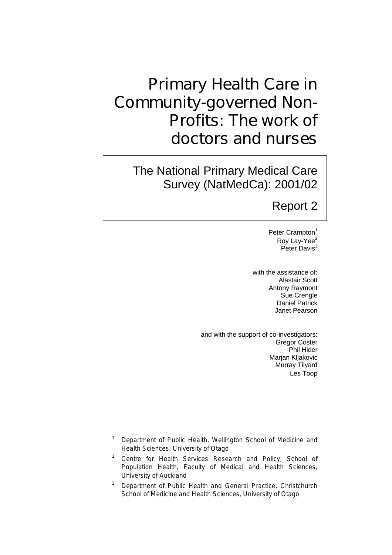# Primary Health Care in Community-governed Non-Profits: The work of doctors and nurses

The National Primary Medical Care Survey (NatMedCa): 2001/02

## Report 2

Peter Crampton<sup>1</sup> Roy Lay-Yee<sup>2</sup> Peter Davis<sup>3</sup>

with the assistance of: Alastair Scott Antony Raymont Sue Crengle Daniel Patrick Janet Pearson

and with the support of co-investigators: Gregor Coster Phil Hider Marjan Kljakovic Murray Tilyard Les Toop

- <sup>1</sup> Department of Public Health, Wellington School of Medicine and Health Sciences, University of Otago
- <sup>2</sup> Centre for Health Services Research and Policy, School of Population Health, Faculty of Medical and Health Sciences, University of Auckland
- 3 Department of Public Health and General Practice, Christchurch School of Medicine and Health Sciences, University of Otago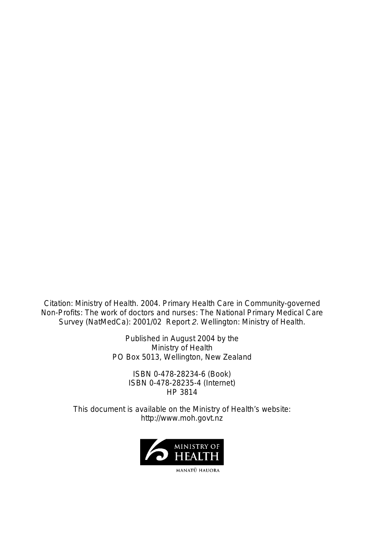Citation: Ministry of Health. 2004. *Primary Health Care in Community-governed Non-Profits: The work of doctors and nurses: The National Primary Medical Care Survey (NatMedCa): 2001/02 Report 2*. Wellington: Ministry of Health.

> Published in August 2004 by the Ministry of Health PO Box 5013, Wellington, New Zealand

> > ISBN 0-478-28234-6 (Book) ISBN 0-478-28235-4 (Internet) HP 3814

This document is available on the Ministry of Health's website: http://www.moh.govt.nz



MANATŪ HAUORA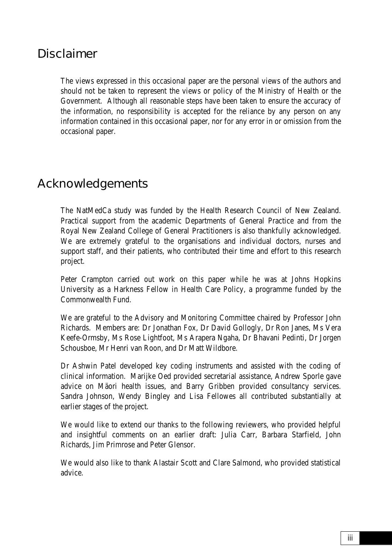## Disclaimer

The views expressed in this occasional paper are the personal views of the authors and should not be taken to represent the views or policy of the Ministry of Health or the Government. Although all reasonable steps have been taken to ensure the accuracy of the information, no responsibility is accepted for the reliance by any person on any information contained in this occasional paper, nor for any error in or omission from the occasional paper.

## Acknowledgements

The NatMedCa study was funded by the Health Research Council of New Zealand. Practical support from the academic Departments of General Practice and from the Royal New Zealand College of General Practitioners is also thankfully acknowledged. We are extremely grateful to the organisations and individual doctors, nurses and support staff, and their patients, who contributed their time and effort to this research project.

Peter Crampton carried out work on this paper while he was at Johns Hopkins University as a Harkness Fellow in Health Care Policy, a programme funded by the Commonwealth Fund.

We are grateful to the Advisory and Monitoring Committee chaired by Professor John Richards. Members are: Dr Jonathan Fox, Dr David Gollogly, Dr Ron Janes, Ms Vera Keefe-Ormsby, Ms Rose Lightfoot, Ms Arapera Ngaha, Dr Bhavani Pedinti, Dr Jorgen Schousboe, Mr Henri van Roon, and Dr Matt Wildbore.

Dr Ashwin Patel developed key coding instruments and assisted with the coding of clinical information. Marijke Oed provided secretarial assistance, Andrew Sporle gave advice on Mäori health issues, and Barry Gribben provided consultancy services. Sandra Johnson, Wendy Bingley and Lisa Fellowes all contributed substantially at earlier stages of the project.

We would like to extend our thanks to the following reviewers, who provided helpful and insightful comments on an earlier draft: Julia Carr, Barbara Starfield, John Richards, Jim Primrose and Peter Glensor.

We would also like to thank Alastair Scott and Clare Salmond, who provided statistical advice.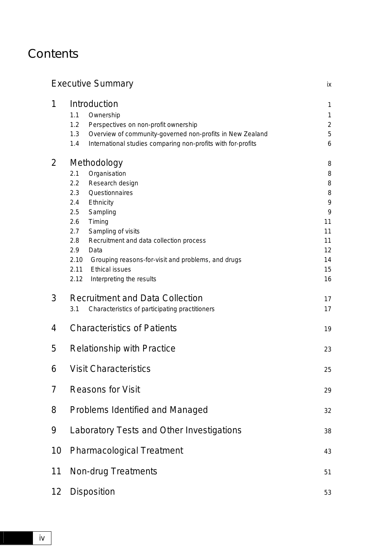## **Contents**

## Executive Summary in the state of the state of the state of the state of the state of the state of the state of the state of the state of the state of the state of the state of the state of the state of the state of the st 1 [Introduction 1](#page-10-0) 1.1 Ownership 1 1.2 [Perspectives on non-profit ownership 2](#page-11-0) 1.3 [Overview of community-governed non-profits in New Zealand 5](#page-14-0) 1.4 [International studies comparing non-profits with for-profits 6](#page-15-0) 2 [Methodology 8](#page-17-0) 2.1 Organisation 8 2.2 Research design 8 2.3 Questionnaires 8 2.4 [Ethnicity 9](#page-18-0) 2.5 Sampling 9 2.6 [Timing 11](#page-20-0) 2.7 Sampling of visits 11 2.8 Recruitment and data collection process 11 2.9 [Data 12](#page-21-0) 2.10 [Grouping reasons-for-visit and problems, and drugs 14](#page-23-0) 2.11 [Ethical issues 15](#page-24-0) 2.12 [Interpreting the results 16](#page-25-0) 3 [Recruitment and Data Collection 17](#page-26-0) 3.1 Characteristics of participating practitioners 17 4 [Characteristics of Patients 19](#page-28-0) 5 [Relationship with Practice 23](#page-32-0) 6 [Visit Characteristics 25](#page-34-0) 7 [Reasons for Visit 29](#page-38-0) 8 [Problems Identified and Managed 32](#page-41-0) 9 [Laboratory Tests and Other Investigations 38](#page-47-0) 10 [Pharmacological Treatment 43](#page-52-0) 11 [Non-drug Treatments 51](#page-60-0) 12 [Disposition 53](#page-62-0)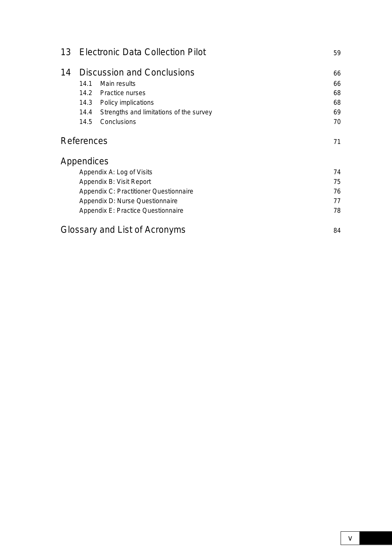| 13                                       | <b>Electronic Data Collection Pilot</b> |                                         | 59 |
|------------------------------------------|-----------------------------------------|-----------------------------------------|----|
| 14                                       |                                         | <b>Discussion and Conclusions</b>       | 66 |
|                                          | 14.1                                    | Main results                            | 66 |
|                                          | 14.2                                    | <b>Practice nurses</b>                  | 68 |
|                                          | 14.3                                    | Policy implications                     | 68 |
|                                          | 14.4                                    | Strengths and limitations of the survey | 69 |
|                                          | 14.5                                    | Conclusions                             | 70 |
|                                          | References                              |                                         | 71 |
|                                          | Appendices                              |                                         |    |
|                                          |                                         | Appendix A: Log of Visits               | 74 |
|                                          |                                         | Appendix B: Visit Report                | 75 |
|                                          |                                         | Appendix C: Practitioner Questionnaire  | 76 |
|                                          |                                         | Appendix D: Nurse Questionnaire         | 77 |
| 78<br>Appendix E: Practice Questionnaire |                                         |                                         |    |
|                                          | Glossary and List of Acronyms<br>84     |                                         |    |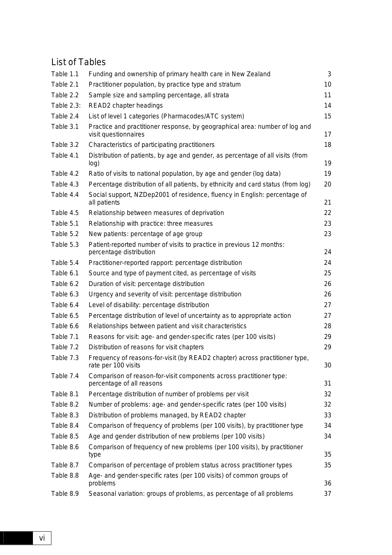### List of Tables

| Table 1.1  | Funding and ownership of primary health care in New Zealand                                         | 3  |
|------------|-----------------------------------------------------------------------------------------------------|----|
| Table 2.1  | Practitioner population, by practice type and stratum                                               | 10 |
| Table 2.2  | Sample size and sampling percentage, all strata                                                     | 11 |
| Table 2.3: | READ2 chapter headings                                                                              | 14 |
| Table 2.4  | List of level 1 categories (Pharmacodes/ATC system)                                                 | 15 |
| Table 3.1  | Practice and practitioner response, by geographical area: number of log and<br>visit questionnaires | 17 |
| Table 3.2  | Characteristics of participating practitioners                                                      | 18 |
| Table 4.1  | Distribution of patients, by age and gender, as percentage of all visits (from<br>log)              | 19 |
| Table 4.2  | Ratio of visits to national population, by age and gender (log data)                                | 19 |
| Table 4.3  | Percentage distribution of all patients, by ethnicity and card status (from log)                    | 20 |
| Table 4.4  | Social support, NZDep2001 of residence, fluency in English: percentage of<br>all patients           | 21 |
| Table 4.5  | Relationship between measures of deprivation                                                        | 22 |
| Table 5.1  | Relationship with practice: three measures                                                          | 23 |
| Table 5.2  | New patients: percentage of age group                                                               | 23 |
| Table 5.3  | Patient-reported number of visits to practice in previous 12 months:<br>percentage distribution     | 24 |
| Table 5.4  | Practitioner-reported rapport: percentage distribution                                              | 24 |
| Table 6.1  | Source and type of payment cited, as percentage of visits                                           | 25 |
| Table 6.2  | Duration of visit: percentage distribution                                                          | 26 |
| Table 6.3  | Urgency and severity of visit: percentage distribution                                              | 26 |
| Table 6.4  | Level of disability: percentage distribution                                                        | 27 |
| Table 6.5  | Percentage distribution of level of uncertainty as to appropriate action                            | 27 |
| Table 6.6  | Relationships between patient and visit characteristics                                             | 28 |
| Table 7.1  | Reasons for visit: age- and gender-specific rates (per 100 visits)                                  | 29 |
| Table 7.2  | Distribution of reasons for visit chapters                                                          | 29 |
| Table 7.3  | Frequency of reasons-for-visit (by READ2 chapter) across practitioner type,<br>rate per 100 visits  | 30 |
| Table 7.4  | Comparison of reason-for-visit components across practitioner type:<br>percentage of all reasons    | 31 |
| Table 8.1  | Percentage distribution of number of problems per visit                                             | 32 |
| Table 8.2  | Number of problems: age- and gender-specific rates (per 100 visits)                                 | 32 |
| Table 8.3  | Distribution of problems managed, by READ2 chapter                                                  | 33 |
| Table 8.4  | Comparison of frequency of problems (per 100 visits), by practitioner type                          | 34 |
| Table 8.5  | Age and gender distribution of new problems (per 100 visits)                                        | 34 |
| Table 8.6  | Comparison of frequency of new problems (per 100 visits), by practitioner<br>type                   | 35 |
| Table 8.7  | Comparison of percentage of problem status across practitioner types                                | 35 |
| Table 8.8  | Age- and gender-specific rates (per 100 visits) of common groups of<br>problems                     | 36 |
| Table 8.9  | Seasonal variation: groups of problems, as percentage of all problems                               | 37 |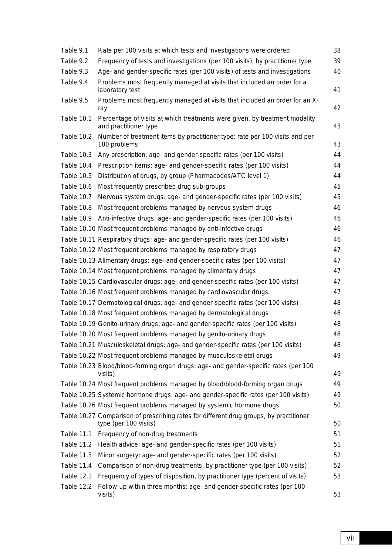| Table 9.1         | Rate per 100 visits at which tests and investigations were ordered                                              | 38 |
|-------------------|-----------------------------------------------------------------------------------------------------------------|----|
| Table 9.2         | Frequency of tests and investigations (per 100 visits), by practitioner type                                    | 39 |
| Table 9.3         | Age- and gender-specific rates (per 100 visits) of tests and investigations                                     | 40 |
| Table 9.4         | Problems most frequently managed at visits that included an order for a<br>laboratory test                      | 41 |
| Table 9.5         | Problems most frequently managed at visits that included an order for an X-<br>ray                              | 42 |
| Table 10.1        | Percentage of visits at which treatments were given, by treatment modality<br>and practitioner type             | 43 |
| Table 10.2        | Number of treatment items by practitioner type: rate per 100 visits and per<br>100 problems                     | 43 |
| Table 10.3        | Any prescription: age- and gender-specific rates (per 100 visits)                                               | 44 |
| Table 10.4        | Prescription items: age- and gender-specific rates (per 100 visits)                                             | 44 |
| Table 10.5        | Distribution of drugs, by group (Pharmacodes/ATC level 1)                                                       | 44 |
| Table 10.6        | Most frequently prescribed drug sub-groups                                                                      | 45 |
| Table 10.7        | Nervous system drugs: age- and gender-specific rates (per 100 visits)                                           | 45 |
| Table 10.8        | Most frequent problems managed by nervous system drugs                                                          | 46 |
| Table 10.9        | Anti-infective drugs: age- and gender-specific rates (per 100 visits)                                           | 46 |
|                   | Table 10.10 Most frequent problems managed by anti-infective drugs                                              | 46 |
|                   | Table 10.11 Respiratory drugs: age- and gender-specific rates (per 100 visits)                                  | 46 |
|                   | Table 10.12 Most frequent problems managed by respiratory drugs                                                 | 47 |
|                   | Table 10.13 Alimentary drugs: age- and gender-specific rates (per 100 visits)                                   | 47 |
|                   | Table 10.14 Most frequent problems managed by alimentary drugs                                                  | 47 |
|                   | Table 10.15 Cardiovascular drugs: age- and gender-specific rates (per 100 visits)                               | 47 |
|                   | Table 10.16 Most frequent problems managed by cardiovascular drugs                                              | 47 |
|                   | Table 10.17 Dermatological drugs: age- and gender-specific rates (per 100 visits)                               | 48 |
|                   | Table 10.18 Most frequent problems managed by dermatological drugs                                              | 48 |
|                   | Table 10.19 Genito-urinary drugs: age- and gender-specific rates (per 100 visits)                               | 48 |
|                   | Table 10.20 Most frequent problems managed by genito-urinary drugs                                              | 48 |
|                   | Table 10.21 Musculoskeletal drugs: age- and gender-specific rates (per 100 visits)                              | 48 |
|                   | Table 10.22 Most frequent problems managed by musculoskeletal drugs                                             | 49 |
|                   | Table 10.23 Blood/blood-forming organ drugs: age- and gender-specific rates (per 100<br>visits)                 | 49 |
|                   | Table 10.24 Most frequent problems managed by blood/blood-forming organ drugs                                   | 49 |
|                   | Table 10.25 Systemic hormone drugs: age- and gender-specific rates (per 100 visits)                             | 49 |
|                   | Table 10.26 Most frequent problems managed by systemic hormone drugs                                            | 50 |
|                   | Table 10.27 Comparison of prescribing rates for different drug groups, by practitioner<br>type (per 100 visits) | 50 |
| Table 11.1        | Frequency of non-drug treatments                                                                                | 51 |
| Table 11.2        | Health advice: age- and gender-specific rates (per 100 visits)                                                  | 51 |
| Table 11.3        | Minor surgery: age- and gender-specific rates (per 100 visits)                                                  | 52 |
| Table 11.4        | Comparison of non-drug treatments, by practitioner type (per 100 visits)                                        | 52 |
| <b>Table 12.1</b> | Frequency of types of disposition, by practitioner type (percent of visits)                                     | 53 |
| Table 12.2        | Follow-up within three months: age- and gender-specific rates (per 100<br>visits)                               | 53 |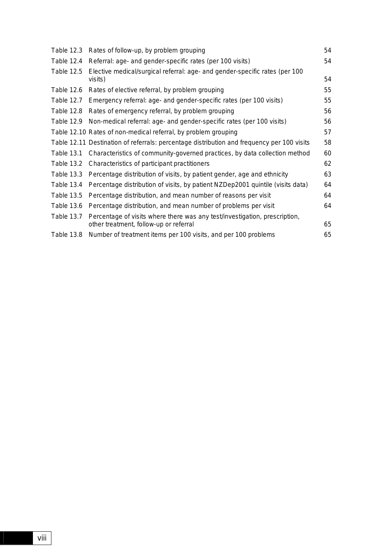|            | Table 12.3 Rates of follow-up, by problem grouping                                                                   | 54 |
|------------|----------------------------------------------------------------------------------------------------------------------|----|
| Table 12.4 | Referral: age- and gender-specific rates (per 100 visits)                                                            | 54 |
| Table 12.5 | Elective medical/surgical referral: age- and gender-specific rates (per 100<br>visits)                               | 54 |
|            | Table 12.6 Rates of elective referral, by problem grouping                                                           | 55 |
|            | Table 12.7 Emergency referral: age- and gender-specific rates (per 100 visits)                                       | 55 |
| Table 12.8 | Rates of emergency referral, by problem grouping                                                                     | 56 |
|            | Table 12.9 Non-medical referral: age- and gender-specific rates (per 100 visits)                                     | 56 |
|            | Table 12.10 Rates of non-medical referral, by problem grouping                                                       | 57 |
|            | Table 12.11 Destination of referrals: percentage distribution and frequency per 100 visits                           | 58 |
|            | Table 13.1 Characteristics of community-governed practices, by data collection method                                | 60 |
|            | Table 13.2 Characteristics of participant practitioners                                                              | 62 |
|            | Table 13.3 Percentage distribution of visits, by patient gender, age and ethnicity                                   | 63 |
| Table 13.4 | Percentage distribution of visits, by patient NZDep2001 quintile (visits data)                                       | 64 |
| Table 13.5 | Percentage distribution, and mean number of reasons per visit                                                        | 64 |
| Table 13.6 | Percentage distribution, and mean number of problems per visit                                                       | 64 |
| Table 13.7 | Percentage of visits where there was any test/investigation, prescription,<br>other treatment, follow-up or referral | 65 |
| Table 13.8 | Number of treatment items per 100 visits, and per 100 problems                                                       | 65 |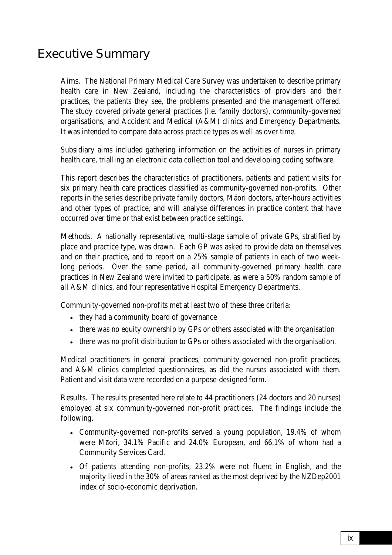## <span id="page-8-0"></span>Executive Summary

Aims. The National Primary Medical Care Survey was undertaken to describe primary health care in New Zealand, including the characteristics of providers and their practices, the patients they see, the problems presented and the management offered. The study covered private general practices (i.e. family doctors), community-governed organisations, and Accident and Medical (A&M) clinics and Emergency Departments. It was intended to compare data across practice types as well as over time.

Subsidiary aims included gathering information on the activities of nurses in primary health care, trialling an electronic data collection tool and developing coding software.

This report describes the characteristics of practitioners, patients and patient visits for six primary health care practices classified as community-governed non-profits. Other reports in the series describe private family doctors, Mäori doctors, after-hours activities and other types of practice, and will analyse differences in practice content that have occurred over time or that exist between practice settings.

Methods. A nationally representative, multi-stage sample of private GPs, stratified by place and practice type, was drawn. Each GP was asked to provide data on themselves and on their practice, and to report on a 25% sample of patients in each of two weeklong periods. Over the same period, all community-governed primary health care practices in New Zealand were invited to participate, as were a 50% random sample of all A&M clinics, and four representative Hospital Emergency Departments.

Community-governed non-profits met at least two of these three criteria:

- they had a community board of governance
- there was no equity ownership by GPs or others associated with the organisation
- there was no profit distribution to GPs or others associated with the organisation.

Medical practitioners in general practices, community-governed non-profit practices, and A&M clinics completed questionnaires, as did the nurses associated with them. Patient and visit data were recorded on a purpose-designed form.

Results. The results presented here relate to 44 practitioners (24 doctors and 20 nurses) employed at six community-governed non-profit practices. The findings include the following.

- Community-governed non-profits served a young population, 19.4% of whom were Māori, 34.1% Pacific and 24.0% European, and 66.1% of whom had a Community Services Card.
- Of patients attending non-profits, 23.2% were not fluent in English, and the majority lived in the 30% of areas ranked as the most deprived by the NZDep2001 index of socio-economic deprivation.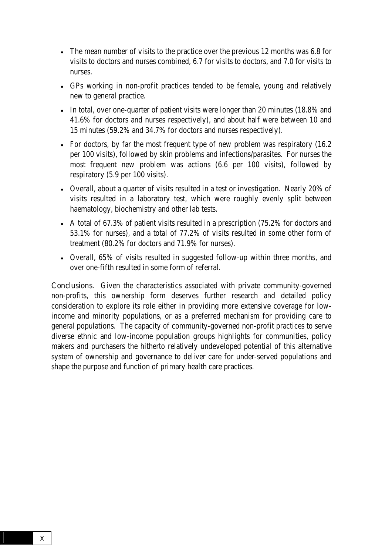- The mean number of visits to the practice over the previous 12 months was 6.8 for visits to doctors and nurses combined, 6.7 for visits to doctors, and 7.0 for visits to nurses.
- GPs working in non-profit practices tended to be female, young and relatively new to general practice.
- In total, over one-quarter of patient visits were longer than 20 minutes (18.8% and 41.6% for doctors and nurses respectively), and about half were between 10 and 15 minutes (59.2% and 34.7% for doctors and nurses respectively).
- For doctors, by far the most frequent type of new problem was respiratory (16.2) per 100 visits), followed by skin problems and infections/parasites. For nurses the most frequent new problem was actions (6.6 per 100 visits), followed by respiratory (5.9 per 100 visits).
- Overall, about a quarter of visits resulted in a test or investigation. Nearly 20% of visits resulted in a laboratory test, which were roughly evenly split between haematology, biochemistry and other lab tests.
- A total of 67.3% of patient visits resulted in a prescription (75.2% for doctors and 53.1% for nurses), and a total of 77.2% of visits resulted in some other form of treatment (80.2% for doctors and 71.9% for nurses).
- Overall, 65% of visits resulted in suggested follow-up within three months, and over one-fifth resulted in some form of referral.

Conclusions. Given the characteristics associated with private community-governed non-profits, this ownership form deserves further research and detailed policy consideration to explore its role either in providing more extensive coverage for lowincome and minority populations, or as a preferred mechanism for providing care to general populations. The capacity of community-governed non-profit practices to serve diverse ethnic and low-income population groups highlights for communities, policy makers and purchasers the hitherto relatively undeveloped potential of this alternative system of ownership and governance to deliver care for under-served populations and shape the purpose and function of primary health care practices.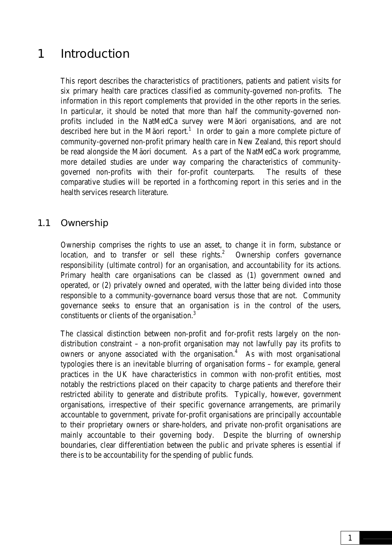## <span id="page-10-0"></span>1 Introduction

This report describes the characteristics of practitioners, patients and patient visits for six primary health care practices classified as community-governed non-profits. The information in this report complements that provided in the other reports in the series. In particular, it should be noted that more than half the community-governed nonprofits included in the NatMedCa survey were Mäori organisations, and are not described here but in the Mäori report.<sup>1</sup> In order to gain a more complete picture of community-governed non-profit primary health care in New Zealand, this report should be read alongside the Mäori document. As a part of the NatMedCa work programme, more detailed studies are under way comparing the characteristics of communitygoverned non-profits with their for-profit counterparts. The results of these comparative studies will be reported in a forthcoming report in this series and in the health services research literature.

### 1.1 Ownership

Ownership comprises the rights to use an asset, to change it in form, substance or location, and to transfer or sell these rights. $2$  Ownership confers governance responsibility (ultimate control) for an organisation, and accountability for its actions. Primary health care organisations can be classed as (1) government owned and operated, or (2) privately owned and operated, with the latter being divided into those responsible to a community-governance board versus those that are not. Community governance seeks to ensure that an organisation is in the control of the users, constituents or clients of the organisation.3

The classical distinction between non-profit and for-profit rests largely on the nondistribution constraint – a non-profit organisation may not lawfully pay its profits to owners or anyone associated with the organisation. $4$  As with most organisational typologies there is an inevitable blurring of organisation forms – for example, general practices in the UK have characteristics in common with non-profit entities, most notably the restrictions placed on their capacity to charge patients and therefore their restricted ability to generate and distribute profits. Typically, however, government organisations, irrespective of their specific governance arrangements, are primarily accountable to government, private for-profit organisations are principally accountable to their proprietary owners or share-holders, and private non-profit organisations are mainly accountable to their governing body. Despite the blurring of ownership boundaries, clear differentiation between the public and private spheres is essential if there is to be accountability for the spending of public funds.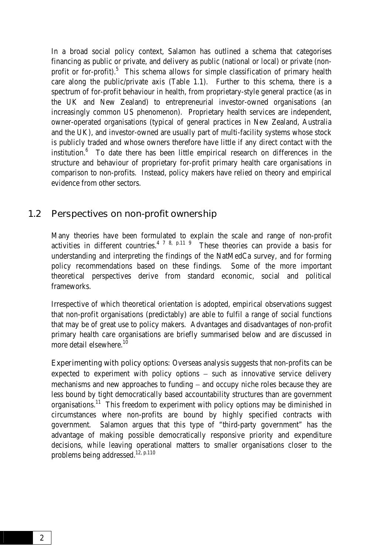<span id="page-11-0"></span>In a broad social policy context, Salamon has outlined a schema that categorises financing as public or private, and delivery as public (national or local) or private (nonprofit or for-profit).<sup>5</sup> This schema allows for simple classification of primary health care along the public/private axis (Table 1.1). Further to this schema, there is a spectrum of for-profit behaviour in health, from proprietary-style general practice (as in the UK and New Zealand) to entrepreneurial investor-owned organisations (an increasingly common US phenomenon). Proprietary health services are independent, owner-operated organisations (typical of general practices in New Zealand, Australia and the UK), and investor-owned are usually part of multi-facility systems whose stock is publicly traded and whose owners therefore have little if any direct contact with the institution. $6$  To date there has been little empirical research on differences in the structure and behaviour of proprietary for-profit primary health care organisations in comparison to non-profits. Instead, policy makers have relied on theory and empirical evidence from other sectors.

#### 1.2 Perspectives on non-profit ownership

Many theories have been formulated to explain the scale and range of non-profit activities in different countries.<sup>4 7 8, p.11 9</sup> These theories can provide a basis for understanding and interpreting the findings of the NatMedCa survey, and for forming policy recommendations based on these findings. Some of the more important theoretical perspectives derive from standard economic, social and political frameworks.

Irrespective of which theoretical orientation is adopted, empirical observations suggest that non-profit organisations (predictably) are able to fulfil a range of social functions that may be of great use to policy makers. Advantages and disadvantages of non-profit primary health care organisations are briefly summarised below and are discussed in more detail elsewhere. $10$ 

Experimenting with policy options: Overseas analysis suggests that non-profits can be expected to experiment with policy options – such as innovative service delivery mechanisms and new approaches to funding − and occupy niche roles because they are less bound by tight democratically based accountability structures than are government organisations.11 This freedom to experiment with policy options may be diminished in circumstances where non-profits are bound by highly specified contracts with government. Salamon argues that this type of "third-party government" has the advantage of making possible democratically responsive priority and expenditure decisions, while leaving operational matters to smaller organisations closer to the problems being addressed.<sup>12, p.110</sup>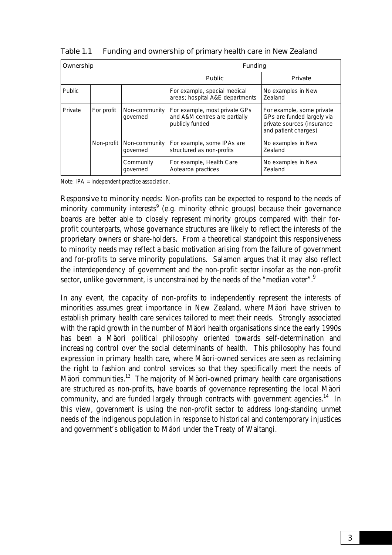| Ownership     |            |                           | Funding                                                                           |                                                                                                               |  |
|---------------|------------|---------------------------|-----------------------------------------------------------------------------------|---------------------------------------------------------------------------------------------------------------|--|
|               |            |                           | <b>Public</b>                                                                     | Private                                                                                                       |  |
| <b>Public</b> |            |                           | For example, special medical<br>areas; hospital A&E departments                   | No examples in New<br>Zealand                                                                                 |  |
| Private       | For profit | Non-community<br>governed | For example, most private GPs<br>and A&M centres are partially<br>publicly funded | For example, some private<br>GPs are funded largely via<br>private sources (insurance<br>and patient charges) |  |
|               | Non-profit | Non-community<br>governed | For example, some IPAs are<br>structured as non-profits                           | No examples in New<br>Zealand                                                                                 |  |
|               |            | Community<br>governed     | For example, Health Care<br>Aotearoa practices                                    | No examples in New<br>Zealand                                                                                 |  |

Table 1.1 Funding and ownership of primary health care in New Zealand

Note: IPA = independent practice association.

Responsive to minority needs: Non-profits can be expected to respond to the needs of minority community interests<sup>9</sup> (e.g. minority ethnic groups) because their governance boards are better able to closely represent minority groups compared with their forprofit counterparts, whose governance structures are likely to reflect the interests of the proprietary owners or share-holders. From a theoretical standpoint this responsiveness to minority needs may reflect a basic motivation arising from the failure of government and for-profits to serve minority populations. Salamon argues that it may also reflect the interdependency of government and the non-profit sector insofar as the non-profit sector, unlike government, is unconstrained by the needs of the "median voter".

In any event, the capacity of non-profits to independently represent the interests of minorities assumes great importance in New Zealand, where Mäori have striven to establish primary health care services tailored to meet their needs. Strongly associated with the rapid growth in the number of Mäori health organisations since the early 1990s has been a Mäori political philosophy oriented towards self-determination and increasing control over the social determinants of health. This philosophy has found expression in primary health care, where Mäori-owned services are seen as reclaiming the right to fashion and control services so that they specifically meet the needs of Mäori communities.<sup>13</sup> The majority of Mäori-owned primary health care organisations are structured as non-profits, have boards of governance representing the local Mäori community, and are funded largely through contracts with government agencies.<sup>14</sup> In this view, government is using the non-profit sector to address long-standing unmet needs of the indigenous population in response to historical and contemporary injustices and government's obligation to Mäori under the Treaty of Waitangi.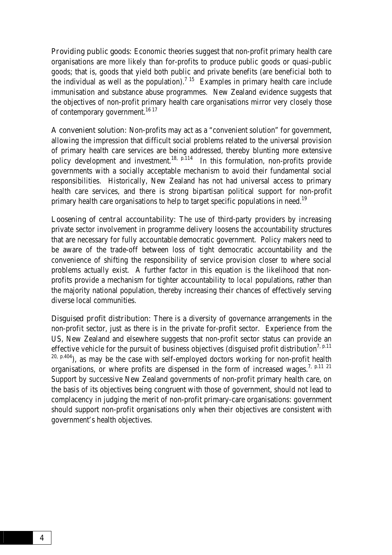**Providing public goods:** Economic theories suggest that non-profit primary health care organisations are more likely than for-profits to produce public goods or quasi-public goods; that is, goods that yield both public and private benefits (are beneficial both to the individual as well as the population).<sup>7 15</sup> Examples in primary health care include immunisation and substance abuse programmes. New Zealand evidence suggests that the objectives of non-profit primary health care organisations mirror very closely those of contemporary government.<sup>16 17</sup>

A convenient solution: Non-profits may act as a "convenient solution" for government, allowing the impression that difficult social problems related to the universal provision of primary health care services are being addressed, thereby blunting more extensive policy development and investment.<sup>18, p.114</sup> In this formulation, non-profits provide governments with a socially acceptable mechanism to avoid their fundamental social responsibilities. Historically, New Zealand has not had universal access to primary health care services, and there is strong bipartisan political support for non-profit primary health care organisations to help to target specific populations in need.<sup>19</sup>

Loosening of central accountability: The use of third-party providers by increasing private sector involvement in programme delivery loosens the accountability structures that are necessary for fully accountable democratic government. Policy makers need to be aware of the trade-off between loss of tight democratic accountability and the convenience of shifting the responsibility of service provision closer to where social problems actually exist. A further factor in this equation is the likelihood that nonprofits provide a mechanism for tighter accountability to *local* populations, rather than the majority national population, thereby increasing their chances of effectively serving diverse local communities.

**Disguised profit distribution:** There is a diversity of governance arrangements in the non-profit sector, just as there is in the private for-profit sector. Experience from the US, New Zealand and elsewhere suggests that non-profit sector status can provide an effective vehicle for the pursuit of business objectives (disguised profit distribution<sup>7, p.11</sup>)  $20, p.404$ ), as may be the case with self-employed doctors working for non-profit health organisations, or where profits are dispensed in the form of increased wages.<sup>7, p.11 21</sup> Support by successive New Zealand governments of non-profit primary health care, on the basis of its objectives being congruent with those of government, should not lead to complacency in judging the merit of non-profit primary-care organisations: government should support non-profit organisations only when their objectives are consistent with government's health objectives.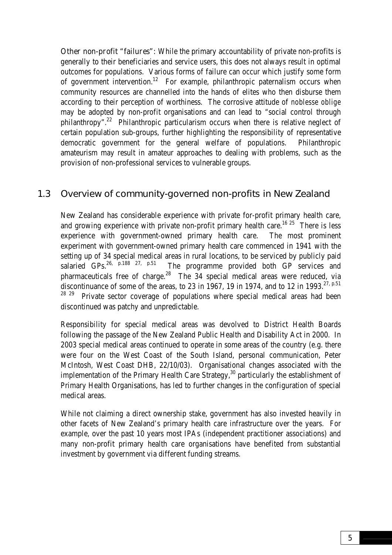<span id="page-14-0"></span>**Other non-profit "failures":** While the primary accountability of private non-profits is generally to their beneficiaries and service users, this does not always result in optimal outcomes for populations. Various forms of failure can occur which justify some form of government intervention.<sup>12</sup> For example, philanthropic paternalism occurs when community resources are channelled into the hands of elites who then disburse them according to their perception of worthiness. The corrosive attitude of *noblesse oblige* may be adopted by non-profit organisations and can lead to "social control through philanthropy".<sup>22</sup> Philanthropic particularism occurs when there is relative neglect of certain population sub-groups, further highlighting the responsibility of representative democratic government for the general welfare of populations. Philanthropic amateurism may result in amateur approaches to dealing with problems, such as the provision of non-professional services to vulnerable groups.

### 1.3 Overview of community-governed non-profits in New Zealand

New Zealand has considerable experience with private for-profit primary health care, and growing experience with private non-profit primary health care.<sup>16 25</sup> There is less experience with government-owned primary health care. The most prominent experiment with government-owned primary health care commenced in 1941 with the setting up of 34 special medical areas in rural locations, to be serviced by publicly paid<br>salaried GPs.<sup>26, p.188</sup> <sup>27, p.51</sup> The programme provided both GP services and The programme provided both GP services and pharmaceuticals free of charge.<sup>28</sup> The 34 special medical areas were reduced, via discontinuance of some of the areas, to 23 in 1967, 19 in 1974, and to 12 in 1993.<sup>27, p.51</sup> Private sector coverage of populations where special medical areas had been discontinued was patchy and unpredictable.

Responsibility for special medical areas was devolved to District Health Boards following the passage of the New Zealand Public Health and Disability Act in 2000. In 2003 special medical areas continued to operate in some areas of the country (e.g. there were four on the West Coast of the South Island, personal communication, Peter McIntosh, West Coast DHB, 22/10/03). Organisational changes associated with the implementation of the Primary Health Care Strategy, $30$  particularly the establishment of Primary Health Organisations, has led to further changes in the configuration of special medical areas.

While not claiming a direct ownership stake, government has also invested heavily in other facets of New Zealand's primary health care infrastructure over the years. For example, over the past 10 years most IPAs (independent practitioner associations) and many non-profit primary health care organisations have benefited from substantial investment by government via different funding streams.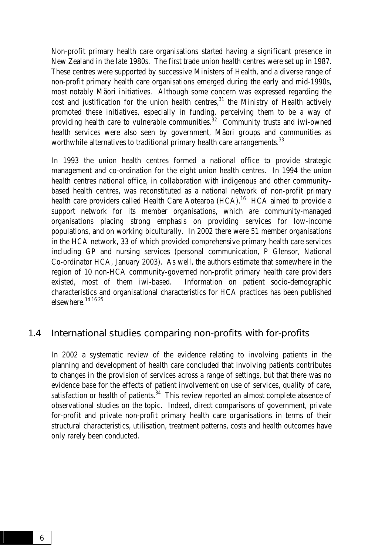<span id="page-15-0"></span>Non-profit primary health care organisations started having a significant presence in New Zealand in the late 1980s. The first trade union health centres were set up in 1987. These centres were supported by successive Ministers of Health, and a diverse range of non-profit primary health care organisations emerged during the early and mid-1990s, most notably Mäori initiatives. Although some concern was expressed regarding the cost and justification for the union health centres, $31$  the Ministry of Health actively promoted these initiatives, especially in funding, perceiving them to be a way of providing health care to vulnerable communities.<sup>32</sup> Community trusts and iwi-owned health services were also seen by government, Mäori groups and communities as worthwhile alternatives to traditional primary health care arrangements.<sup>33</sup>

In 1993 the union health centres formed a national office to provide strategic management and co-ordination for the eight union health centres. In 1994 the union health centres national office, in collaboration with indigenous and other communitybased health centres, was reconstituted as a national network of non-profit primary health care providers called Health Care Aotearoa (HCA).<sup>16</sup> HCA aimed to provide a support network for its member organisations, which are community-managed organisations placing strong emphasis on providing services for low-income populations, and on working biculturally. In 2002 there were 51 member organisations in the HCA network, 33 of which provided comprehensive primary health care services including GP and nursing services (personal communication, P Glensor, National Co-ordinator HCA, January 2003). As well, the authors estimate that somewhere in the region of 10 non-HCA community-governed non-profit primary health care providers existed, most of them iwi-based. Information on patient socio-demographic characteristics and organisational characteristics for HCA practices has been published elsewhere.14 16 25

#### 1.4 International studies comparing non-profits with for-profits

In 2002 a systematic review of the evidence relating to involving patients in the planning and development of health care concluded that involving patients contributes to changes in the provision of services across a range of settings, but that there was no evidence base for the effects of patient involvement on use of services, quality of care, satisfaction or health of patients. $34$  This review reported an almost complete absence of observational studies on the topic. Indeed, direct comparisons of government, private for-profit and private non-profit primary health care organisations in terms of their structural characteristics, utilisation, treatment patterns, costs and health outcomes have only rarely been conducted.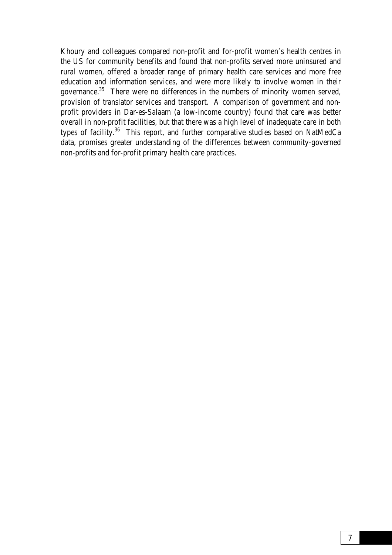Khoury and colleagues compared non-profit and for-profit women's health centres in the US for community benefits and found that non-profits served more uninsured and rural women, offered a broader range of primary health care services and more free education and information services, and were more likely to involve women in their governance.35 There were no differences in the numbers of minority women served, provision of translator services and transport. A comparison of government and nonprofit providers in Dar-es-Salaam (a low-income country) found that care was better overall in non-profit facilities, but that there was a high level of inadequate care in both types of facility.36 This report, and further comparative studies based on NatMedCa data, promises greater understanding of the differences between community-governed non-profits and for-profit primary health care practices.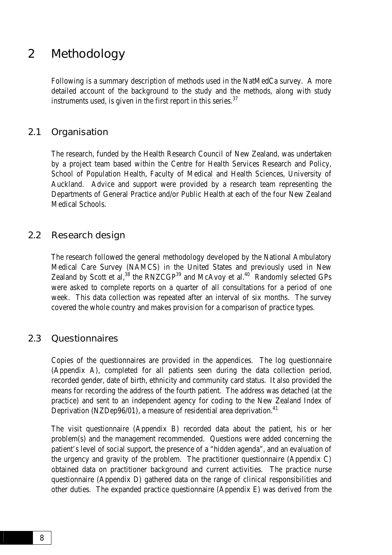## <span id="page-17-0"></span>2 Methodology

Following is a summary description of methods used in the NatMedCa survey. A more detailed account of the background to the study and the methods, along with study instruments used, is given in the first report in this series. $37$ 

#### 2.1 Organisation

The research, funded by the Health Research Council of New Zealand, was undertaken by a project team based within the Centre for Health Services Research and Policy, School of Population Health, Faculty of Medical and Health Sciences, University of Auckland. Advice and support were provided by a research team representing the Departments of General Practice and/or Public Health at each of the four New Zealand Medical Schools.

#### 2.2 Research design

The research followed the general methodology developed by the National Ambulatory Medical Care Survey (NAMCS) in the United States and previously used in New Zealand by Scott et al,<sup>38</sup> the RNZCGP<sup>39</sup> and McAvoy et al.<sup>40</sup> Randomly selected GPs were asked to complete reports on a quarter of all consultations for a period of one week. This data collection was repeated after an interval of six months. The survey covered the whole country and makes provision for a comparison of practice types.

#### 2.3 **Questionnaires**

Copies of the questionnaires are provided in the appendices. The log questionnaire (Appendix A), completed for all patients seen during the data collection period, recorded gender, date of birth, ethnicity and community card status. It also provided the means for recording the address of the fourth patient. The address was detached (at the practice) and sent to an independent agency for coding to the New Zealand Index of Deprivation (NZDep96/01), a measure of residential area deprivation.<sup>41</sup>

The visit questionnaire (Appendix B) recorded data about the patient, his or her problem(s) and the management recommended. Questions were added concerning the patient's level of social support, the presence of a "hidden agenda", and an evaluation of the urgency and gravity of the problem. The practitioner questionnaire (Appendix C) obtained data on practitioner background and current activities. The practice nurse questionnaire (Appendix D) gathered data on the range of clinical responsibilities and other duties. The expanded practice questionnaire (Appendix E) was derived from the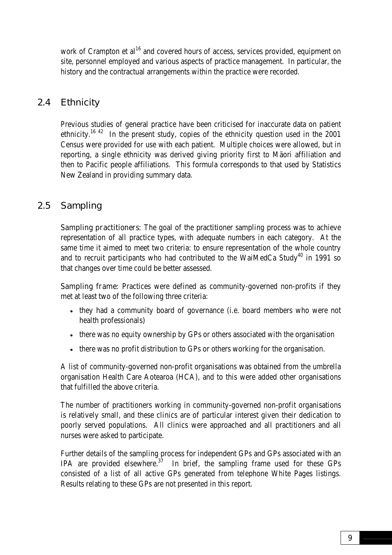<span id="page-18-0"></span>work of Crampton et al<sup>16</sup> and covered hours of access, services provided, equipment on site, personnel employed and various aspects of practice management. In particular, the history and the contractual arrangements within the practice were recorded.

### 2.4 Ethnicity

Previous studies of general practice have been criticised for inaccurate data on patient ethnicity.<sup>16 42</sup> In the present study, copies of the ethnicity question used in the  $2001$ Census were provided for use with each patient. Multiple choices were allowed, but in reporting, a single ethnicity was derived giving priority first to Mäori affiliation and then to Pacific people affiliations. This formula corresponds to that used by Statistics New Zealand in providing summary data.

### 2.5 Sampling

**Sampling practitioners:** The goal of the practitioner sampling process was to achieve representation of all practice types, with adequate numbers in each category. At the same time it aimed to meet two criteria: to ensure representation of the whole country and to recruit participants who had contributed to the WaiMedCa Study<sup>40</sup> in 1991 so that changes over time could be better assessed.

**Sampling frame:** Practices were defined as community-governed non-profits if they met at least two of the following three criteria:

- they had a community board of governance (i.e. board members who were not health professionals)
- there was no equity ownership by GPs or others associated with the organisation
- there was no profit distribution to GPs or others working for the organisation.

A list of community-governed non-profit organisations was obtained from the umbrella organisation Health Care Aotearoa (HCA), and to this were added other organisations that fulfilled the above criteria.

The number of practitioners working in community-governed non-profit organisations is relatively small, and these clinics are of particular interest given their dedication to poorly served populations. All clinics were approached and all practitioners and all nurses were asked to participate.

Further details of the sampling process for independent GPs and GPs associated with an IPA are provided elsewhere.<sup>37</sup> In brief, the sampling frame used for these GPs consisted of a list of all active GPs generated from telephone White Pages listings. Results relating to these GPs are not presented in this report.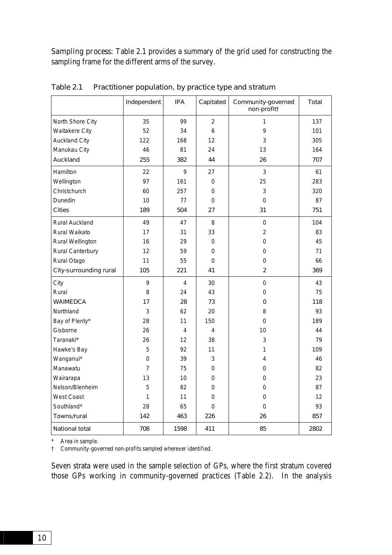Sampling process: Table 2.1 provides a summary of the grid used for constructing the sampling frame for the different arms of the survey.

|                               | Independent    | <b>IPA</b>     | Capitated      | Community-governed<br>non-profit† | <b>Total</b> |
|-------------------------------|----------------|----------------|----------------|-----------------------------------|--------------|
| North Shore City              | 35             | 99             | $\overline{2}$ | 1                                 | 137          |
| <b>Waitakere City</b>         | 52             | 34             | 6              | 9                                 | 101          |
| <b>Auckland City</b>          | 122            | 168            | 12             | 3                                 | 305          |
| Manukau City                  | 46             | 81             | 24             | 13                                | 164          |
| Auckland                      | 255            | 382            | 44             | 26                                | 707          |
| Hamilton                      | 22             | 9              | 27             | 3                                 | 61           |
| Wellington                    | 97             | 161            | 0              | 25                                | 283          |
| Christchurch                  | 60             | 257            | 0              | 3                                 | 320          |
| Dunedin                       | 10             | 77             | 0              | $\mathbf 0$                       | 87           |
| <b>Cities</b>                 | 189            | 504            | 27             | 31                                | 751          |
| <b>Rural Auckland</b>         | 49             | 47             | 8              | $\mathbf 0$                       | 104          |
| Rural Waikato                 | 17             | 31             | 33             | $\overline{2}$                    | 83           |
| Rural Wellington              | 16             | 29             | $\Omega$       | 0                                 | 45           |
| Rural Canterbury              | 12             | 59             | 0              | $\mathbf 0$                       | 71           |
| Rural Otago                   | 11             | 55             | 0              | $\mathbf 0$                       | 66           |
| <b>City-surrounding rural</b> | 105            | 221            | 41             | $\overline{2}$                    | 369          |
| City                          | 9              | $\overline{4}$ | 30             | $\mathbf 0$                       | 43           |
| Rural                         | 8              | 24             | 43             | 0                                 | 75           |
| <b>WAIMEDCA</b>               | 17             | 28             | 73             | $\mathbf 0$                       | 118          |
| Northland                     | 3              | 62             | 20             | 8                                 | 93           |
| Bay of Plenty*                | 28             | 11             | 150            | $\mathbf 0$                       | 189          |
| Gisborne                      | 26             | 4              | 4              | 10                                | 44           |
| Taranaki*                     | 26             | 12             | 38             | 3                                 | 79           |
| Hawke's Bay                   | 5              | 92             | 11             | 1                                 | 109          |
| Wanganui*                     | 0              | 39             | 3              | 4                                 | 46           |
| Manawatu                      | $\overline{7}$ | 75             | $\mathbf 0$    | 0                                 | 82           |
| Wairarapa                     | 13             | 10             | 0              | 0                                 | 23           |
| Nelson/Blenheim               | 5              | 82             | 0              | $\mathbf 0$                       | 87           |
| <b>West Coast</b>             | 1              | 11             | 0              | $\mathbf 0$                       | 12           |
| Southland*                    | 28             | 65             | 0              | $\mathbf 0$                       | 93           |
| Towns/rural                   | 142            | 463            | 226            | 26                                | 857          |
| <b>National total</b>         | 708            | 1598           | 411            | 85                                | 2802         |

Table 2.1 Practitioner population, by practice type and stratum

\* Area in sample.

† Community-governed non-profits sampled wherever identified.

Seven strata were used in the sample selection of GPs, where the first stratum covered those GPs working in community-governed practices (Table 2.2). In the analysis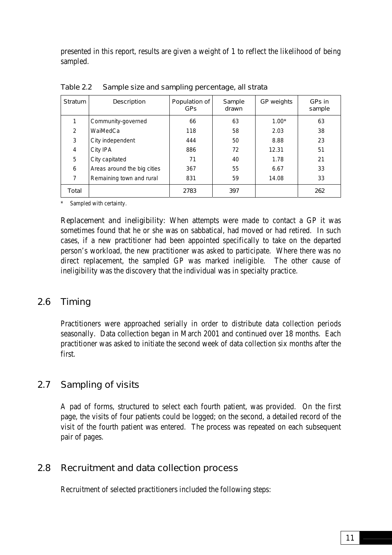<span id="page-20-0"></span>presented in this report, results are given a weight of 1 to reflect the likelihood of being sampled.

| <b>Stratum</b> | <b>Description</b>          | Population of<br><b>GPs</b> | Sample<br>drawn | <b>GP</b> weights | GPs in<br>sample |
|----------------|-----------------------------|-----------------------------|-----------------|-------------------|------------------|
|                | Community-governed          | 66                          | 63              | $1.00*$           | 63               |
| 2              | WaiMedCa                    | 118                         | 58              | 2.03              | 38               |
| 3              | City independent            | 444                         | 50              | 8.88              | 23               |
| 4              | City IPA                    | 886                         | 72              | 12.31             | 51               |
| 5              | City capitated              | 71                          | 40              | 1.78              | 21               |
| 6              | Areas around the big cities | 367                         | 55              | 6.67              | 33               |
| 7              | Remaining town and rural    | 831                         | 59              | 14.08             | 33               |
| Total          |                             | 2783                        | 397             |                   | 262              |

Table 2.2 Sample size and sampling percentage, all strata

Sampled with certainty.

**Replacement and ineligibility:** When attempts were made to contact a GP it was sometimes found that he or she was on sabbatical, had moved or had retired. In such cases, if a new practitioner had been appointed specifically to take on the departed person's workload, the new practitioner was asked to participate. Where there was no direct replacement, the sampled GP was marked ineligible. The other cause of ineligibility was the discovery that the individual was in specialty practice.

### 2.6 Timing

Practitioners were approached serially in order to distribute data collection periods seasonally. Data collection began in March 2001 and continued over 18 months. Each practitioner was asked to initiate the second week of data collection six months after the first.

### 2.7 Sampling of visits

A pad of forms, structured to select each fourth patient, was provided. On the first page, the visits of four patients could be logged; on the second, a detailed record of the visit of the fourth patient was entered. The process was repeated on each subsequent pair of pages.

### 2.8 Recruitment and data collection process

Recruitment of selected practitioners included the following steps: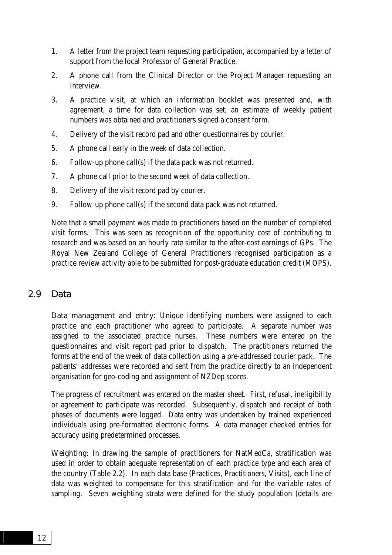- <span id="page-21-0"></span>1. A letter from the project team requesting participation, accompanied by a letter of support from the local Professor of General Practice.
- 2. A phone call from the Clinical Director or the Project Manager requesting an interview.
- 3. A practice visit, at which an information booklet was presented and, with agreement, a time for data collection was set; an estimate of weekly patient numbers was obtained and practitioners signed a consent form.
- 4. Delivery of the visit record pad and other questionnaires by courier.
- 5. A phone call early in the week of data collection.
- 6. Follow-up phone call(s) if the data pack was not returned.
- 7. A phone call prior to the second week of data collection.
- 8. Delivery of the visit record pad by courier.
- 9. Follow-up phone call(s) if the second data pack was not returned.

Note that a small payment was made to practitioners based on the number of completed visit forms. This was seen as recognition of the opportunity cost of contributing to research and was based on an hourly rate similar to the after-cost earnings of GPs. The Royal New Zealand College of General Practitioners recognised participation as a practice review activity able to be submitted for post-graduate education credit (MOPS).

### 2.9 Data

Data management and entry: Unique identifying numbers were assigned to each practice and each practitioner who agreed to participate. A separate number was assigned to the associated practice nurses. These numbers were entered on the questionnaires and visit report pad prior to dispatch. The practitioners returned the forms at the end of the week of data collection using a pre-addressed courier pack. The patients' addresses were recorded and sent from the practice directly to an independent organisation for geo-coding and assignment of NZDep scores.

The progress of recruitment was entered on the master sheet. First, refusal, ineligibility or agreement to participate was recorded. Subsequently, dispatch and receipt of both phases of documents were logged. Data entry was undertaken by trained experienced individuals using pre-formatted electronic forms. A data manager checked entries for accuracy using predetermined processes.

Weighting: In drawing the sample of practitioners for NatMedCa, stratification was used in order to obtain adequate representation of each practice type and each area of the country (Table 2.2). In each data base (Practices, Practitioners, Visits), each line of data was weighted to compensate for this stratification and for the variable rates of sampling. Seven weighting strata were defined for the study population (details are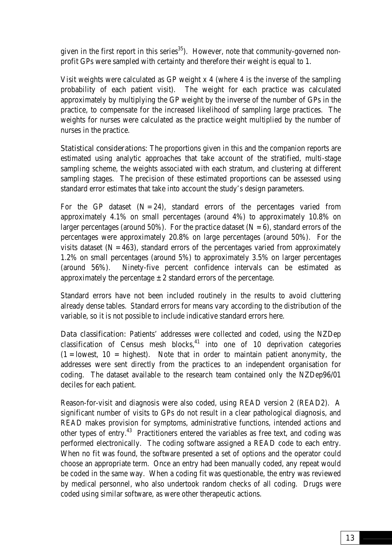given in the first report in this series $35$ ). However, note that community-governed nonprofit GPs were sampled with certainty and therefore their weight is equal to 1.

Visit weights were calculated as GP weight x 4 (where 4 is the inverse of the sampling probability of each patient visit). The weight for each practice was calculated approximately by multiplying the GP weight by the inverse of the number of GPs in the practice, to compensate for the increased likelihood of sampling large practices. The weights for nurses were calculated as the practice weight multiplied by the number of nurses in the practice.

Statistical considerations: The proportions given in this and the companion reports are estimated using analytic approaches that take account of the stratified, multi-stage sampling scheme, the weights associated with each stratum, and clustering at different sampling stages. The precision of these estimated proportions can be assessed using standard error estimates that take into account the study's design parameters.

For the GP dataset  $(N = 24)$ , standard errors of the percentages varied from approximately 4.1% on small percentages (around 4%) to approximately 10.8% on larger percentages (around 50%). For the practice dataset  $(N = 6)$ , standard errors of the percentages were approximately 20.8% on large percentages (around 50%). For the visits dataset  $(N = 463)$ , standard errors of the percentages varied from approximately 1.2% on small percentages (around 5%) to approximately 3.5% on larger percentages (around 56%). Ninety-five percent confidence intervals can be estimated as approximately the percentage  $\pm 2$  standard errors of the percentage.

Standard errors have not been included routinely in the results to avoid cluttering already dense tables. Standard errors for means vary according to the distribution of the variable, so it is not possible to include indicative standard errors here.

Data classification: Patients' addresses were collected and coded, using the NZDep classification of Census mesh blocks, $41$  into one of 10 deprivation categories  $(1 =$  lowest,  $10 =$  highest). Note that in order to maintain patient anonymity, the addresses were sent directly from the practices to an independent organisation for coding. The dataset available to the research team contained only the NZDep96/01 deciles for each patient.

Reason-for-visit and diagnosis were also coded, using READ version 2 (READ2). A significant number of visits to GPs do not result in a clear pathological diagnosis, and READ makes provision for symptoms, administrative functions, intended actions and other types of entry.43 Practitioners entered the variables as free text, and coding was performed electronically. The coding software assigned a READ code to each entry. When no fit was found, the software presented a set of options and the operator could choose an appropriate term. Once an entry had been manually coded, any repeat would be coded in the same way. When a coding fit was questionable, the entry was reviewed by medical personnel, who also undertook random checks of all coding. Drugs were coded using similar software, as were other therapeutic actions.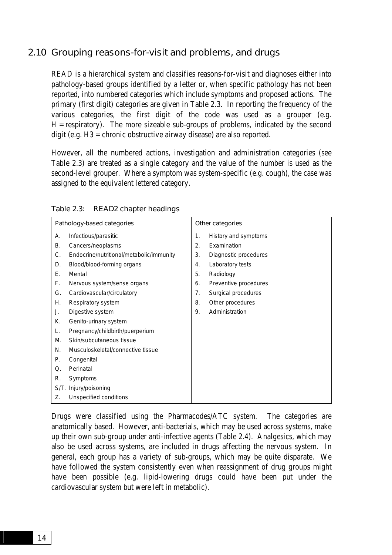### <span id="page-23-0"></span>2.10 Grouping reasons-for-visit and problems, and drugs

READ is a hierarchical system and classifies reasons-for-visit and diagnoses either into pathology-based groups identified by a letter or, when specific pathology has not been reported, into numbered categories which include symptoms and proposed actions. The primary (first digit) categories are given in Table 2.3. In reporting the frequency of the various categories, the first digit of the code was used as a grouper (e.g.  $H =$  respiratory). The more sizeable sub-groups of problems, indicated by the second digit (e.g. H3 = chronic obstructive airway disease) are also reported.

However, all the numbered actions, investigation and administration categories (see Table 2.3) are treated as a single category and the value of the number is used as the second-level grouper. Where a symptom was system-specific (e.g. cough), the case was assigned to the equivalent lettered category.

| Pathology-based categories |                                                                                                  |                | Other categories                                                    |  |  |
|----------------------------|--------------------------------------------------------------------------------------------------|----------------|---------------------------------------------------------------------|--|--|
| А.<br>В.<br>C.             | Infectious/parasitic<br>Cancers/neoplasms<br>Endocrine/nutritional/metabolic/immunity            | 1.<br>2.<br>3. | History and symptoms<br><b>Fxamination</b><br>Diagnostic procedures |  |  |
| D.<br>Е.                   | Blood/blood-forming organs<br>Mental                                                             | 4.<br>5.       | Laboratory tests<br>Radiology                                       |  |  |
| F.<br>G.<br>Η.             | Nervous system/sense organs<br>Cardiovascular/circulatory<br>Respiratory system                  | 6.<br>7.<br>8. | Preventive procedures<br>Surgical procedures<br>Other procedures    |  |  |
| J.<br>К.                   | Digestive system<br>Genito-urinary system                                                        | 9.             | Administration                                                      |  |  |
| L.<br>Μ.<br>N.             | Pregnancy/childbirth/puerperium<br>Skin/subcutaneous tissue<br>Musculoskeletal/connective tissue |                |                                                                     |  |  |
| Р.<br>Q.                   | Congenital<br>Perinatal                                                                          |                |                                                                     |  |  |
| R.<br>S/T.<br>Z.           | Symptoms<br>Injury/poisoning<br>Unspecified conditions                                           |                |                                                                     |  |  |

Drugs were classified using the Pharmacodes/ATC system. The categories are anatomically based. However, anti-bacterials, which may be used across systems, make up their own sub-group under anti-infective agents (Table 2.4). Analgesics, which may also be used across systems, are included in drugs affecting the nervous system. In general, each group has a variety of sub-groups, which may be quite disparate. We have followed the system consistently even when reassignment of drug groups might have been possible (e.g. lipid-lowering drugs could have been put under the cardiovascular system but were left in metabolic).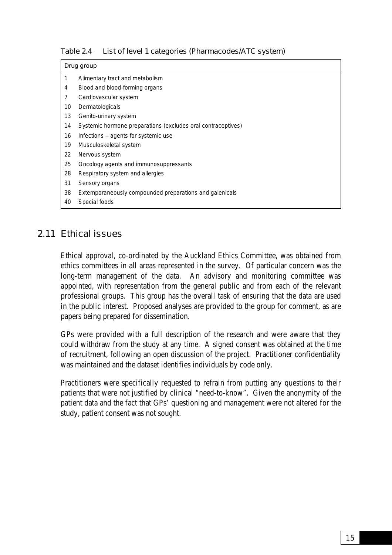<span id="page-24-0"></span>

|  |  |  | Table 2.4 List of level 1 categories (Pharmacodes/ATC system) |  |
|--|--|--|---------------------------------------------------------------|--|
|--|--|--|---------------------------------------------------------------|--|

|    | Drug group                                                   |  |  |  |  |
|----|--------------------------------------------------------------|--|--|--|--|
| 1  | Alimentary tract and metabolism                              |  |  |  |  |
| 4  | Blood and blood-forming organs                               |  |  |  |  |
| 7  | Cardiovascular system                                        |  |  |  |  |
| 10 | Dermatologicals                                              |  |  |  |  |
| 13 | Genito-urinary system                                        |  |  |  |  |
| 14 | Systemic hormone preparations (excludes oral contraceptives) |  |  |  |  |
| 16 | Infections – agents for systemic use                         |  |  |  |  |
| 19 | Musculoskeletal system                                       |  |  |  |  |
| 22 | Nervous system                                               |  |  |  |  |
| 25 | Oncology agents and immunosuppressants                       |  |  |  |  |
| 28 | Respiratory system and allergies                             |  |  |  |  |
| 31 | Sensory organs                                               |  |  |  |  |
| 38 | Extemporaneously compounded preparations and galenicals      |  |  |  |  |
| 40 | Special foods                                                |  |  |  |  |

### 2.11 Ethical issues

Ethical approval, co-ordinated by the Auckland Ethics Committee, was obtained from ethics committees in all areas represented in the survey. Of particular concern was the long-term management of the data. An advisory and monitoring committee was appointed, with representation from the general public and from each of the relevant professional groups. This group has the overall task of ensuring that the data are used in the public interest. Proposed analyses are provided to the group for comment, as are papers being prepared for dissemination.

GPs were provided with a full description of the research and were aware that they could withdraw from the study at any time. A signed consent was obtained at the time of recruitment, following an open discussion of the project. Practitioner confidentiality was maintained and the dataset identifies individuals by code only.

Practitioners were specifically requested to refrain from putting any questions to their patients that were not justified by clinical "need-to-know". Given the anonymity of the patient data and the fact that GPs' questioning and management were not altered for the study, patient consent was not sought.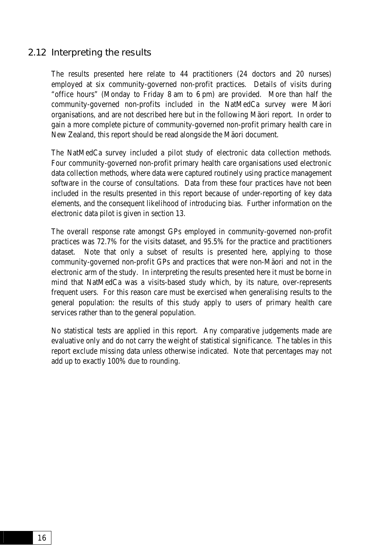#### <span id="page-25-0"></span>2.12 Interpreting the results

The results presented here relate to 44 practitioners (24 doctors and 20 nurses) employed at six community-governed non-profit practices. Details of visits during "office hours" (Monday to Friday 8 am to 6 pm) are provided. More than half the community-governed non-profits included in the NatMedCa survey were Mäori organisations, and are not described here but in the following Mäori report. In order to gain a more complete picture of community-governed non-profit primary health care in New Zealand, this report should be read alongside the Mäori document.

The NatMedCa survey included a pilot study of electronic data collection methods. Four community-governed non-profit primary health care organisations used electronic data collection methods, where data were captured routinely using practice management software in the course of consultations. Data from these four practices have not been included in the results presented in this report because of under-reporting of key data elements, and the consequent likelihood of introducing bias. Further information on the electronic data pilot is given in section 13.

The overall response rate amongst GPs employed in community-governed non-profit practices was 72.7% for the visits dataset, and 95.5% for the practice and practitioners dataset. Note that only a subset of results is presented here, applying to those community-governed non-profit GPs and practices that were non-Mäori and not in the electronic arm of the study. In interpreting the results presented here it must be borne in mind that NatMedCa was a visits-based study which, by its nature, over-represents frequent users. For this reason care must be exercised when generalising results to the general population: the results of this study apply to users of primary health care services rather than to the general population.

No statistical tests are applied in this report. Any comparative judgements made are evaluative only and do not carry the weight of statistical significance. The tables in this report exclude missing data unless otherwise indicated. Note that percentages may not add up to exactly 100% due to rounding.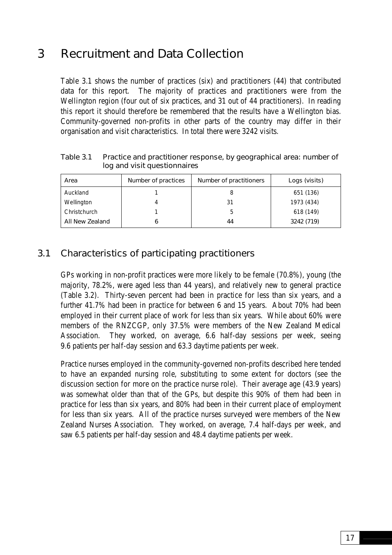## <span id="page-26-0"></span>3 Recruitment and Data Collection

Table 3.1 shows the number of practices (six) and practitioners (44) that contributed data for this report. The majority of practices and practitioners were from the Wellington region (four out of six practices, and 31 out of 44 practitioners). In reading this report it should therefore be remembered that the results have a Wellington bias. Community-governed non-profits in other parts of the country may differ in their organisation and visit characteristics. In total there were 3242 visits.

Area **Number of practices | Number of practitioners | Logs (visits)** Auckland | 1 1 | 8 | 651 (136) Wellington | 4 | 31 | 1973 (434) Christchurch 1 1 5 618 (149) All New Zealand 6 44 3242 (719)

Table 3.1 Practice and practitioner response, by geographical area: number of log and visit questionnaires

### 3.1 Characteristics of participating practitioners

GPs working in non-profit practices were more likely to be female (70.8%), young (the majority, 78.2%, were aged less than 44 years), and relatively new to general practice (Table 3.2). Thirty-seven percent had been in practice for less than six years, and a further 41.7% had been in practice for between 6 and 15 years. About 70% had been employed in their current place of work for less than six years. While about 60% were members of the RNZCGP, only 37.5% were members of the New Zealand Medical Association. They worked, on average, 6.6 half-day sessions per week, seeing 9.6 patients per half-day session and 63.3 daytime patients per week.

Practice nurses employed in the community-governed non-profits described here tended to have an expanded nursing role, substituting to some extent for doctors (see the discussion section for more on the practice nurse role). Their average age (43.9 years) was somewhat older than that of the GPs, but despite this 90% of them had been in practice for less than six years, and 80% had been in their current place of employment for less than six years. All of the practice nurses surveyed were members of the New Zealand Nurses Association. They worked, on average, 7.4 half-days per week, and saw 6.5 patients per half-day session and 48.4 daytime patients per week.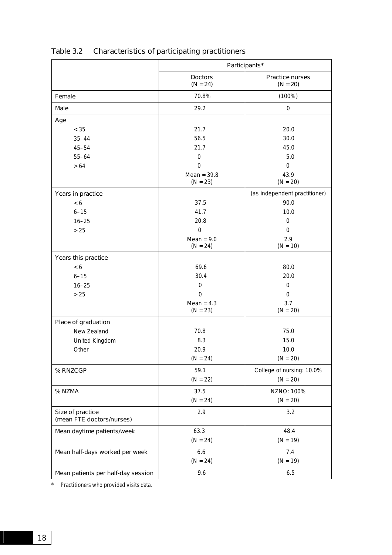|                                               | Participants*                |                               |
|-----------------------------------------------|------------------------------|-------------------------------|
|                                               | <b>Doctors</b><br>$(N = 24)$ | Practice nurses<br>$(N = 20)$ |
| Female                                        | 70.8%                        | (100%)                        |
| <b>Male</b>                                   | 29.2                         | $\mathbf 0$                   |
| Age                                           |                              |                               |
| $< 35$                                        | 21.7                         | 20.0                          |
| $35 - 44$                                     | 56.5                         | 30.0                          |
| $45 - 54$                                     | 21.7                         | 45.0                          |
| $55 - 64$                                     | $\mathbf 0$                  | 5.0                           |
| $>64$                                         | $\mathbf 0$                  | $\mathbf 0$                   |
|                                               | Mean = $39.8$<br>$(N = 23)$  | 43.9<br>$(N = 20)$            |
| Years in practice                             |                              | (as independent practitioner) |
| < 6                                           | 37.5                         | 90.0                          |
| $6 - 15$                                      | 41.7                         | 10.0                          |
| $16 - 25$                                     | 20.8                         | 0                             |
| >25                                           | $\Omega$                     | $\mathbf 0$                   |
|                                               | Mean = $9.0$<br>$(N = 24)$   | 2.9<br>$(N = 10)$             |
| Years this practice                           |                              |                               |
| < 6                                           | 69.6                         | 80.0                          |
| $6 - 15$                                      | 30.4                         | 20.0                          |
| $16 - 25$                                     | 0                            | $\mathbf 0$                   |
| >25                                           | $\Omega$                     | $\mathbf 0$                   |
|                                               | Mean = $4.3$<br>$(N = 23)$   | 3.7<br>$(N = 20)$             |
| Place of graduation                           |                              |                               |
| New Zealand                                   | 70.8                         | 75.0                          |
| United Kingdom                                | 8.3                          | 15.0                          |
| Other                                         | 20.9                         | 10.0                          |
|                                               | $(N = 24)$                   | $(N = 20)$                    |
| % RNZCGP                                      | 59.1                         | College of nursing: 10.0%     |
|                                               | $(N = 22)$                   | $(N = 20)$                    |
| % NZMA                                        | 37.5                         | NZNO: 100%                    |
|                                               | $(N = 24)$                   | $(N = 20)$                    |
| Size of practice<br>(mean FTE doctors/nurses) | 2.9                          | 3.2                           |
| Mean daytime patients/week                    | 63.3                         | 48.4                          |
|                                               | $(N = 24)$                   | $(N = 19)$                    |
| Mean half-days worked per week                | 6.6                          | 7.4                           |
|                                               | $(N = 24)$                   | $(N = 19)$                    |
| Mean patients per half-day session            | 9.6                          | $6.5\,$                       |

## Table 3.2 Characteristics of participating practitioners

\* Practitioners who provided visits data.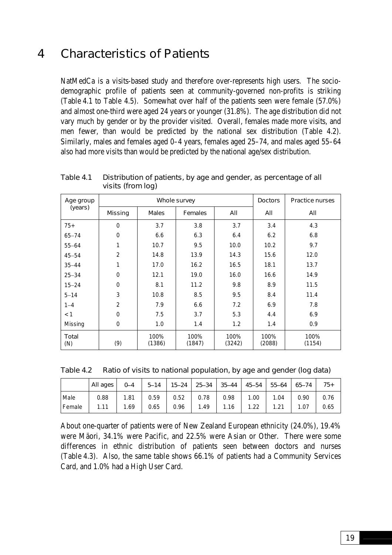## <span id="page-28-0"></span>4 Characteristics of Patients

NatMedCa is a visits-based study and therefore over-represents high users. The sociodemographic profile of patients seen at community-governed non-profits is striking (Table 4.1 to Table 4.5). Somewhat over half of the patients seen were female (57.0%) and almost one-third were aged 24 years or younger (31.8%). The age distribution did not vary much by gender or by the provider visited. Overall, females made more visits, and men fewer, than would be predicted by the national sex distribution (Table 4.2). Similarly, males and females aged 0–4 years, females aged 25–74, and males aged 55–64 also had more visits than would be predicted by the national age/sex distribution.

| Age group    |                | Whole survey   | <b>Doctors</b> | <b>Practice nurses</b> |                |                |
|--------------|----------------|----------------|----------------|------------------------|----------------|----------------|
| (years)      | <b>Missing</b> | <b>Males</b>   | <b>Females</b> | All                    | All            | All            |
| $75+$        | 0              | 3.7            | 3.8            | 3.7                    | 3.4            | 4.3            |
| $65 - 74$    | $\mathbf 0$    | 6.6            | 6.3            | 6.4                    | 6.2            | 6.8            |
| $55 - 64$    | 1              | 10.7           | 9.5            | 10.0                   | 10.2           | 9.7            |
| $45 - 54$    | $\overline{2}$ | 14.8           | 13.9           | 14.3                   | 15.6           | 12.0           |
| $35 - 44$    | 1              | 17.0           | 16.2           | 16.5                   | 18.1           | 13.7           |
| $25 - 34$    | $\Omega$       | 12.1           | 19.0           | 16.0                   | 16.6           | 14.9           |
| $15 - 24$    | $\Omega$       | 8.1            | 11.2           | 9.8                    | 8.9            | 11.5           |
| $5 - 14$     | 3              | 10.8           | 8.5            | 9.5                    | 8.4            | 11.4           |
| $1 - 4$      | $\overline{2}$ | 7.9            | 6.6            | 7.2                    | 6.9            | 7.8            |
| < 1          | $\Omega$       | 7.5            | 3.7            | 5.3                    | 4.4            | 6.9            |
| Missing      | $\mathbf 0$    | 1.0            | 1.4            | 1.2                    | 1.4            | 0.9            |
| Total<br>(N) | (9)            | 100%<br>(1386) | 100%<br>(1847) | 100%<br>(3242)         | 100%<br>(2088) | 100%<br>(1154) |

Table 4.1 Distribution of patients, by age and gender, as percentage of all visits (from log)

| Ratio of visits to national population, by age and gender (log data) | Table 4.2 |  |  |  |  |
|----------------------------------------------------------------------|-----------|--|--|--|--|
|----------------------------------------------------------------------|-----------|--|--|--|--|

|          | All ages | $0 - 4$ | $5 - 14$ | $15 - 24$ |      | 25-34 35-44 | 45–54 | $55 - 64$ | 65–74 | $75+$ |
|----------|----------|---------|----------|-----------|------|-------------|-------|-----------|-------|-------|
| Male     | 0.88     | 1.81    | 0.59     | 0.52      | 0.78 | 0.98        | 1.00  | 1.04      | 0.90  | 0.76  |
| l Female | 1.11     | 1.69    | 0.65     | 0.96      | 1.49 | .16         | 1.22  | 1.21      | .07   | 0.65  |

About one-quarter of patients were of New Zealand European ethnicity (24.0%), 19.4% were Mäori, 34.1% were Pacific, and 22.5% were Asian or Other. There were some differences in ethnic distribution of patients seen between doctors and nurses (Table 4.3). Also, the same table shows 66.1% of patients had a Community Services Card, and 1.0% had a High User Card.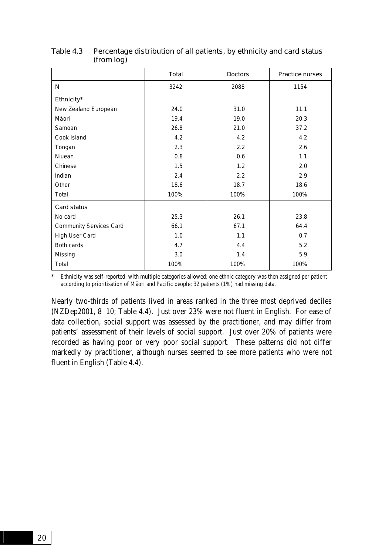|                                | <b>Total</b> | <b>Doctors</b> | Practice nurses |
|--------------------------------|--------------|----------------|-----------------|
| N                              | 3242         | 2088           | 1154            |
| Ethnicity*                     |              |                |                 |
| New Zealand European           | 24.0         | 31.0           | 11.1            |
| Mäori                          | 19.4         | 19.0           | 20.3            |
| Samoan                         | 26.8         | 21.0           | 37.2            |
| Cook Island                    | 4.2          | 4.2            | 4.2             |
| Tongan                         | 2.3          | 2.2            | 2.6             |
| Niuean                         | 0.8          | 0.6            | 1.1             |
| Chinese                        | 1.5          | 1.2            | 2.0             |
| Indian                         | 2.4          | 2.2            | 2.9             |
| Other                          | 18.6         | 18.7           | 18.6            |
| Total                          | 100%         | 100%           | 100%            |
| Card status                    |              |                |                 |
| No card                        | 25.3         | 26.1           | 23.8            |
| <b>Community Services Card</b> | 66.1         | 67.1           | 64.4            |
| High User Card                 | 1.0          | 1.1            | 0.7             |
| Both cards                     | 4.7          | 4.4            | 5.2             |
| Missing                        | 3.0          | 1.4            | 5.9             |
| Total                          | 100%         | 100%           | 100%            |

#### Table 4.3 Percentage distribution of all patients, by ethnicity and card status (from log)

Ethnicity was self-reported, with multiple categories allowed; one ethnic category was then assigned per patient according to prioritisation of Mäori and Pacific people; 32 patients (1%) had missing data.

Nearly two-thirds of patients lived in areas ranked in the three most deprived deciles (NZDep2001, 8−10; Table 4.4). Just over 23% were not fluent in English. For ease of data collection, social support was assessed by the practitioner, and may differ from patients' assessment of their levels of social support. Just over 20% of patients were recorded as having poor or very poor social support. These patterns did not differ markedly by practitioner, although nurses seemed to see more patients who were not fluent in English (Table 4.4).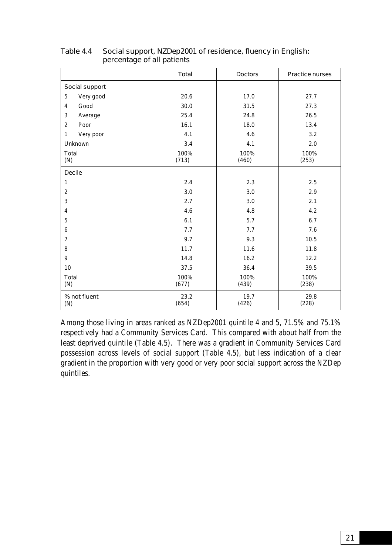|                           | Total         | <b>Doctors</b> | <b>Practice nurses</b> |
|---------------------------|---------------|----------------|------------------------|
| Social support            |               |                |                        |
| 5<br>Very good            | 20.6          | 17.0           | 27.7                   |
| $\overline{4}$<br>Good    | 30.0          | 31.5           | 27.3                   |
| 3<br>Average              | 25.4          | 24.8           | 26.5                   |
| 2<br>Poor                 | 16.1          | 18.0           | 13.4                   |
| $\mathbf{1}$<br>Very poor | 4.1           | 4.6            | 3.2                    |
| Unknown                   | 3.4           | 4.1            | 2.0                    |
| Total<br>(N)              | 100%<br>(713) | 100%<br>(460)  | 100%<br>(253)          |
| <b>Decile</b>             |               |                |                        |
| 1                         | 2.4           | 2.3            | 2.5                    |
| $\overline{2}$            | 3.0           | 3.0            | 2.9                    |
| 3                         | 2.7           | 3.0            | 2.1                    |
| 4                         | 4.6           | 4.8            | 4.2                    |
| 5                         | 6.1           | 5.7            | 6.7                    |
| 6                         | 7.7           | 7.7            | 7.6                    |
| $\overline{7}$            | 9.7           | 9.3            | 10.5                   |
| 8                         | 11.7          | 11.6           | 11.8                   |
| 9                         | 14.8          | 16.2           | 12.2                   |
| 10                        | 37.5          | 36.4           | 39.5                   |
| Total<br>(N)              | 100%<br>(677) | 100%<br>(439)  | 100%<br>(238)          |
| % not fluent<br>(N)       | 23.2<br>(654) | 19.7<br>(426)  | 29.8<br>(228)          |

#### Table 4.4 Social support, NZDep2001 of residence, fluency in English: percentage of all patients

Among those living in areas ranked as NZDep2001 quintile 4 and 5, 71.5% and 75.1% respectively had a Community Services Card. This compared with about half from the least deprived quintile (Table 4.5). There was a gradient in Community Services Card possession across levels of social support (Table 4.5), but less indication of a clear gradient in the proportion with very good or very poor social support across the NZDep quintiles.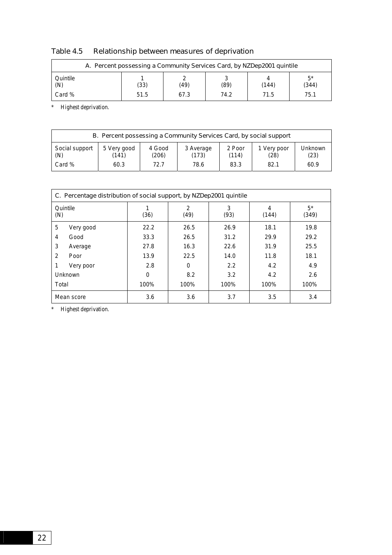| A. Percent possessing a Community Services Card, by NZDep2001 quintile |  |     |      |      |       |             |  |
|------------------------------------------------------------------------|--|-----|------|------|-------|-------------|--|
| Quintile<br>(N)                                                        |  | 33) | (49) | (89) | (144) | г*<br>(344) |  |

Card % 75.1 51.5 67.3 74.2 71.5 71.5

#### Table 4.5 Relationship between measures of deprivation

\* Highest deprivation.

| B. Percent possessing a Community Services Card, by social support |             |        |           |        |             |         |  |
|--------------------------------------------------------------------|-------------|--------|-----------|--------|-------------|---------|--|
| Social support                                                     | 5 Very good | 4 Good | 3 Average | 2 Poor | 1 Very poor | Unknown |  |
| (N)                                                                | (141)       | (206)  | (173)     | (114)  | (28)        | (23)    |  |
| Card %                                                             | 60.3        | 72.7   | 78.6      | 83.3   | 82.1        | 60.9    |  |

| C. Percentage distribution of social support, by NZDep2001 quintile |          |           |           |            |                |  |  |
|---------------------------------------------------------------------|----------|-----------|-----------|------------|----------------|--|--|
| Quintile<br>(N)                                                     | (36)     | 2<br>(49) | 3<br>(93) | 4<br>(144) | $5^*$<br>(349) |  |  |
| 5<br>Very good                                                      | 22.2     | 26.5      | 26.9      | 18.1       | 19.8           |  |  |
| Good<br>4                                                           | 33.3     | 26.5      | 31.2      | 29.9       | 29.2           |  |  |
| 3<br>Average                                                        | 27.8     | 16.3      | 22.6      | 31.9       | 25.5           |  |  |
| 2<br>Poor                                                           | 13.9     | 22.5      | 14.0      | 11.8       | 18.1           |  |  |
| Very poor                                                           | 2.8      | $\Omega$  | 2.2       | 4.2        | 4.9            |  |  |
| Unknown                                                             | $\Omega$ | 8.2       | 3.2       | 4.2        | 2.6            |  |  |
| Total                                                               | 100%     | 100%      | 100%      | 100%       | 100%           |  |  |
| Mean score                                                          | 3.6      | 3.6       | 3.7       | 3.5        | 3.4            |  |  |

\* Highest deprivation.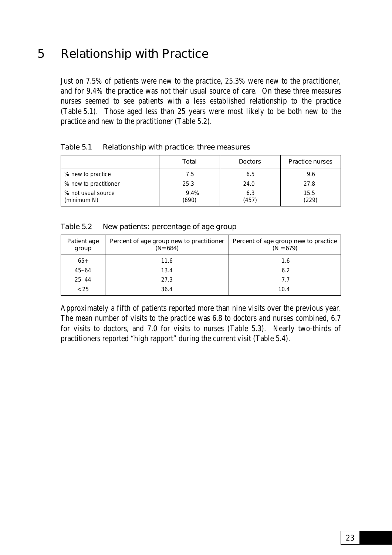## <span id="page-32-0"></span>5 Relationship with Practice

Just on 7.5% of patients were new to the practice, 25.3% were new to the practitioner, and for 9.4% the practice was not their usual source of care. On these three measures nurses seemed to see patients with a less established relationship to the practice (Table 5.1). Those aged less than 25 years were most likely to be both new to the practice and new to the practitioner (Table 5.2).

|                                   | Total         | <b>Doctors</b> | <b>Practice nurses</b> |
|-----------------------------------|---------------|----------------|------------------------|
| % new to practice                 | 7.5           | 6.5            | 9.6                    |
| % new to practitioner             | 25.3          | 24.0           | 27.8                   |
| % not usual source<br>(minimum N) | 9.4%<br>(690) | 6.3<br>(457)   | 15.5<br>(229)          |

#### Table 5.1 Relationship with practice: three measures

| New patients: percentage of age group |
|---------------------------------------|
|                                       |

| Patient age<br>group | Percent of age group new to practitioner<br>$(N = 684)$ | Percent of age group new to practice<br>$(N = 679)$ |
|----------------------|---------------------------------------------------------|-----------------------------------------------------|
| $65+$                | 11.6                                                    | 1.6                                                 |
| $45 - 64$            | 13.4                                                    | 6.2                                                 |
| $25 - 44$            | 27.3                                                    | 7.7                                                 |
| < 25                 | 36.4                                                    | 10.4                                                |

Approximately a fifth of patients reported more than nine visits over the previous year. The mean number of visits to the practice was 6.8 to doctors and nurses combined, 6.7 for visits to doctors, and 7.0 for visits to nurses (Table 5.3). Nearly two-thirds of practitioners reported "high rapport" during the current visit (Table 5.4).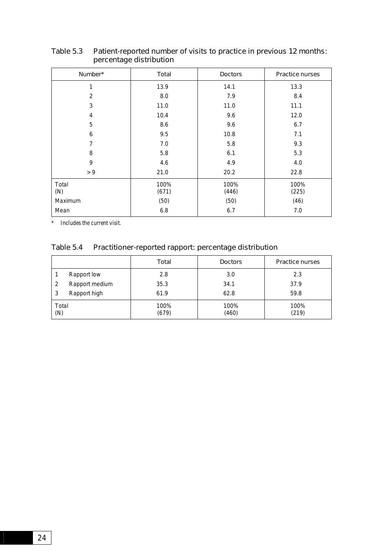| Number*        | Total         | <b>Doctors</b> | <b>Practice nurses</b> |
|----------------|---------------|----------------|------------------------|
| 1              | 13.9          | 14.1           | 13.3                   |
| $\overline{2}$ | 8.0           | 7.9            | 8.4                    |
| 3              | 11.0          | 11.0           | 11.1                   |
| 4              | 10.4          | 9.6            | 12.0                   |
| 5              | 8.6           | 9.6            | 6.7                    |
| 6              | 9.5           | 10.8           | 7.1                    |
| $\overline{7}$ | 7.0           | 5.8            | 9.3                    |
| 8              | 5.8           | 6.1            | 5.3                    |
| 9              | 4.6           | 4.9            | 4.0                    |
| > 9            | 21.0          | 20.2           | 22.8                   |
| Total<br>(N)   | 100%<br>(671) | 100%<br>(446)  | 100%<br>(225)          |
| Maximum        | (50)          | (50)           | (46)                   |
| Mean           | 6.8           | 6.7            | 7.0                    |

#### Table 5.3 Patient-reported number of visits to practice in previous 12 months: percentage distribution

\* Includes the current visit.

#### Table 5.4 Practitioner-reported rapport: percentage distribution

|              |                | Total         | <b>Doctors</b> | <b>Practice nurses</b> |
|--------------|----------------|---------------|----------------|------------------------|
|              | Rapport low    | 2.8           | 3.0            | 2.3                    |
|              | Rapport medium | 35.3          | 34.1           | 37.9                   |
| 3            | Rapport high   | 61.9          | 62.8           | 59.8                   |
| Total<br>(N) |                | 100%<br>(679) | 100%<br>(460)  | 100%<br>(219)          |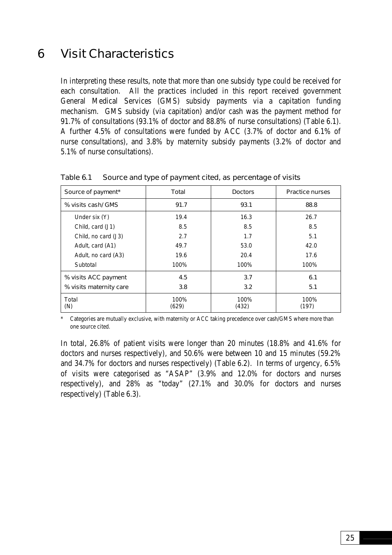## <span id="page-34-0"></span>6 Visit Characteristics

In interpreting these results, note that more than one subsidy type could be received for each consultation. All the practices included in this report received government General Medical Services (GMS) subsidy payments via a capitation funding mechanism. GMS subsidy (via capitation) and/or cash was the payment method for 91.7% of consultations (93.1% of doctor and 88.8% of nurse consultations) (Table 6.1). A further 4.5% of consultations were funded by ACC (3.7% of doctor and 6.1% of nurse consultations), and 3.8% by maternity subsidy payments (3.2% of doctor and 5.1% of nurse consultations).

| Source of payment*      | Total         | <b>Doctors</b> | <b>Practice nurses</b> |
|-------------------------|---------------|----------------|------------------------|
| % visits cash/ GMS      | 91.7          | 93.1           | 88.8                   |
| Under six (Y)           | 19.4          | 16.3           | 26.7                   |
| Child, card (J1)        | 8.5           | 8.5            | 8.5                    |
| Child, no card (J3)     | 2.7           | 1.7            | 5.1                    |
| Adult, card (A1)        | 49.7          | 53.0           | 42.0                   |
| Adult, no card (A3)     | 19.6          | 20.4           | 17.6                   |
| Subtotal                | 100%          | 100%           | 100%                   |
| % visits ACC payment    | 4.5           | 3.7            | 6.1                    |
| % visits maternity care | 3.8           | 3.2            | 5.1                    |
| Total<br>(N)            | 100%<br>(629) | 100%<br>(432)  | 100%<br>(197)          |

Table 6.1 Source and type of payment cited, as percentage of visits

Categories are mutually exclusive, with maternity or ACC taking precedence over cash/GMS where more than one source cited.

In total, 26.8% of patient visits were longer than 20 minutes (18.8% and 41.6% for doctors and nurses respectively), and 50.6% were between 10 and 15 minutes (59.2% and 34.7% for doctors and nurses respectively) (Table 6.2). In terms of urgency, 6.5% of visits were categorised as "ASAP" (3.9% and 12.0% for doctors and nurses respectively), and 28% as "today" (27.1% and 30.0% for doctors and nurses respectively) (Table 6.3).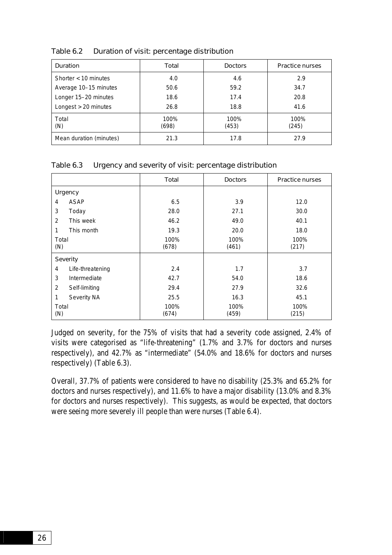| Duration                | Total         | <b>Doctors</b> | <b>Practice nurses</b> |
|-------------------------|---------------|----------------|------------------------|
| Shorter $<$ 10 minutes  | 4.0           | 4.6            | 2.9                    |
| Average 10-15 minutes   | 50.6          | 59.2           | 34.7                   |
| Longer 15-20 minutes    | 18.6          | 17.4           | 20.8                   |
| Longest > 20 minutes    | 26.8          | 18.8           | 41.6                   |
| Total<br>(N)            | 100%<br>(698) | 100%<br>(453)  | 100%<br>(245)          |
| Mean duration (minutes) | 21.3          | 17.8           | 27.9                   |

Table 6.2 Duration of visit: percentage distribution

#### Table 6.3 Urgency and severity of visit: percentage distribution

|                 |                  | Total         | <b>Doctors</b> | <b>Practice nurses</b> |
|-----------------|------------------|---------------|----------------|------------------------|
| <b>Urgency</b>  |                  |               |                |                        |
| 4               | <b>ASAP</b>      | 6.5           | 3.9            | 12.0                   |
| 3               | Today            | 28.0          | 27.1           | 30.0                   |
| 2               | This week        | 46.2          | 49.0           | 40.1                   |
| 1               | This month       | 19.3          | 20.0           | 18.0                   |
| Total<br>(N)    |                  | 100%<br>(678) | 100%<br>(461)  | 100%<br>(217)          |
| <b>Severity</b> |                  |               |                |                        |
| 4               | Life-threatening | 2.4           | 1.7            | 3.7                    |
| 3               | Intermediate     | 42.7          | 54.0           | 18.6                   |
| 2               | Self-limiting    | 29.4          | 27.9           | 32.6                   |
| 1               | Severity NA      | 25.5          | 16.3           | 45.1                   |
| Total<br>(N)    |                  | 100%<br>(674) | 100%<br>(459)  | 100%<br>(215)          |

Judged on severity, for the 75% of visits that had a severity code assigned, 2.4% of visits were categorised as "life-threatening" (1.7% and 3.7% for doctors and nurses respectively), and 42.7% as "intermediate" (54.0% and 18.6% for doctors and nurses respectively) (Table 6.3).

Overall, 37.7% of patients were considered to have no disability (25.3% and 65.2% for doctors and nurses respectively), and 11.6% to have a major disability (13.0% and 8.3% for doctors and nurses respectively). This suggests, as would be expected, that doctors were seeing more severely ill people than were nurses (Table 6.4).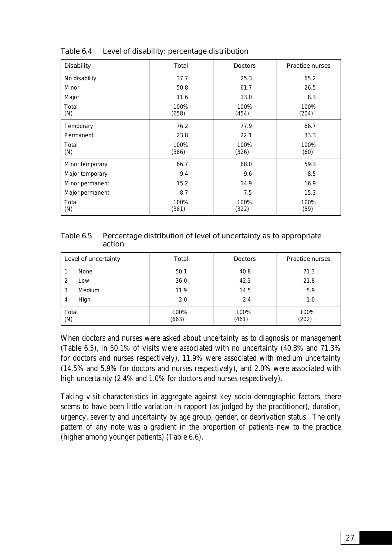| <b>Disability</b> | <b>Total</b>                   | <b>Doctors</b> | <b>Practice nurses</b> |
|-------------------|--------------------------------|----------------|------------------------|
| No disability     | 37.7                           | 25.3           | 65.2                   |
| Minor             | 50.8                           | 61.7           | 26.5                   |
| Major             | 11.6                           | 13.0           | 8.3                    |
| Total<br>(N)      | 100%<br>100%<br>(658)<br>(454) |                | 100%<br>(204)          |
| Temporary         | 76.2                           | 77.9           | 66.7                   |
| Permanent         | 23.8                           | 22.1           | 33.3                   |
| Total<br>(N)      | 100%<br>(386)                  | 100%<br>(326)  | 100%<br>(60)           |
| Minor temporary   | 66.7                           | 68.0           | 59.3                   |
| Major temporary   | 9.4                            | 9.6            | 8.5                    |
| Minor permanent   | 15.2                           | 14.9           | 16.9                   |
| Major permanent   | 8.7                            | 7.5            | 15.3                   |
| Total<br>(N)      | 100%<br>(381)                  | 100%<br>(322)  | 100%<br>(59)           |

Table 6.4 Level of disability: percentage distribution

| Table 6.5 | Percentage distribution of level of uncertainty as to appropriate |
|-----------|-------------------------------------------------------------------|
|           | action                                                            |

| Level of uncertainty |        | Total         | <b>Doctors</b> | <b>Practice nurses</b> |
|----------------------|--------|---------------|----------------|------------------------|
|                      | None   | 50.1          | 40.8           | 71.3                   |
| 2                    | Low    | 36.0          | 42.3           | 21.8                   |
| 3                    | Medium | 11.9          | 14.5           | 5.9                    |
| 4                    | High   | 2.0           | 2.4            | 1.0                    |
| Total<br>(N)         |        | 100%<br>(663) | 100%<br>(461)  | 100%<br>(202)          |

When doctors and nurses were asked about uncertainty as to diagnosis or management (Table 6.5), in 50.1% of visits were associated with no uncertainty (40.8% and 71.3% for doctors and nurses respectively), 11.9% were associated with medium uncertainty (14.5% and 5.9% for doctors and nurses respectively), and 2.0% were associated with high uncertainty (2.4% and 1.0% for doctors and nurses respectively).

Taking visit characteristics in aggregate against key socio-demographic factors, there seems to have been little variation in rapport (as judged by the practitioner), duration, urgency, severity and uncertainty by age group, gender, or deprivation status. The only pattern of any note was a gradient in the proportion of patients new to the practice (higher among younger patients) (Table 6.6).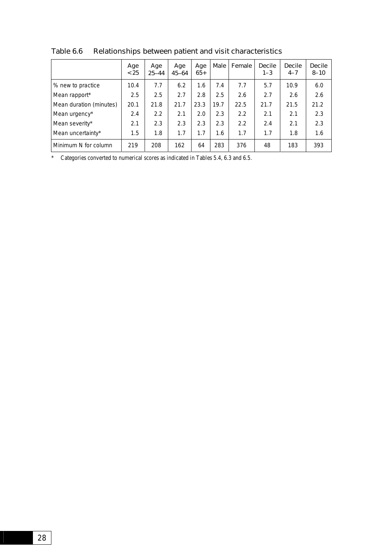|                         | Age<br>< 25 | Age<br>$25 - 44$ | Age<br>$45 - 64$ | Age<br>$65+$ | Male | Female | <b>Decile</b><br>$1 - 3$ | <b>Decile</b><br>$4 - 7$ | <b>Decile</b><br>$8 - 10$ |
|-------------------------|-------------|------------------|------------------|--------------|------|--------|--------------------------|--------------------------|---------------------------|
| % new to practice       | 10.4        | 7.7              | 6.2              | 1.6          | 7.4  | 7.7    | 5.7                      | 10.9                     | 6.0                       |
| Mean rapport*           | 2.5         | 2.5              | 2.7              | 2.8          | 2.5  | 2.6    | 2.7                      | 2.6                      | 2.6                       |
| Mean duration (minutes) | 20.1        | 21.8             | 21.7             | 23.3         | 19.7 | 22.5   | 21.7                     | 21.5                     | 21.2                      |
| Mean urgency*           | 2.4         | 2.2              | 2.1              | 2.0          | 2.3  | 2.2    | 2.1                      | 2.1                      | 2.3                       |
| Mean severity*          | 2.1         | 2.3              | 2.3              | 2.3          | 2.3  | 2.2    | 2.4                      | 2.1                      | 2.3                       |
| Mean uncertainty*       | 1.5         | 1.8              | 1.7              | 1.7          | 1.6  | 1.7    | 1.7                      | 1.8                      | 1.6                       |
| Minimum N for column    | 219         | 208              | 162              | 64           | 283  | 376    | 48                       | 183                      | 393                       |

Table 6.6 Relationships between patient and visit characteristics

\* Categories converted to numerical scores as indicated in Tables 5.4, 6.3 and 6.5.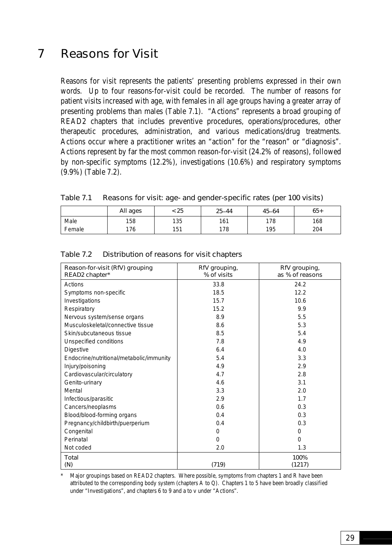# 7 Reasons for Visit

Reasons for visit represents the patients' presenting problems expressed in their own words. Up to four reasons-for-visit could be recorded. The number of reasons for patient visits increased with age, with females in all age groups having a greater array of presenting problems than males (Table 7.1). "Actions" represents a broad grouping of READ2 chapters that includes preventive procedures, operations/procedures, other therapeutic procedures, administration, and various medications/drug treatments. Actions occur where a practitioner writes an "action" for the "reason" or "diagnosis". Actions represent by far the most common reason-for-visit (24.2% of reasons), followed by non-specific symptoms (12.2%), investigations (10.6%) and respiratory symptoms (9.9%) (Table 7.2).

| Table 7.1 | Reasons for visit: age- and gender-specific rates (per 100 visits) |  |  |  |  |
|-----------|--------------------------------------------------------------------|--|--|--|--|
|-----------|--------------------------------------------------------------------|--|--|--|--|

|        | All ages | : 25 | $25 - 44$ | $45 - 64$ | $65+$ |
|--------|----------|------|-----------|-----------|-------|
| Male   | 158      | 135  | 161       | 178       | 168   |
| Female | 176      | 151  | 178       | 195       | 204   |

| Reason-for-visit (RfV) grouping<br>READ2 chapter* | RfV grouping,<br>% of visits | RfV grouping,<br>as % of reasons |
|---------------------------------------------------|------------------------------|----------------------------------|
| Actions                                           | 33.8                         | 24.2                             |
| Symptoms non-specific                             | 18.5                         | 12.2                             |
| Investigations                                    | 15.7                         | 10.6                             |
| Respiratory                                       | 15.2                         | 9.9                              |
| Nervous system/sense organs                       | 8.9                          | 5.5                              |
| Musculoskeletal/connective tissue                 | 8.6                          | 5.3                              |
| Skin/subcutaneous tissue                          | 8.5                          | 5.4                              |
| Unspecified conditions                            | 7.8                          | 4.9                              |
| Digestive                                         | 6.4                          | 4.0                              |
| Endocrine/nutritional/metabolic/immunity          | 5.4                          | 3.3                              |
| Injury/poisoning                                  | 4.9                          | 2.9                              |
| Cardiovascular/circulatory                        | 4.7                          | 2.8                              |
| Genito-urinary                                    | 4.6                          | 3.1                              |
| Mental                                            | 3.3                          | 2.0                              |
| Infectious/parasitic                              | 2.9                          | 1.7                              |
| Cancers/neoplasms                                 | 0.6                          | 0.3                              |
| Blood/blood-forming organs                        | 0.4                          | 0.3                              |
| Pregnancy/childbirth/puerperium                   | 0.4                          | 0.3                              |
| Congenital                                        | 0                            | 0                                |
| Perinatal                                         | $\Omega$                     | $\Omega$                         |
| Not coded                                         | 2.0                          | 1.3                              |
| <b>Total</b><br>(N)                               | (719)                        | 100%<br>(1217)                   |

Major groupings based on READ2 chapters. Where possible, symptoms from chapters 1 and R have been attributed to the corresponding body system (chapters A to Q). Chapters 1 to 5 have been broadly classified under "Investigations", and chapters 6 to 9 and a to v under "Actions".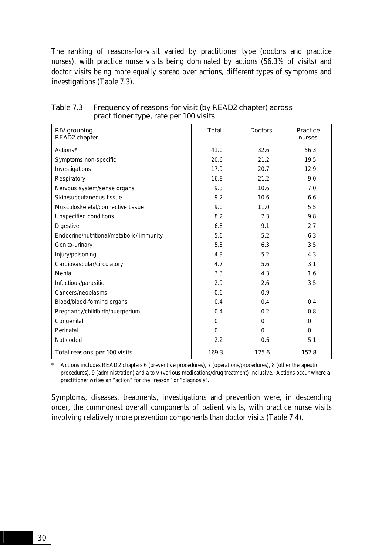The ranking of reasons-for-visit varied by practitioner type (doctors and practice nurses), with practice nurse visits being dominated by actions (56.3% of visits) and doctor visits being more equally spread over actions, different types of symptoms and investigations (Table 7.3).

| RfV grouping<br>READ2 chapter             | Total    | <b>Doctors</b> | Practice<br>nurses |
|-------------------------------------------|----------|----------------|--------------------|
| Actions*                                  | 41.0     | 32.6           | 56.3               |
| Symptoms non-specific                     | 20.6     | 21.2           | 19.5               |
| Investigations                            | 17.9     | 20.7           | 12.9               |
| Respiratory                               | 16.8     | 21.2           | 9.0                |
| Nervous system/sense organs               | 9.3      | 10.6           | 7.0                |
| Skin/subcutaneous tissue                  | 9.2      | 10.6           | 6.6                |
| Musculoskeletal/connective tissue         | 9.0      | 11.0           | 5.5                |
| Unspecified conditions                    | 8.2      | 7.3            | 9.8                |
| <b>Digestive</b>                          | 6.8      | 9.1            | 2.7                |
| Endocrine/nutritional/metabolic/ immunity | 5.6      | 5.2            | 6.3                |
| Genito-urinary                            | 5.3      | 6.3            | 3.5                |
| Injury/poisoning                          | 4.9      | 5.2            | 4.3                |
| Cardiovascular/circulatory                | 4.7      | 5.6            | 3.1                |
| Mental                                    | 3.3      | 4.3            | 1.6                |
| Infectious/parasitic                      | 2.9      | 2.6            | 3.5                |
| Cancers/neoplasms                         | 0.6      | 0.9            |                    |
| Blood/blood-forming organs                | 0.4      | 0.4            | 0.4                |
| Pregnancy/childbirth/puerperium           | 0.4      | 0.2            | 0.8                |
| Congenital                                | 0        | $\Omega$       | $\Omega$           |
| Perinatal                                 | $\Omega$ | $\Omega$       | $\Omega$           |
| Not coded                                 | 2.2      | 0.6            | 5.1                |
| Total reasons per 100 visits              | 169.3    | 175.6          | 157.8              |

Table 7.3 Frequency of reasons-for-visit (by READ2 chapter) across practitioner type, rate per 100 visits

\* Actions includes READ2 chapters 6 (preventive procedures), 7 (operations/procedures), 8 (other therapeutic procedures), 9 (administration) and a to v (various medications/drug treatment) inclusive. Actions occur where a practitioner writes an "action" for the "reason" or "diagnosis".

Symptoms, diseases, treatments, investigations and prevention were, in descending order, the commonest overall components of patient visits, with practice nurse visits involving relatively more prevention components than doctor visits (Table 7.4).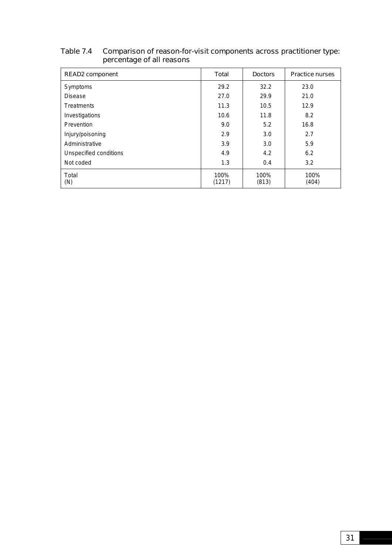| <b>READ2</b> component | Total          | <b>Doctors</b> | <b>Practice nurses</b> |
|------------------------|----------------|----------------|------------------------|
| Symptoms               | 29.2           | 32.2           | 23.0                   |
| <b>Disease</b>         | 27.0           | 29.9           | 21.0                   |
| <b>Treatments</b>      | 11.3           | 10.5           | 12.9                   |
| Investigations         | 10.6           | 11.8           | 8.2                    |
| Prevention             | 9.0            | 5.2            | 16.8                   |
| Injury/poisoning       | 2.9            | 3.0            | 2.7                    |
| Administrative         | 3.9            | 3.0            | 5.9                    |
| Unspecified conditions | 4.9            | 4.2            | 6.2                    |
| Not coded              | 1.3            | 0.4            | 3.2                    |
| Total<br>(N)           | 100%<br>(1217) | 100%<br>(813)  | 100%<br>(404)          |

#### Table 7.4 Comparison of reason-for-visit components across practitioner type: percentage of all reasons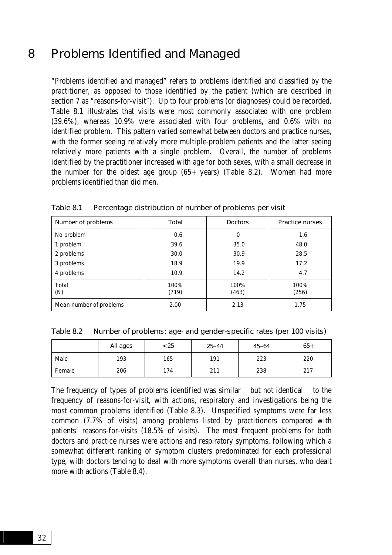# 8 Problems Identified and Managed

"Problems identified and managed" refers to problems identified and classified by the practitioner, as opposed to those identified by the patient (which are described in section 7 as "reasons-for-visit"). Up to four problems (or diagnoses) could be recorded. Table 8.1 illustrates that visits were most commonly associated with one problem (39.6%), whereas 10.9% were associated with four problems, and 0.6% with no identified problem. This pattern varied somewhat between doctors and practice nurses, with the former seeing relatively more multiple-problem patients and the latter seeing relatively more patients with a single problem. Overall, the number of problems identified by the practitioner increased with age for both sexes, with a small decrease in the number for the oldest age group (65+ years) (Table 8.2). Women had more problems identified than did men.

| Number of problems      | Total         | <b>Doctors</b> | <b>Practice nurses</b> |
|-------------------------|---------------|----------------|------------------------|
| No problem              | 0.6           | 0              | 1.6                    |
| 1 problem               | 39.6          | 35.0           | 48.0                   |
| 2 problems              | 30.0          | 30.9           | 28.5                   |
| 3 problems              | 18.9          | 19.9           | 17.2                   |
| 4 problems              | 10.9          | 14.2           | 4.7                    |
| Total<br>(N)            | 100%<br>(719) | 100%<br>(463)  | 100%<br>(256)          |
| Mean number of problems | 2.00          | 2.13           | 1.75                   |

Table 8.1 Percentage distribution of number of problems per visit

Table 8.2 Number of problems: age- and gender-specific rates (per 100 visits)

|        | All ages | < 25 | $25 - 44$ | $45 - 64$ | $65+$ |
|--------|----------|------|-----------|-----------|-------|
| Male   | 193      | 165  | 191       | 223       | 220   |
| Female | 206      | 174  | 211       | 238       | 217   |

The frequency of types of problems identified was similar − but not identical − to the frequency of reasons-for-visit, with actions, respiratory and investigations being the most common problems identified (Table 8.3). Unspecified symptoms were far less common (7.7% of visits) among problems listed by practitioners compared with patients' reasons-for-visits (18.5% of visits). The most frequent problems for both doctors and practice nurses were actions and respiratory symptoms, following which a somewhat different ranking of symptom clusters predominated for each professional type, with doctors tending to deal with more symptoms overall than nurses, who dealt more with actions (Table 8.4).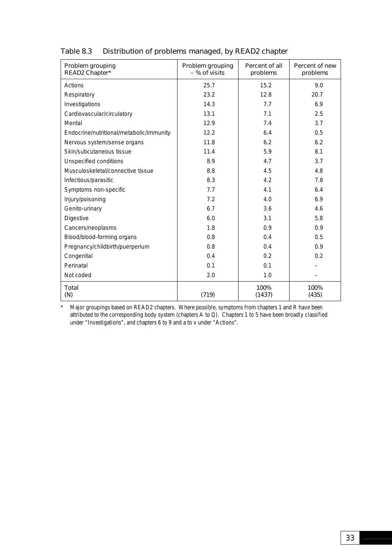| Problem grouping<br>READ2 Chapter*       | Problem grouping<br>- % of visits | Percent of all<br>problems | Percent of new<br>problems |
|------------------------------------------|-----------------------------------|----------------------------|----------------------------|
| Actions                                  | 25.7                              | 15.2                       | 9.0                        |
| Respiratory                              | 23.2                              | 12.8                       | 20.7                       |
| Investigations                           | 14.3                              | 7.7                        | 6.9                        |
| Cardiovascular/circulatory               | 13.1                              | 7.1                        | 2.5                        |
| Mental                                   | 12.9                              | 7.4                        | 3.7                        |
| Endocrine/nutritional/metabolic/immunity | 12.2                              | 6.4                        | 0.5                        |
| Nervous system/sense organs              | 11.8                              | 6.2                        | 6.2                        |
| Skin/subcutaneous tissue                 | 11.4                              | 5.9                        | 8.1                        |
| Unspecified conditions                   | 8.9                               | 4.7                        | 3.7                        |
| Musculoskeletal/connective tissue        | 8.8                               | 4.5                        | 4.8                        |
| Infectious/parasitic                     | 8.3                               | 4.2                        | 7.8                        |
| Symptoms non-specific                    | 7.7                               | 4.1                        | 6.4                        |
| Injury/poisoning                         | 7.2                               | 4.0                        | 6.9                        |
| Genito-urinary                           | 6.7                               | 3.6                        | 4.6                        |
| <b>Digestive</b>                         | 6.0                               | 3.1                        | 5.8                        |
| Cancers/neoplasms                        | 1.8                               | 0.9                        | 0.9                        |
| Blood/blood-forming organs               | 0.8                               | 0.4                        | 0.5                        |
| Pregnancy/childbirth/puerperium          | 0.8                               | 0.4                        | 0.9                        |
| Congenital                               | 0.4                               | 0.2                        | 0.2                        |
| Perinatal                                | 0.1                               | 0.1                        |                            |
| Not coded                                | 2.0                               | 1.0                        |                            |
| <b>Total</b><br>(N)                      | (719)                             | 100%<br>(1437)             | 100%<br>(435)              |

# Table 8.3 Distribution of problems managed, by READ2 chapter

\* Major groupings based on READ2 chapters. Where possible, symptoms from chapters 1 and R have been attributed to the corresponding body system (chapters A to Q). Chapters 1 to 5 have been broadly classified under "Investigations", and chapters 6 to 9 and a to v under "Actions".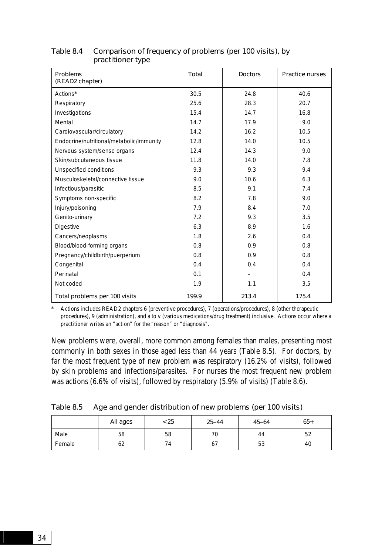| <b>Problems</b><br>(READ2 chapter)       | <b>Total</b> | <b>Doctors</b> | <b>Practice nurses</b> |
|------------------------------------------|--------------|----------------|------------------------|
| Actions*                                 | 30.5         | 24.8           | 40.6                   |
| Respiratory                              | 25.6         | 28.3           | 20.7                   |
| Investigations                           | 15.4         | 14.7           | 16.8                   |
| Mental                                   | 14.7         | 17.9           | 9.0                    |
| Cardiovascular/circulatory               | 14.2         | 16.2           | 10.5                   |
| Endocrine/nutritional/metabolic/immunity | 12.8         | 14.0           | 10.5                   |
| Nervous system/sense organs              | 12.4         | 14.3           | 9.0                    |
| Skin/subcutaneous tissue                 | 11.8         | 14.0           | 7.8                    |
| Unspecified conditions                   | 9.3          | 9.3            | 9.4                    |
| Musculoskeletal/connective tissue        | 9.0          | 10.6           | 6.3                    |
| Infectious/parasitic                     | 8.5          | 9.1            | 7.4                    |
| Symptoms non-specific                    | 8.2          | 7.8            | 9.0                    |
| Injury/poisoning                         | 7.9          | 8.4            | 7.0                    |
| Genito-urinary                           | 7.2          | 9.3            | 3.5                    |
| <b>Digestive</b>                         | 6.3          | 8.9            | 1.6                    |
| Cancers/neoplasms                        | 1.8          | 2.6            | 0.4                    |
| Blood/blood-forming organs               | 0.8          | 0.9            | 0.8                    |
| Pregnancy/childbirth/puerperium          | 0.8          | 0.9            | 0.8                    |
| Congenital                               | 0.4          | 0.4            | 0.4                    |
| Perinatal                                | 0.1          |                | 0.4                    |
| Not coded                                | 1.9          | 1.1            | 3.5                    |
| Total problems per 100 visits            | 199.9        | 213.4          | 175.4                  |

# Table 8.4 Comparison of frequency of problems (per 100 visits), by practitioner type

\* Actions includes READ2 chapters 6 (preventive procedures), 7 (operations/procedures), 8 (other therapeutic procedures), 9 (administration), and a to v (various medications/drug treatment) inclusive. Actions occur where a practitioner writes an "action" for the "reason" or "diagnosis".

New problems were, overall, more common among females than males, presenting most commonly in both sexes in those aged less than 44 years (Table 8.5). For doctors, by far the most frequent type of new problem was respiratory (16.2% of visits), followed by skin problems and infections/parasites. For nurses the most frequent new problem was actions (6.6% of visits), followed by respiratory (5.9% of visits) (Table 8.6).

| Table 8.5 | Age and gender distribution of new problems (per 100 visits) |  |  |  |
|-----------|--------------------------------------------------------------|--|--|--|
|-----------|--------------------------------------------------------------|--|--|--|

|        | All ages | < 25 | $25 - 44$ | $45 - 64$ | $65+$ |
|--------|----------|------|-----------|-----------|-------|
| Male   | 58       | 58   | 70        | 44        | 52    |
| Female | 62       | 74   | 67        | 53        | 40    |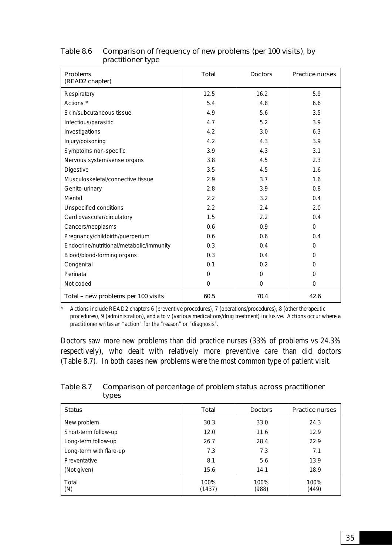| <b>Problems</b><br>(READ2 chapter)       | <b>Total</b> | <b>Doctors</b> | <b>Practice nurses</b> |
|------------------------------------------|--------------|----------------|------------------------|
| Respiratory                              | 12.5         | 16.2           | 5.9                    |
| Actions <sup>*</sup>                     | 5.4          | 4.8            | 6.6                    |
| Skin/subcutaneous tissue                 | 4.9          | 5.6            | 3.5                    |
| Infectious/parasitic                     | 4.7          | 5.2            | 3.9                    |
| Investigations                           | 4.2          | 3.0            | 6.3                    |
| Injury/poisoning                         | 4.2          | 4.3            | 3.9                    |
| Symptoms non-specific                    | 3.9          | 4.3            | 3.1                    |
| Nervous system/sense organs              | 3.8          | 4.5            | 2.3                    |
| <b>Digestive</b>                         | 3.5          | 4.5            | 1.6                    |
| Musculoskeletal/connective tissue        | 2.9          | 3.7            | 1.6                    |
| Genito-urinary                           | 2.8          | 3.9            | 0.8                    |
| Mental                                   | 2.2          | 3.2            | 0.4                    |
| Unspecified conditions                   | 2.2          | 2.4            | 2.0                    |
| Cardiovascular/circulatory               | 1.5          | 2.2            | 0.4                    |
| Cancers/neoplasms                        | 0.6          | 0.9            | $\Omega$               |
| Pregnancy/childbirth/puerperium          | 0.6          | 0.6            | 0.4                    |
| Endocrine/nutritional/metabolic/immunity | 0.3          | 0.4            | $\Omega$               |
| Blood/blood-forming organs               | 0.3          | 0.4            | $\Omega$               |
| Congenital                               | 0.1          | 0.2            | $\Omega$               |
| Perinatal                                | $\Omega$     | $\Omega$       | $\Omega$               |
| Not coded                                | $\Omega$     | $\Omega$       | $\Omega$               |
| Total - new problems per 100 visits      | 60.5         | 70.4           | 42.6                   |

# Table 8.6 Comparison of frequency of new problems (per 100 visits), by practitioner type

\* Actions include READ2 chapters 6 (preventive procedures), 7 (operations/procedures), 8 (other therapeutic procedures), 9 (administration), and a to v (various medications/drug treatment) inclusive. Actions occur where a practitioner writes an "action" for the "reason" or "diagnosis".

Doctors saw more new problems than did practice nurses (33% of problems vs 24.3% respectively), who dealt with relatively more preventive care than did doctors (Table 8.7). In both cases new problems were the most common type of patient visit.

Table 8.7 Comparison of percentage of problem status across practitioner types

| <b>Status</b>           | Total          | <b>Doctors</b> | <b>Practice nurses</b> |
|-------------------------|----------------|----------------|------------------------|
| New problem             | 30.3           | 33.0           | 24.3                   |
| Short-term follow-up    | 12.0           | 11.6           | 12.9                   |
| Long-term follow-up     | 26.7           | 28.4           | 22.9                   |
| Long-term with flare-up | 7.3            | 7.3            | 7.1                    |
| Preventative            | 8.1            | 5.6            | 13.9                   |
| (Not given)             | 15.6           | 14.1           | 18.9                   |
| Total<br>(N)            | 100%<br>(1437) | 100%<br>(988)  | 100%<br>(449)          |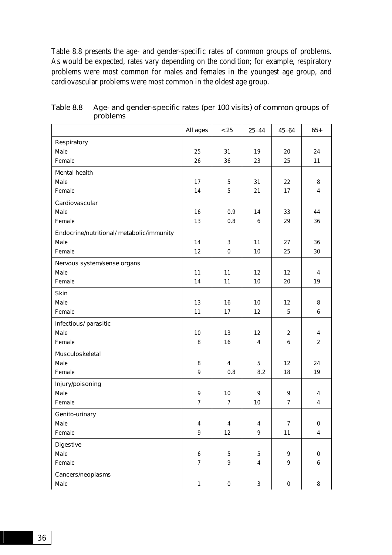Table 8.8 presents the age- and gender-specific rates of common groups of problems. As would be expected, rates vary depending on the condition; for example, respiratory problems were most common for males and females in the youngest age group, and cardiovascular problems were most common in the oldest age group.

|                                           | All ages         | < 25             | $25 - 44$      | $45 - 64$        | $65+$            |
|-------------------------------------------|------------------|------------------|----------------|------------------|------------------|
| Respiratory                               |                  |                  |                |                  |                  |
| Male                                      | 25               | 31               | 19             | 20               | 24               |
| Female                                    | 26               | 36               | 23             | 25               | 11               |
| <b>Mental health</b>                      |                  |                  |                |                  |                  |
| Male                                      | 17               | 5                | 31             | 22               | 8                |
| Female                                    | 14               | 5                | 21             | 17               | 4                |
| Cardiovascular                            |                  |                  |                |                  |                  |
| Male                                      | 16               | 0.9              | 14             | 33               | 44               |
| Female                                    | 13               | 0.8              | 6              | 29               | 36               |
| Endocrine/nutritional/ metabolic/immunity |                  |                  |                |                  |                  |
| Male                                      | 14               | $\mathbf{3}$     | 11             | 27               | 36               |
| Female                                    | 12               | $\mathbf 0$      | 10             | 25               | 30               |
| Nervous system/sense organs               |                  |                  |                |                  |                  |
| Male                                      | 11               | 11               | 12             | 12               | 4                |
| Female                                    | 14               | 11               | 10             | 20               | 19               |
| <b>Skin</b>                               |                  |                  |                |                  |                  |
| Male                                      | 13               | 16               | 10             | 12               | 8                |
| Female                                    | 11               | 17               | 12             | 5                | 6                |
| Infectious/ parasitic                     |                  |                  |                |                  |                  |
| Male                                      | 10               | 13               | 12             | $\overline{2}$   | 4                |
| Female                                    | 8                | 16               | $\overline{4}$ | 6                | $\overline{2}$   |
| Musculoskeletal                           |                  |                  |                |                  |                  |
| Male                                      | 8                | $\overline{4}$   | 5              | 12               | 24               |
| Female                                    | 9                | 0.8              | 8.2            | 18               | 19               |
| Injury/poisoning                          |                  |                  |                |                  |                  |
| Male                                      | 9                | 10               | 9              | 9                | 4                |
| Female                                    | $\overline{7}$   | $\overline{7}$   | 10             | $\overline{7}$   | 4                |
| Genito-urinary                            |                  |                  |                |                  |                  |
| Male                                      | 4                | $\overline{4}$   | 4              | $\overline{7}$   | 0                |
| Female                                    | 9                | 12               | 9              | 11               | $\overline{4}$   |
| <b>Digestive</b>                          |                  |                  |                |                  |                  |
| Male                                      | $\boldsymbol{6}$ | 5                | 5              | 9                | 0                |
| Female                                    | $\overline{7}$   | 9                | $\overline{4}$ | 9                | $\boldsymbol{6}$ |
| Cancers/neoplasms                         |                  |                  |                |                  |                  |
| Male                                      | $\mathbf{1}$     | $\boldsymbol{0}$ | $\mathbf{3}$   | $\boldsymbol{0}$ | 8                |

Table 8.8 Age- and gender-specific rates (per 100 visits) of common groups of problems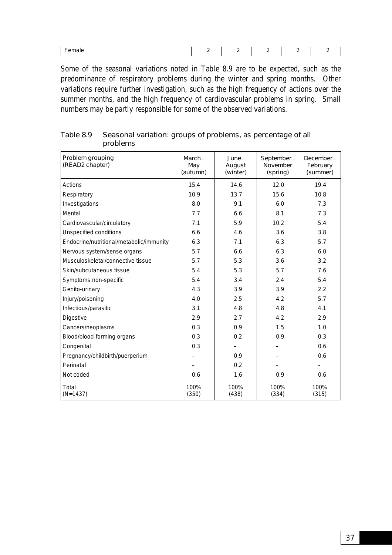| _<br>Female | $\overline{\phantom{0}}$ |  |  |  |  |
|-------------|--------------------------|--|--|--|--|
|-------------|--------------------------|--|--|--|--|

Some of the seasonal variations noted in Table 8.9 are to be expected, such as the predominance of respiratory problems during the winter and spring months. Other variations require further investigation, such as the high frequency of actions over the summer months, and the high frequency of cardiovascular problems in spring. Small numbers may be partly responsible for some of the observed variations.

| Problem grouping<br>(READ2 chapter)      | March-<br>May<br>(autumn) | June-<br>August<br>(winter) | September-<br><b>November</b><br>(spring) | December-<br>February<br>(summer) |
|------------------------------------------|---------------------------|-----------------------------|-------------------------------------------|-----------------------------------|
| Actions                                  | 15.4                      | 14.6                        | 12.0                                      | 19.4                              |
| Respiratory                              | 10.9                      | 13.7                        | 15.6                                      | 10.8                              |
| Investigations                           | 8.0                       | 9.1                         | 6.0                                       | 7.3                               |
| Mental                                   | 7.7                       | 6.6                         | 8.1                                       | 7.3                               |
| Cardiovascular/circulatory               | 7.1                       | 5.9                         | 10.2                                      | 5.4                               |
| <b>Unspecified conditions</b>            | 6.6                       | 4.6                         | 3.6                                       | 3.8                               |
| Endocrine/nutritional/metabolic/immunity | 6.3                       | 7.1                         | 6.3                                       | 5.7                               |
| Nervous system/sense organs              | 5.7                       | 6.6                         | 6.3                                       | 6.0                               |
| Musculoskeletal/connective tissue        | 5.7                       | 5.3                         | 3.6                                       | 3.2                               |
| Skin/subcutaneous tissue                 | 5.4                       | 5.3                         | 5.7                                       | 7.6                               |
| Symptoms non-specific                    | 5.4                       | 3.4                         | 2.4                                       | 5.4                               |
| Genito-urinary                           | 4.3                       | 3.9                         | 3.9                                       | 2.2                               |
| Injury/poisoning                         | 4.0                       | 2.5                         | 4.2                                       | 5.7                               |
| Infectious/parasitic                     | 3.1                       | 4.8                         | 4.8                                       | 4.1                               |
| <b>Digestive</b>                         | 2.9                       | 2.7                         | 4.2                                       | 2.9                               |
| Cancers/neoplasms                        | 0.3                       | 0.9                         | 1.5                                       | 1.0                               |
| Blood/blood-forming organs               | 0.3                       | 0.2                         | 0.9                                       | 0.3                               |
| Congenital                               | 0.3                       |                             |                                           | 0.6                               |
| Pregnancy/childbirth/puerperium          |                           | 0.9                         |                                           | 0.6                               |
| Perinatal                                |                           | 0.2                         |                                           |                                   |
| Not coded                                | 0.6                       | 1.6                         | 0.9                                       | 0.6                               |
| Total<br>$(N=1437)$                      | 100%<br>(350)             | 100%<br>(438)               | 100%<br>(334)                             | 100%<br>(315)                     |

Table 8.9 Seasonal variation: groups of problems, as percentage of all problems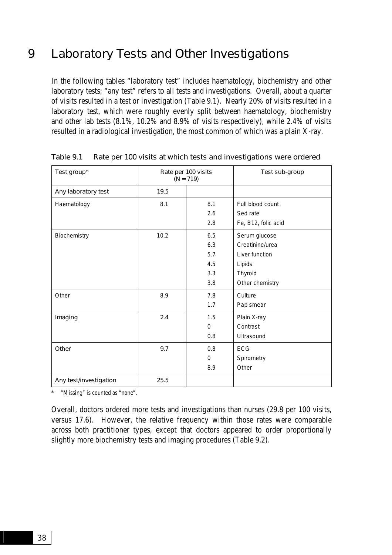# 9 Laboratory Tests and Other Investigations

In the following tables "laboratory test" includes haematology, biochemistry and other laboratory tests; "any test" refers to all tests and investigations. Overall, about a quarter of visits resulted in a test or investigation (Table 9.1). Nearly 20% of visits resulted in a laboratory test, which were roughly evenly split between haematology, biochemistry and other lab tests (8.1%, 10.2% and 8.9% of visits respectively), while 2.4% of visits resulted in a radiological investigation, the most common of which was a plain X-ray.

| Test group*            |      | Rate per 100 visits<br>$(N = 719)$ | Test sub-group      |
|------------------------|------|------------------------------------|---------------------|
| Any laboratory test    | 19.5 |                                    |                     |
| Haematology            | 8.1  | 8.1                                | Full blood count    |
|                        |      | 2.6                                | Sed rate            |
|                        |      | 2.8                                | Fe, B12, folic acid |
| Biochemistry           | 10.2 | 6.5                                | Serum glucose       |
|                        |      | 6.3                                | Creatinine/urea     |
|                        |      | 5.7                                | Liver function      |
|                        |      | 4.5                                | Lipids              |
|                        |      | 3.3                                | Thyroid             |
|                        |      | 3.8                                | Other chemistry     |
| Other                  | 8.9  | 7.8                                | Culture             |
|                        |      | 1.7                                | Pap smear           |
| Imaging                | 2.4  | 1.5                                | Plain X-ray         |
|                        |      | $\Omega$                           | Contrast            |
|                        |      | 0.8                                | Ultrasound          |
| Other                  | 9.7  | 0.8                                | <b>ECG</b>          |
|                        |      | $\Omega$                           | Spirometry          |
|                        |      | 8.9                                | Other               |
| Any test/investigation | 25.5 |                                    |                     |

Table 9.1 Rate per 100 visits at which tests and investigations were ordered

\* "Missing" is counted as "none".

Overall, doctors ordered more tests and investigations than nurses (29.8 per 100 visits, versus 17.6). However, the relative frequency within those rates were comparable across both practitioner types, except that doctors appeared to order proportionally slightly more biochemistry tests and imaging procedures (Table 9.2).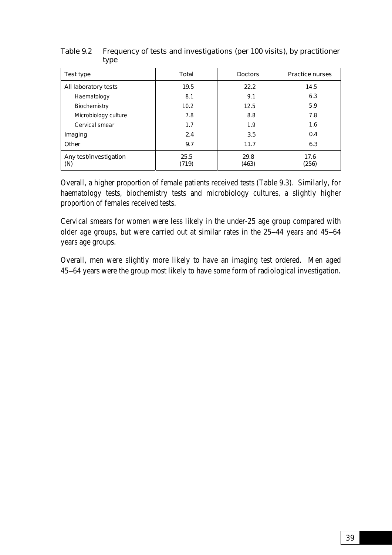| Test type                     | Total         | <b>Doctors</b> | <b>Practice nurses</b> |
|-------------------------------|---------------|----------------|------------------------|
| All laboratory tests          | 19.5          | 22.2           | 14.5                   |
| Haematology                   | 8.1           | 9.1            | 6.3                    |
| Biochemistry                  | 10.2          | 12.5           | 5.9                    |
| Microbiology culture          | 7.8           | 8.8            | 7.8                    |
| Cervical smear                | 1.7           | 1.9            | 1.6                    |
| Imaging                       | 2.4           | 3.5            | 0.4                    |
| Other                         | 9.7           | 11.7           | 6.3                    |
| Any test/investigation<br>(N) | 25.5<br>(719) | 29.8<br>(463)  | 17.6<br>(256)          |

# Table 9.2 Frequency of tests and investigations (per 100 visits), by practitioner type

Overall, a higher proportion of female patients received tests (Table 9.3). Similarly, for haematology tests, biochemistry tests and microbiology cultures, a slightly higher proportion of females received tests.

Cervical smears for women were less likely in the under-25 age group compared with older age groups, but were carried out at similar rates in the 25−44 years and 45−64 years age groups.

Overall, men were slightly more likely to have an imaging test ordered. Men aged 45−64 years were the group most likely to have some form of radiological investigation.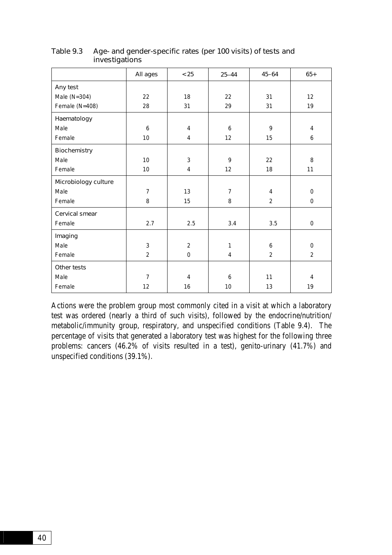|                      | All ages       | < 25             | $25 - 44$      | $45 - 64$      | $65+$          |
|----------------------|----------------|------------------|----------------|----------------|----------------|
| Any test             |                |                  |                |                |                |
| Male ( $N=304$ )     | 22             | 18               | 22             | 31             | 12             |
| Female (N=408)       | 28             | 31               | 29             | 31             | 19             |
| Haematology          |                |                  |                |                |                |
| Male                 | 6              | 4                | 6              | 9              | $\overline{4}$ |
| Female               | 10             | $\overline{4}$   | 12             | 15             | 6              |
| Biochemistry         |                |                  |                |                |                |
| Male                 | 10             | 3                | 9              | 22             | 8              |
| Female               | 10             | 4                | 12             | 18             | 11             |
| Microbiology culture |                |                  |                |                |                |
| Male                 | $\overline{7}$ | 13               | $\overline{7}$ | 4              | $\Omega$       |
| Female               | 8              | 15               | 8              | $\overline{2}$ | $\mathbf 0$    |
| Cervical smear       |                |                  |                |                |                |
| Female               | 2.7            | 2.5              | 3.4            | 3.5            | $\mathbf 0$    |
| Imaging              |                |                  |                |                |                |
| Male                 | 3              | $\overline{2}$   | 1              | 6              | $\mathbf 0$    |
| Female               | $\overline{2}$ | $\boldsymbol{0}$ | 4              | 2              | 2              |
| Other tests          |                |                  |                |                |                |
| Male                 | $\overline{7}$ | 4                | 6              | 11             | 4              |
| Female               | 12             | 16               | 10             | 13             | 19             |

## Table 9.3 Age- and gender-specific rates (per 100 visits) of tests and investigations

Actions were the problem group most commonly cited in a visit at which a laboratory test was ordered (nearly a third of such visits), followed by the endocrine/nutrition/ metabolic/immunity group, respiratory, and unspecified conditions (Table 9.4). The percentage of visits that generated a laboratory test was highest for the following three problems: cancers (46.2% of visits resulted in a test), genito-urinary (41.7%) and unspecified conditions (39.1%).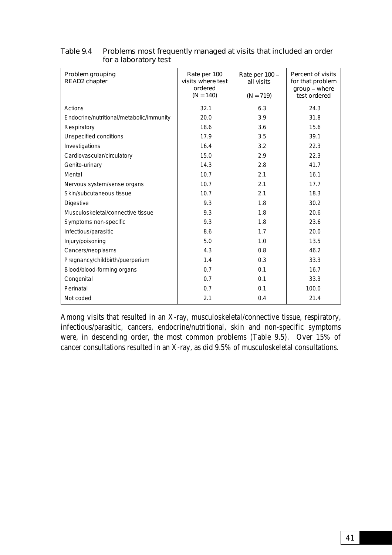| Problem grouping<br>READ2 chapter        | Rate per 100<br>visits where test<br>ordered<br>$(N = 140)$ | Rate per 100 -<br>all visits<br>$(N = 719)$ | <b>Percent of visits</b><br>for that problem<br>group - where<br>test ordered |
|------------------------------------------|-------------------------------------------------------------|---------------------------------------------|-------------------------------------------------------------------------------|
| Actions                                  | 32.1                                                        | 6.3                                         | 24.3                                                                          |
| Endocrine/nutritional/metabolic/immunity | 20.0                                                        | 3.9                                         | 31.8                                                                          |
| Respiratory                              | 18.6                                                        | 3.6                                         | 15.6                                                                          |
| Unspecified conditions                   | 17.9                                                        | 3.5                                         | 39.1                                                                          |
| Investigations                           | 16.4                                                        | 3.2                                         | 22.3                                                                          |
| Cardiovascular/circulatory               | 15.0                                                        | 2.9                                         | 22.3                                                                          |
| Genito-urinary                           | 14.3                                                        | 2.8                                         | 41.7                                                                          |
| Mental                                   | 10.7                                                        | 2.1                                         | 16.1                                                                          |
| Nervous system/sense organs              | 10.7                                                        | 2.1                                         | 17.7                                                                          |
| Skin/subcutaneous tissue                 | 10.7                                                        | 2.1                                         | 18.3                                                                          |
| <b>Digestive</b>                         | 9.3                                                         | 1.8                                         | 30.2                                                                          |
| Musculoskeletal/connective tissue        | 9.3                                                         | 1.8                                         | 20.6                                                                          |
| Symptoms non-specific                    | 9.3                                                         | 1.8                                         | 23.6                                                                          |
| Infectious/parasitic                     | 8.6                                                         | 1.7                                         | 20.0                                                                          |
| Injury/poisoning                         | 5.0                                                         | 1.0                                         | 13.5                                                                          |
| Cancers/neoplasms                        | 4.3                                                         | 0.8                                         | 46.2                                                                          |
| Pregnancy/childbirth/puerperium          | 1.4                                                         | 0.3                                         | 33.3                                                                          |
| Blood/blood-forming organs               | 0.7                                                         | 0.1                                         | 16.7                                                                          |
| Congenital                               | 0.7                                                         | 0.1                                         | 33.3                                                                          |
| Perinatal                                | 0.7                                                         | 0.1                                         | 100.0                                                                         |
| Not coded                                | 2.1                                                         | 0.4                                         | 21.4                                                                          |

### Table 9.4 Problems most frequently managed at visits that included an order for a laboratory test

Among visits that resulted in an X-ray, musculoskeletal/connective tissue, respiratory, infectious/parasitic, cancers, endocrine/nutritional, skin and non-specific symptoms were, in descending order, the most common problems (Table 9.5). Over 15% of cancer consultations resulted in an X-ray, as did 9.5% of musculoskeletal consultations.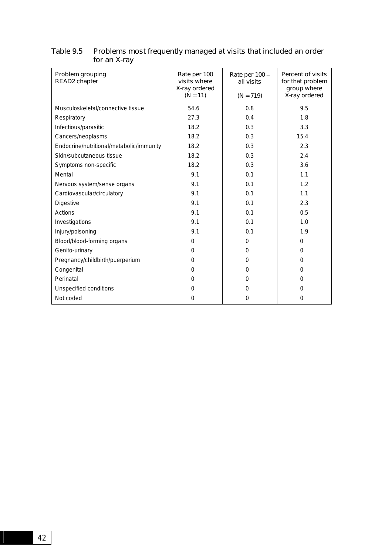| Problem grouping<br><b>READ2</b> chapter | Rate per 100<br>visits where<br>X-ray ordered<br>$(N = 11)$ | Rate per 100 -<br>all visits<br>$(N = 719)$ | <b>Percent of visits</b><br>for that problem<br>group where<br>X-ray ordered |
|------------------------------------------|-------------------------------------------------------------|---------------------------------------------|------------------------------------------------------------------------------|
| Musculoskeletal/connective tissue        | 54.6                                                        | 0.8                                         | 9.5                                                                          |
| Respiratory                              | 27.3                                                        | 0.4                                         | 1.8                                                                          |
| Infectious/parasitic                     | 18.2                                                        | 0.3                                         | 3.3                                                                          |
| Cancers/neoplasms                        | 18.2                                                        | 0.3                                         | 15.4                                                                         |
| Endocrine/nutritional/metabolic/immunity | 18.2                                                        | 0.3                                         | 2.3                                                                          |
| Skin/subcutaneous tissue                 | 18.2                                                        | 0.3                                         | 2.4                                                                          |
| Symptoms non-specific                    | 18.2                                                        | 0.3                                         | 3.6                                                                          |
| Mental                                   | 9.1                                                         | 0.1                                         | 1.1                                                                          |
| Nervous system/sense organs              | 9.1                                                         | 0.1                                         | 1.2                                                                          |
| Cardiovascular/circulatory               | 9.1                                                         | 0.1                                         | 1.1                                                                          |
| Digestive                                | 9.1                                                         | 0.1                                         | 2.3                                                                          |
| <b>Actions</b>                           | 9.1                                                         | 0.1                                         | 0.5                                                                          |
| Investigations                           | 9.1                                                         | 0.1                                         | 1.0                                                                          |
| Injury/poisoning                         | 9.1                                                         | 0.1                                         | 1.9                                                                          |
| Blood/blood-forming organs               | $\Omega$                                                    | $\Omega$                                    | $\Omega$                                                                     |
| Genito-urinary                           | $\Omega$                                                    | $\Omega$                                    | $\Omega$                                                                     |
| Pregnancy/childbirth/puerperium          | $\Omega$                                                    | $\Omega$                                    | 0                                                                            |
| Congenital                               | $\Omega$                                                    | $\mathbf{0}$                                | $\Omega$                                                                     |
| Perinatal                                | $\Omega$                                                    | $\Omega$                                    | 0                                                                            |
| Unspecified conditions                   | 0                                                           | $\Omega$                                    | 0                                                                            |
| Not coded                                | $\Omega$                                                    | $\overline{0}$                              | 0                                                                            |

### Table 9.5 Problems most frequently managed at visits that included an order for an X-ray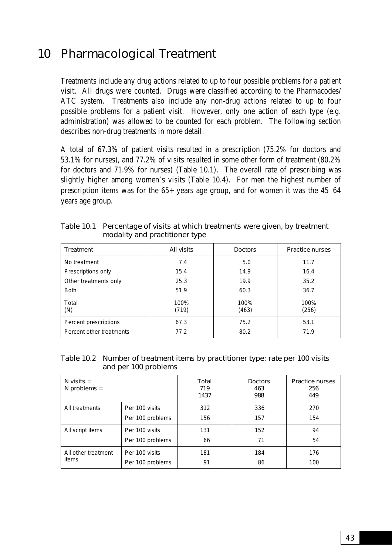# 10 Pharmacological Treatment

Treatments include any drug actions related to up to four possible problems for a patient visit. All drugs were counted. Drugs were classified according to the Pharmacodes/ ATC system. Treatments also include any non-drug actions related to up to four possible problems for a patient visit. However, only one action of each type (e.g. administration) was allowed to be counted for each problem. The following section describes non-drug treatments in more detail.

A total of 67.3% of patient visits resulted in a prescription (75.2% for doctors and 53.1% for nurses), and 77.2% of visits resulted in some other form of treatment (80.2% for doctors and 71.9% for nurses) (Table 10.1). The overall rate of prescribing was slightly higher among women's visits (Table 10.4). For men the highest number of prescription items was for the 65+ years age group, and for women it was the 45−64 years age group.

| <b>Treatment</b>         | All visits    | <b>Doctors</b> | <b>Practice nurses</b> |
|--------------------------|---------------|----------------|------------------------|
| No treatment             | 7.4           | 5.0            | 11.7                   |
| Prescriptions only       | 15.4          | 14.9           | 16.4                   |
| Other treatments only    | 25.3          | 19.9           | 35.2                   |
| <b>Both</b>              | 51.9          | 60.3           | 36.7                   |
| Total<br>(N)             | 100%<br>(719) | 100%<br>(463)  | 100%<br>(256)          |
| Percent prescriptions    | 67.3          | 75.2           | 53.1                   |
| Percent other treatments | 77.2          | 80.2           | 71.9                   |

Table 10.1 Percentage of visits at which treatments were given, by treatment modality and practitioner type

### Table 10.2 Number of treatment items by practitioner type: rate per 100 visits and per 100 problems

| $N$ visits =<br>$N$ problems = |                  | <b>Total</b><br>719<br>1437 | <b>Doctors</b><br>463<br>988 | <b>Practice nurses</b><br>256<br>449 |
|--------------------------------|------------------|-----------------------------|------------------------------|--------------------------------------|
| All treatments                 | Per 100 visits   | 312                         | 336                          | 270                                  |
|                                | Per 100 problems | 156                         | 157                          | 154                                  |
| All script items               | Per 100 visits   | 131                         | 152                          | 94                                   |
|                                | Per 100 problems | 66                          | 71                           | 54                                   |
| All other treatment            | Per 100 visits   | 181                         | 184                          | 176                                  |
| items                          | Per 100 problems | 91                          | 86                           | 100                                  |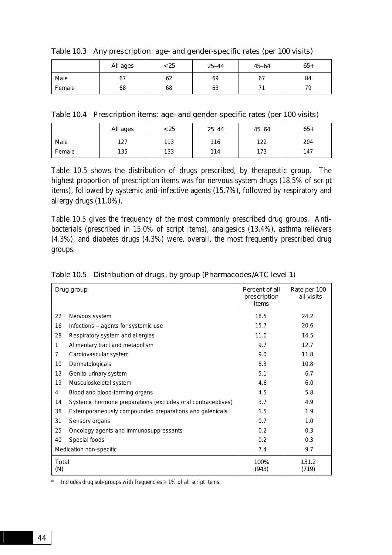|        | All ages | < 25 | $25 - 44$ | $45 - 64$ | $65+$ |
|--------|----------|------|-----------|-----------|-------|
| Male   | $\sigma$ | 62   | 69        | 67        | 84    |
| Female | 68       | 68   | 63        |           | 79    |

Table 10.3 Any prescription: age- and gender-specific rates (per 100 visits)

Table 10.4 Prescription items: age- and gender-specific rates (per 100 visits)

|        | All ages | < 25 | $25 - 44$ | $45 - 64$ | $65+$ |
|--------|----------|------|-----------|-----------|-------|
| Male   | 127      | 113  | 116       | 122       | 204   |
| Female | 135      | 133  | 114       | 173       | 147   |

Table 10.5 shows the distribution of drugs prescribed, by therapeutic group. The highest proportion of prescription items was for nervous system drugs (18.5% of script items), followed by systemic anti-infective agents (15.7%), followed by respiratory and allergy drugs (11.0%).

Table 10.5 gives the frequency of the most commonly prescribed drug groups. Antibacterials (prescribed in 15.0% of script items), analgesics (13.4%), asthma relievers (4.3%), and diabetes drugs (4.3%) were, overall, the most frequently prescribed drug groups.

|                     | Drug group                                                   | Percent of all<br>prescription<br>items | Rate per 100<br>- all visits |
|---------------------|--------------------------------------------------------------|-----------------------------------------|------------------------------|
| 22                  | Nervous system                                               | 18.5                                    | 24.2                         |
| 16                  | Infections - agents for systemic use                         | 15.7                                    | 20.6                         |
| 28                  | Respiratory system and allergies                             | 11.0                                    | 14.5                         |
| 1                   | Alimentary tract and metabolism                              | 9.7                                     | 12.7                         |
| 7                   | Cardiovascular system                                        | 9.0                                     | 11.8                         |
| 10                  | Dermatologicals                                              | 8.3                                     | 10.8                         |
| 13                  | Genito-urinary system                                        | 5.1                                     | 6.7                          |
| 19                  | Musculoskeletal system                                       | 4.6                                     | 6.0                          |
| 4                   | Blood and blood-forming organs                               | 4.5                                     | 5.8                          |
| 14                  | Systemic hormone preparations (excludes oral contraceptives) | 3.7                                     | 4.9                          |
| 38                  | Extemporaneously compounded preparations and galenicals      | 1.5                                     | 1.9                          |
| 31                  | Sensory organs                                               | 0.7                                     | 1.0                          |
| 25                  | Oncology agents and immunosuppressants                       | 0.2                                     | 0.3                          |
| 40                  | Special foods                                                | 0.2                                     | 0.3                          |
|                     | Medication non-specific                                      | 7.4                                     | 9.7                          |
| <b>Total</b><br>(N) |                                                              | 100%<br>(943)                           | 131.2<br>(719)               |

Table 10.5 Distribution of drugs, by group (Pharmacodes/ATC level 1)

\* Includes drug sub-groups with frequencies  $\geq 1\%$  of all script items.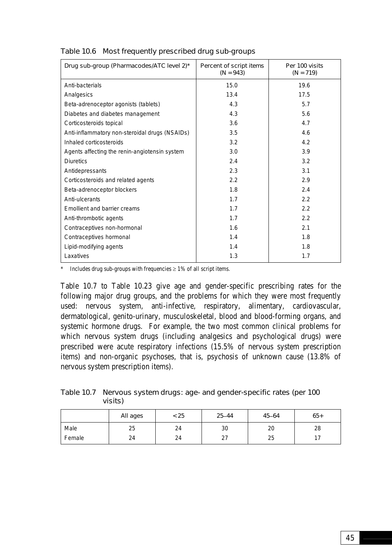| Drug sub-group (Pharmacodes/ATC level 2)*      | Percent of script items<br>$(N = 943)$ | Per 100 visits<br>$(N = 719)$ |
|------------------------------------------------|----------------------------------------|-------------------------------|
| Anti-bacterials                                | 15.0                                   | 19.6                          |
| Analgesics                                     | 13.4                                   | 17.5                          |
| Beta-adrenoceptor agonists (tablets)           | 4.3                                    | 5.7                           |
| Diabetes and diabetes management               | 4.3                                    | 5.6                           |
| Corticosteroids topical                        | 3.6                                    | 4.7                           |
| Anti-inflammatory non-steroidal drugs (NSAIDs) | 3.5                                    | 4.6                           |
| Inhaled corticosteroids                        | 3.2                                    | 4.2                           |
| Agents affecting the renin-angiotensin system  | 3.0                                    | 3.9                           |
| <b>Diuretics</b>                               | 2.4                                    | 3.2                           |
| Antidepressants                                | 2.3                                    | 3.1                           |
| Corticosteroids and related agents             | 2.2                                    | 2.9                           |
| Beta-adrenoceptor blockers                     | 1.8                                    | 2.4                           |
| Anti-ulcerants                                 | 1.7                                    | 2.2                           |
| Emollient and barrier creams                   | 1.7                                    | 2.2                           |
| Anti-thrombotic agents                         | 1.7                                    | 2.2                           |
| Contraceptives non-hormonal                    | 1.6                                    | 2.1                           |
| Contraceptives hormonal                        | 1.4                                    | 1.8                           |
| Lipid-modifying agents                         | 1.4                                    | 1.8                           |
| Laxatives                                      | 1.3                                    | 1.7                           |

# Table 10.6 Most frequently prescribed drug sub-groups

\* Includes drug sub-groups with frequencies ≥ 1% of all script items.

Table 10.7 to Table 10.23 give age and gender-specific prescribing rates for the following major drug groups, and the problems for which they were most frequently used: nervous system, anti-infective, respiratory, alimentary, cardiovascular, dermatological, genito-urinary, musculoskeletal, blood and blood-forming organs, and systemic hormone drugs. For example, the two most common clinical problems for which nervous system drugs (including analgesics and psychological drugs) were prescribed were acute respiratory infections (15.5% of nervous system prescription items) and non-organic psychoses, that is, psychosis of unknown cause (13.8% of nervous system prescription items).

| Table 10.7 Nervous system drugs: age- and gender-specific rates (per 100 |
|--------------------------------------------------------------------------|
| visits)                                                                  |

|        | All ages | < 25 | $25 - 44$        | $45 - 64$ | $65+$ |
|--------|----------|------|------------------|-----------|-------|
| Male   | 25       | 24   | 30               | 20        | 28    |
| Female | 24       | 24   | ົາ<br><u> 21</u> | 25        | $-1$  |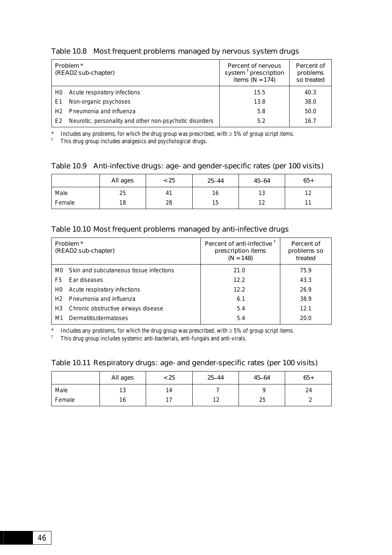#### Table 10.8 Most frequent problems managed by nervous system drugs

| Problem <sup>*</sup><br>(READ2 sub-chapter) |                                                         | <b>Percent of nervous</b><br>system <sup>t</sup> prescription<br>items ( $N = 174$ ) | Percent of<br>problems<br>so treated |
|---------------------------------------------|---------------------------------------------------------|--------------------------------------------------------------------------------------|--------------------------------------|
| H <sub>0</sub>                              | Acute respiratory infections                            | 15.5                                                                                 | 40.3                                 |
| E1                                          | Non-organic psychoses                                   | 13.8                                                                                 | 38.0                                 |
| H2                                          | Pneumonia and influenza                                 | 5.8                                                                                  | 50.0                                 |
| E <sub>2</sub>                              | Neurotic, personality and other non-psychotic disorders | 5.2                                                                                  | 16.7                                 |

\* Includes any problems, for which the drug group was prescribed, with ≥ 5% of group script items.

<sup>†</sup> This drug group includes analgesics and psychological drugs.

#### Table 10.9 Anti-infective drugs: age- and gender-specific rates (per 100 visits)

|        | All ages | < 25 | $25 - 44$ | $45 - 64$  | $65+$                      |
|--------|----------|------|-----------|------------|----------------------------|
| Male   | 25       | 41   | 16        | 12<br>د ا  | $1^{\circ}$<br><u>. . </u> |
| Female | 18       | 28   | 15        | 1 ገ<br>. . | -1                         |

### Table 10.10 Most frequent problems managed by anti-infective drugs

| Problem <sup>*</sup><br>(READ2 sub-chapter) |                                         | Percent of anti-infective <sup>T</sup><br>prescription items<br>$(N = 148)$ | Percent of<br>problems so<br>treated |
|---------------------------------------------|-----------------------------------------|-----------------------------------------------------------------------------|--------------------------------------|
| MO.                                         | Skin and subcutaneous tissue infections | 21.0                                                                        | 75.9                                 |
| F5.                                         | Ear diseases                            | 12.2                                                                        | 43.3                                 |
| H <sub>0</sub>                              | Acute respiratory infections            | 12.2                                                                        | 26.9                                 |
| H <sub>2</sub>                              | Pneumonia and influenza                 | 6.1                                                                         | 38.9                                 |
| H3                                          | Chronic obstructive airways disease     | 5.4                                                                         | 12.1                                 |
| M1                                          | Dermatitis/dermatoses                   | 5.4                                                                         | 20.0                                 |

\* Includes any problems, for which the drug group was prescribed, with  $\geq 5\%$  of group script items.

† This drug group includes systemic anti-bacterials, anti-fungals and anti-virals.

#### Table 10.11 Respiratory drugs: age- and gender-specific rates (per 100 visits)

|        | All ages      | < 25 | $25 - 44$ | $45 - 64$ | $65+$ |
|--------|---------------|------|-----------|-----------|-------|
| Male   | $\sim$<br>د ا | 14   |           |           | 24    |
| Female | 16            | 17   | 1 ິ<br>12 | 25        |       |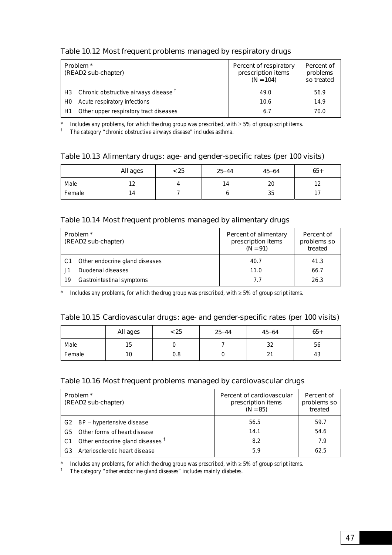# Table 10.12 Most frequent problems managed by respiratory drugs

| Problem <sup>*</sup><br>(READ2 sub-chapter) |                                                  | Percent of respiratory<br>prescription items<br>$(N = 104)$ | Percent of<br>problems<br>so treated |
|---------------------------------------------|--------------------------------------------------|-------------------------------------------------------------|--------------------------------------|
| H3                                          | Chronic obstructive airways disease <sup>T</sup> | 49.0                                                        | 56.9                                 |
| H <sub>0</sub>                              | Acute respiratory infections                     | 10.6                                                        | 14.9                                 |
| H1                                          | Other upper respiratory tract diseases           | 6.7                                                         | 70.0                                 |

\* Includes any problems, for which the drug group was prescribed, with ≥ 5% of group script items.

† The category "chronic obstructive airways disease" includes asthma.

### Table 10.13 Alimentary drugs: age- and gender-specific rates (per 100 visits)

|        | All ages  | < 25 | $25 - 44$ | $45 - 64$ | $65+$                     |
|--------|-----------|------|-----------|-----------|---------------------------|
| Male   | 10<br>1 Z |      | 14        | 20        | $1^{\circ}$<br>. <u>.</u> |
| Female | 14        |      | u         | 35        | $-$<br>. .                |

### Table 10.14 Most frequent problems managed by alimentary drugs

| Problem <sup>*</sup><br>(READ2 sub-chapter) |                                | Percent of alimentary<br>prescription items<br>$(N = 91)$ | Percent of<br>problems so<br>treated |
|---------------------------------------------|--------------------------------|-----------------------------------------------------------|--------------------------------------|
|                                             | Other endocrine gland diseases | 40.7                                                      | 41.3                                 |
|                                             | Duodenal diseases              | 11.0                                                      | 66.7                                 |
| 19                                          | Gastrointestinal symptoms      | 7.7                                                       | 26.3                                 |

\* Includes any problems, for which the drug group was prescribed, with  $\geq 5\%$  of group script items.

### Table 10.15 Cardiovascular drugs: age- and gender-specific rates (per 100 visits)

|        | All ages | < 25 | $25 - 44$ | $45 - 64$    | $65+$ |
|--------|----------|------|-----------|--------------|-------|
| Male   | 15       |      |           | 32           | 56    |
| Female | 10       | 0.8  |           | $\sim$<br>∠∣ | 43    |

#### Table 10.16 Most frequent problems managed by cardiovascular drugs

| Problem <sup>*</sup><br>(READ2 sub-chapter) |                                             | Percent of cardiovascular<br>prescription items<br>$(N = 85)$ | Percent of<br>problems so<br>treated |
|---------------------------------------------|---------------------------------------------|---------------------------------------------------------------|--------------------------------------|
|                                             | G2 BP - hypertensive disease                | 56.5                                                          | 59.7                                 |
| G5.                                         | Other forms of heart disease                | 14.1                                                          | 54.6                                 |
| C1                                          | Other endocrine gland diseases <sup>†</sup> | 8.2                                                           | 7.9                                  |
| G <sub>3</sub>                              | Arteriosclerotic heart disease              | 5.9                                                           | 62.5                                 |

\* Includes any problems, for which the drug group was prescribed, with  $\geq 5\%$  of group script items.

<sup>†</sup> The category "other endocrine gland diseases" includes mainly diabetes.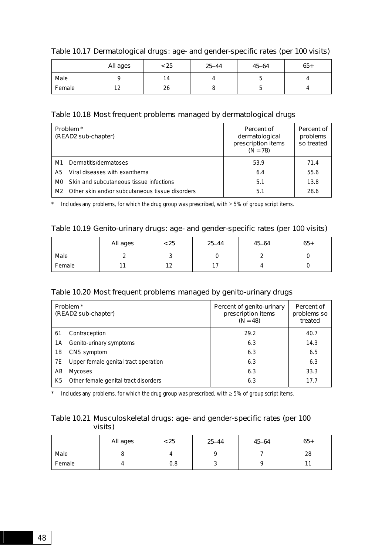|        | All ages      | < 25 | $25 - 44$ | $45 - 64$ | $65+$ |
|--------|---------------|------|-----------|-----------|-------|
| Male   |               | 14   |           | ັ         |       |
| Female | $\sim$<br>. L | 26   |           | ◡         |       |

## Table 10.17 Dermatological drugs: age- and gender-specific rates (per 100 visits)

# Table 10.18 Most frequent problems managed by dermatological drugs

| Problem <sup>*</sup><br>(READ2 sub-chapter) |                                                 | Percent of<br>dermatological<br>prescription items<br>$(N = 78)$ | Percent of<br>problems<br>so treated |
|---------------------------------------------|-------------------------------------------------|------------------------------------------------------------------|--------------------------------------|
| M1                                          | Dermatitis/dermatoses                           | 53.9                                                             | 71.4                                 |
| A5.                                         | Viral diseases with exanthema                   | 6.4                                                              | 55.6                                 |
| M0.                                         | Skin and subcutaneous tissue infections         | 5.1                                                              | 13.8                                 |
| M2.                                         | Other skin and\or subcutaneous tissue disorders | 5.1                                                              | 28.6                                 |

\* Includes any problems, for which the drug group was prescribed, with  $\geq 5\%$  of group script items.

### Table 10.19 Genito-urinary drugs: age- and gender-specific rates (per 100 visits)

|        | All ages | < 25      | $25 - 44$ | $45 - 64$ | $65+$ |
|--------|----------|-----------|-----------|-----------|-------|
| Male   |          | ັ         |           |           |       |
| Female |          | າາ<br>1 Z |           |           |       |

#### Table 10.20 Most frequent problems managed by genito-urinary drugs

| Problem <sup>*</sup><br>(READ2 sub-chapter) |                                      | Percent of genito-urinary<br>prescription items<br>$(N = 48)$ | Percent of<br>problems so<br>treated |
|---------------------------------------------|--------------------------------------|---------------------------------------------------------------|--------------------------------------|
| 61                                          | Contraception                        | 29.2                                                          | 40.7                                 |
| 1Α                                          | Genito-urinary symptoms              | 6.3                                                           | 14.3                                 |
| 1Β                                          | CNS symptom                          | 6.3                                                           | 6.5                                  |
| 7E                                          | Upper female genital tract operation | 6.3                                                           | 6.3                                  |
| AB                                          | <b>Mycoses</b>                       | 6.3                                                           | 33.3                                 |
| K5                                          | Other female genital tract disorders | 6.3                                                           | 17.7                                 |

\* Includes any problems, for which the drug group was prescribed, with  $\geq$  5% of group script items.

# Table 10.21 Musculoskeletal drugs: age- and gender-specific rates (per 100 visits)

|        | All ages | < 25 | $25 - 44$ | $45 - 64$ | $65+$ |
|--------|----------|------|-----------|-----------|-------|
| Male   | u        |      |           |           | 28    |
| Female |          | 0.8  | u         |           | и.    |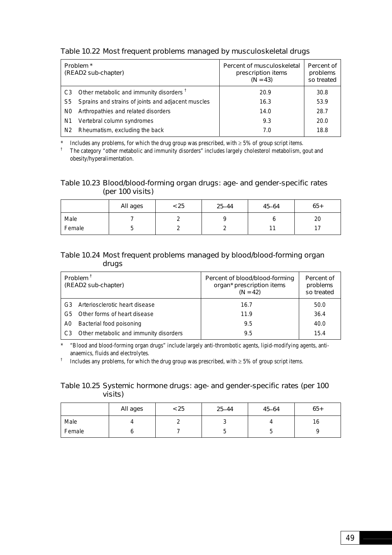### Table 10.22 Most frequent problems managed by musculoskeletal drugs

| Problem <sup>*</sup><br>(READ2 sub-chapter) |                                                        | Percent of musculoskeletal<br>prescription items<br>$(N = 43)$ | Percent of<br>problems<br>so treated |
|---------------------------------------------|--------------------------------------------------------|----------------------------------------------------------------|--------------------------------------|
|                                             | C3 Other metabolic and immunity disorders <sup>t</sup> | 20.9                                                           | 30.8                                 |
| S5                                          | Sprains and strains of joints and adjacent muscles     | 16.3                                                           | 53.9                                 |
| N0                                          | Arthropathies and related disorders                    | 14.0                                                           | 28.7                                 |
| N1                                          | Vertebral column syndromes                             | 9.3                                                            | 20.0                                 |
| N <sub>2</sub>                              | Rheumatism, excluding the back                         | 7.0                                                            | 18.8                                 |

Includes any problems, for which the drug group was prescribed, with  $\geq$  5% of group script items.

† The category "other metabolic and immunity disorders" includes largely cholesterol metabolism, gout and obesity/hyperalimentation.

#### Table 10.23 Blood/blood-forming organ drugs: age- and gender-specific rates (per 100 visits)

|        | All ages | < 25 | $25 - 44$ | $45 - 64$ | $65+$     |
|--------|----------|------|-----------|-----------|-----------|
| Male   |          |      |           |           | 20        |
| Female | ◡        |      |           | $\sim$    | 17<br>. . |

### Table 10.24 Most frequent problems managed by blood/blood-forming organ drugs

| Problem <sup>1</sup><br>(READ2 sub-chapter) |                                        | Percent of blood/blood-forming<br>organ* prescription items<br>$(N = 42)$ | Percent of<br>problems<br>so treated |
|---------------------------------------------|----------------------------------------|---------------------------------------------------------------------------|--------------------------------------|
| G <sub>3</sub>                              | Arteriosclerotic heart disease         | 16.7                                                                      | 50.0                                 |
| G5                                          | Other forms of heart disease           | 11.9                                                                      | 36.4                                 |
| A0                                          | Bacterial food poisoning               | 9.5                                                                       | 40.0                                 |
| C <sub>3</sub>                              | Other metabolic and immunity disorders | 9.5                                                                       | 15.4                                 |

\* "Blood and blood-forming organ drugs" include largely anti-thrombotic agents, lipid-modifying agents, antianaemics, fluids and electrolytes.

† Includes any problems, for which the drug group was prescribed, with  $\geq$  5% of group script items.

### Table 10.25 Systemic hormone drugs: age- and gender-specific rates (per 100 visits)

|        | All ages | < 25 | $25 - 44$ | $45 - 64$ | $65+$ |
|--------|----------|------|-----------|-----------|-------|
| Male   |          |      | $\cdot$   |           | 10    |
| Female |          |      | u         | J         |       |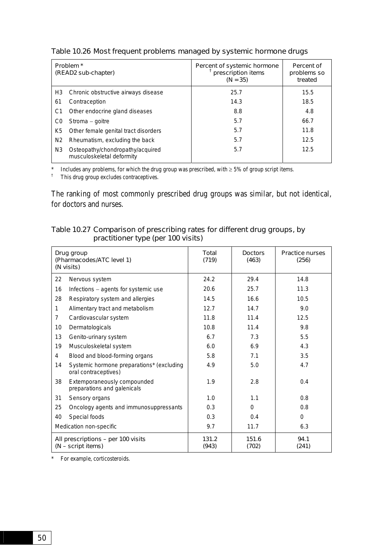| Problem <sup>*</sup><br>(READ2 sub-chapter) |                                                               | Percent of systemic hormone<br>prescription items<br>$(N = 35)$ | Percent of<br>problems so<br>treated |
|---------------------------------------------|---------------------------------------------------------------|-----------------------------------------------------------------|--------------------------------------|
| H3                                          | Chronic obstructive airways disease                           | 25.7                                                            | 15.5                                 |
| 61                                          | Contraception                                                 | 14.3                                                            | 18.5                                 |
| C1                                          | Other endocrine gland diseases                                | 8.8                                                             | 4.8                                  |
| C0                                          | Stroma – goitre                                               | 5.7                                                             | 66.7                                 |
| K5                                          | Other female genital tract disorders                          | 5.7                                                             | 11.8                                 |
| N <sub>2</sub>                              | Rheumatism, excluding the back                                | 5.7                                                             | 12.5                                 |
| N <sub>3</sub>                              | Osteopathy/chondropathy/acquired<br>musculoskeletal deformity | 5.7                                                             | 12.5                                 |

Table 10.26 Most frequent problems managed by systemic hormone drugs

Includes any problems, for which the drug group was prescribed, with  $\geq$  5% of group script items.

† This drug group excludes contraceptives.

The ranking of most commonly prescribed drug groups was similar, but not identical, for doctors and nurses.

| Table 10.27 Comparison of prescribing rates for different drug groups, by |
|---------------------------------------------------------------------------|
| practitioner type (per 100 visits)                                        |

| Drug group<br>(Pharmacodes/ATC level 1)<br>(N visits)    |                                                                   | Total<br>(719) | <b>Doctors</b><br>(463) | <b>Practice nurses</b><br>(256) |
|----------------------------------------------------------|-------------------------------------------------------------------|----------------|-------------------------|---------------------------------|
| 22                                                       | Nervous system                                                    | 24.2           | 29.4                    | 14.8                            |
| 16                                                       | Infections - agents for systemic use                              | 20.6           | 25.7                    | 11.3                            |
| 28                                                       | Respiratory system and allergies                                  | 14.5           | 16.6                    | 10.5                            |
| $\mathbf{1}$                                             | Alimentary tract and metabolism                                   | 12.7           | 14.7                    | 9.0                             |
| $\overline{7}$                                           | Cardiovascular system                                             | 11.8           | 11.4                    | 12.5                            |
| 10                                                       | Dermatologicals                                                   | 10.8           | 11.4                    | 9.8                             |
| 13                                                       | Genito-urinary system                                             | 6.7            | 7.3                     | 5.5                             |
| 19                                                       | Musculoskeletal system                                            | 6.0            | 6.9                     | 4.3                             |
| 4                                                        | Blood and blood-forming organs                                    | 5.8            | 7.1                     | 3.5                             |
| 14                                                       | Systemic hormone preparations* (excluding<br>oral contraceptives) | 4.9            | 5.0                     | 4.7                             |
| 38                                                       | Extemporaneously compounded<br>preparations and galenicals        | 1.9            | 2.8                     | 0.4                             |
| 31                                                       | Sensory organs                                                    | 1.0            | 1.1                     | 0.8                             |
| 25                                                       | Oncology agents and immunosuppressants                            | 0.3            | $\Omega$                | 0.8                             |
| 40                                                       | Special foods                                                     | 0.3            | 0.4                     | $\Omega$                        |
|                                                          | Medication non-specific                                           | 9.7            | 11.7                    | 6.3                             |
| All prescriptions - per 100 visits<br>(N - script items) |                                                                   | 131.2<br>(943) | 151.6<br>(702)          | 94.1<br>(241)                   |

\* For example, corticosteroids.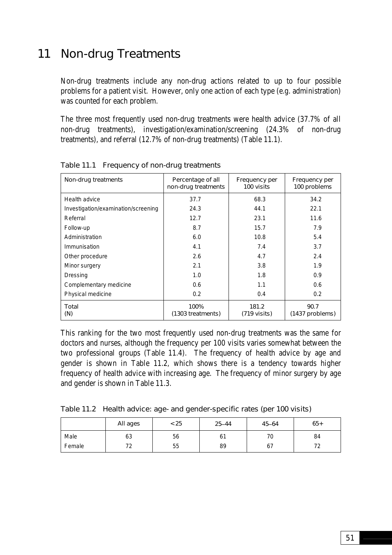# 11 Non-drug Treatments

Non-drug treatments include any non-drug actions related to up to four possible problems for a patient visit. However, only one action of each type (e.g. administration) was counted for each problem.

The three most frequently used non-drug treatments were health advice (37.7% of all non-drug treatments), investigation/examination/screening (24.3% of non-drug treatments), and referral (12.7% of non-drug treatments) (Table 11.1).

| Non-drug treatments                 | Percentage of all<br>non-drug treatments | <b>Frequency per</b><br>100 visits | Frequency per<br>100 problems |
|-------------------------------------|------------------------------------------|------------------------------------|-------------------------------|
| Health advice                       | 37.7                                     | 68.3                               | 34.2                          |
| Investigation/examination/screening | 24.3                                     | 44.1                               | 22.1                          |
| Referral                            | 12.7                                     | 23.1                               | 11.6                          |
| Follow-up                           | 8.7                                      | 15.7                               | 7.9                           |
| Administration                      | 6.0                                      | 10.8                               | 5.4                           |
| Immunisation                        | 4.1                                      | 7.4                                | 3.7                           |
| Other procedure                     | 2.6                                      | 4.7                                | 2.4                           |
| Minor surgery                       | 2.1                                      | 3.8                                | 1.9                           |
| Dressing                            | 1.0                                      | 1.8                                | 0.9                           |
| Complementary medicine              | 0.6                                      | 1.1                                | 0.6                           |
| Physical medicine                   | 0.2                                      | 0.4                                | 0.2                           |
| Total<br>(N)                        | 100%<br>(1303 treatments)                | 181.2<br>$(719 \text{ visits})$    | 90.7<br>(1437 problems)       |

Table 11.1 Frequency of non-drug treatments

This ranking for the two most frequently used non-drug treatments was the same for doctors and nurses, although the frequency per 100 visits varies somewhat between the two professional groups (Table 11.4). The frequency of health advice by age and gender is shown in Table 11.2, which shows there is a tendency towards higher frequency of health advice with increasing age. The frequency of minor surgery by age and gender is shown in Table 11.3.

Table 11.2 Health advice: age- and gender-specific rates (per 100 visits)

|        | All ages  | < 25 | $25 - 44$ | $45 - 64$ | $65+$ |
|--------|-----------|------|-----------|-----------|-------|
| Male   | 63        | 56   | 61        | 70        | 84    |
| Female | 77<br>1 Z | 55   | 89        | 67        |       |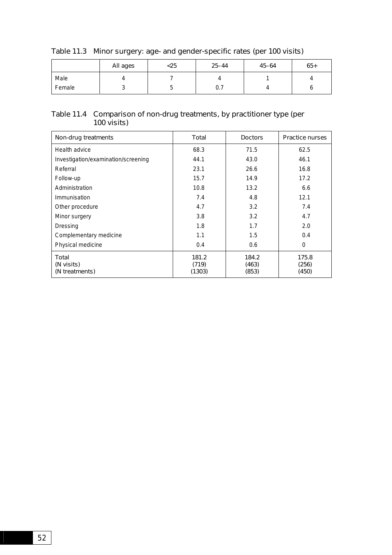|        | All ages | $25$ | $25 - 44$ | $45 - 64$ | $65+$ |
|--------|----------|------|-----------|-----------|-------|
| Male   |          |      |           |           |       |
| Female |          | ັ    | υ. Ι      |           |       |

# Table 11.3 Minor surgery: age- and gender-specific rates (per 100 visits)

#### Table 11.4 Comparison of non-drug treatments, by practitioner type (per 100 visits)

| Non-drug treatments                   | Total                    | <b>Doctors</b>          | <b>Practice nurses</b>  |
|---------------------------------------|--------------------------|-------------------------|-------------------------|
| Health advice                         | 68.3                     | 71.5                    | 62.5                    |
| Investigation/examination/screening   | 44.1                     | 43.0                    | 46.1                    |
| Referral                              | 23.1                     | 26.6                    | 16.8                    |
| Follow-up                             | 15.7                     | 14.9                    | 17.2                    |
| Administration                        | 10.8                     | 13.2                    | 6.6                     |
| Immunisation                          | 7.4                      | 4.8                     | 12.1                    |
| Other procedure                       | 4.7                      | 3.2                     | 7.4                     |
| Minor surgery                         | 3.8                      | 3.2                     | 4.7                     |
| Dressing                              | 1.8                      | 1.7                     | 2.0                     |
| Complementary medicine                | 1.1                      | 1.5                     | 0.4                     |
| Physical medicine                     | 0.4                      | 0.6                     | $\Omega$                |
| Total<br>(N visits)<br>(N treatments) | 181.2<br>(719)<br>(1303) | 184.2<br>(463)<br>(853) | 175.8<br>(256)<br>(450) |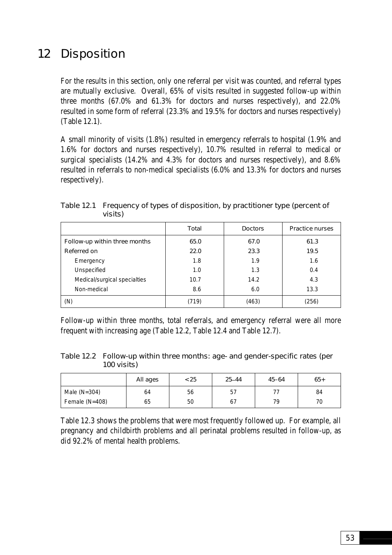# 12 Disposition

For the results in this section, only one referral per visit was counted, and referral types are mutually exclusive. Overall, 65% of visits resulted in suggested follow-up within three months (67.0% and 61.3% for doctors and nurses respectively), and 22.0% resulted in some form of referral (23.3% and 19.5% for doctors and nurses respectively) (Table 12.1).

A small minority of visits (1.8%) resulted in emergency referrals to hospital (1.9% and 1.6% for doctors and nurses respectively), 10.7% resulted in referral to medical or surgical specialists (14.2% and 4.3% for doctors and nurses respectively), and 8.6% resulted in referrals to non-medical specialists (6.0% and 13.3% for doctors and nurses respectively).

|                               | Total | <b>Doctors</b> | <b>Practice nurses</b> |
|-------------------------------|-------|----------------|------------------------|
| Follow-up within three months | 65.0  | 67.0           | 61.3                   |
| Referred on                   | 22.0  | 23.3           | 19.5                   |
| Emergency                     | 1.8   | 1.9            | 1.6                    |
| Unspecified                   | 1.0   | 1.3            | 0.4                    |
| Medical/surgical specialties  | 10.7  | 14.2           | 4.3                    |
| Non-medical                   | 8.6   | 6.0            | 13.3                   |
| (N)                           | 719)  | (463)          | (256)                  |

Table 12.1 Frequency of types of disposition, by practitioner type (percent of visits)

Follow-up within three months, total referrals, and emergency referral were all more frequent with increasing age (Table 12.2, Table 12.4 and Table 12.7).

Table 12.2 Follow-up within three months: age- and gender-specific rates (per 100 visits)

|                  | All ages | < 25 | $25 - 44$ | $45 - 64$ | $65+$ |
|------------------|----------|------|-----------|-----------|-------|
| Male $(N=304)$   | 64       | 56   | 57        |           | 84    |
| Female $(N=408)$ | 65       | 50   | 67        | 79        | 70    |

Table 12.3 shows the problems that were most frequently followed up. For example, all pregnancy and childbirth problems and all perinatal problems resulted in follow-up, as did 92.2% of mental health problems.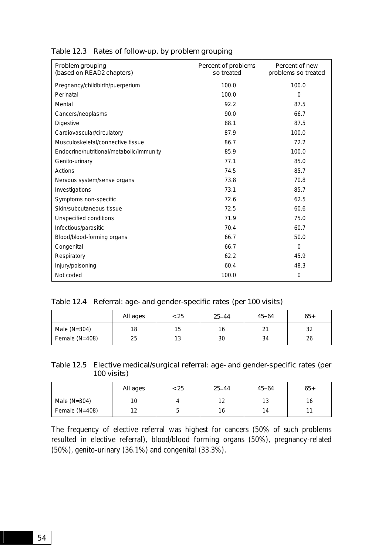| Problem grouping<br>(based on READ2 chapters) | Percent of problems<br>so treated | Percent of new<br>problems so treated |
|-----------------------------------------------|-----------------------------------|---------------------------------------|
| Pregnancy/childbirth/puerperium               | 100.0                             | 100.0                                 |
| Perinatal                                     | 100.0                             | $\Omega$                              |
| Mental                                        | 92.2                              | 87.5                                  |
| Cancers/neoplasms                             | 90.0                              | 66.7                                  |
| <b>Digestive</b>                              | 88.1                              | 87.5                                  |
| Cardiovascular/circulatory                    | 87.9                              | 100.0                                 |
| Musculoskeletal/connective tissue             | 86.7                              | 72.2                                  |
| Endocrine/nutritional/metabolic/immunity      | 85.9                              | 100.0                                 |
| Genito-urinary                                | 77.1                              | 85.0                                  |
| Actions                                       | 74.5                              | 85.7                                  |
| Nervous system/sense organs                   | 73.8                              | 70.8                                  |
| Investigations                                | 73.1                              | 85.7                                  |
| Symptoms non-specific                         | 72.6                              | 62.5                                  |
| Skin/subcutaneous tissue                      | 72.5                              | 60.6                                  |
| Unspecified conditions                        | 71.9                              | 75.0                                  |
| Infectious/parasitic                          | 70.4                              | 60.7                                  |
| Blood/blood-forming organs                    | 66.7                              | 50.0                                  |
| Congenital                                    | 66.7                              | $\Omega$                              |
| Respiratory                                   | 62.2                              | 45.9                                  |
| Injury/poisoning                              | 60.4                              | 48.3                                  |
| Not coded                                     | 100.0                             | 0                                     |

Table 12.3 Rates of follow-up, by problem grouping

# Table 12.4 Referral: age- and gender-specific rates (per 100 visits)

|                | All ages | < 25 | $25 - 44$ | $45 - 64$ | $65+$    |
|----------------|----------|------|-----------|-----------|----------|
| Male $(N=304)$ | 18       | 15   | 16        | $\sim$    | າາ<br>ےت |
| Female (N=408) | 25       | 13   | 30        | 34        | 26       |

| Table 12.5 Elective medical/surgical referral: age- and gender-specific rates (per |
|------------------------------------------------------------------------------------|
| 100 visits)                                                                        |

|                | All ages   | < 25 | $25 - 44$ | $45 - 64$ | $65+$  |
|----------------|------------|------|-----------|-----------|--------|
| Male $(N=304)$ | 10         |      | 12        | 13        | 16     |
| Female (N=408) | 1 ລ<br>ے ا | ັ    | 16        | 14        | $\sim$ |

The frequency of elective referral was highest for cancers (50% of such problems resulted in elective referral), blood/blood forming organs (50%), pregnancy-related (50%), genito-urinary (36.1%) and congenital (33.3%).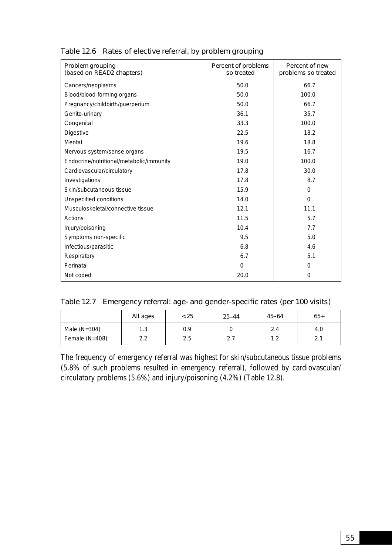| Problem grouping<br>(based on READ2 chapters) | Percent of problems<br>so treated | Percent of new<br>problems so treated |
|-----------------------------------------------|-----------------------------------|---------------------------------------|
| Cancers/neoplasms                             | 50.0                              | 66.7                                  |
| Blood/blood-forming organs                    | 50.0                              | 100.0                                 |
| Pregnancy/childbirth/puerperium               | 50.0                              | 66.7                                  |
| Genito-urinary                                | 36.1                              | 35.7                                  |
| Congenital                                    | 33.3                              | 100.0                                 |
| <b>Digestive</b>                              | 22.5                              | 18.2                                  |
| Mental                                        | 19.6                              | 18.8                                  |
| Nervous system/sense organs                   | 19.5                              | 16.7                                  |
| Endocrine/nutritional/metabolic/immunity      | 19.0                              | 100.0                                 |
| Cardiovascular/circulatory                    | 17.8                              | 30.0                                  |
| Investigations                                | 17.8                              | 8.7                                   |
| Skin/subcutaneous tissue                      | 15.9                              | $\Omega$                              |
| Unspecified conditions                        | 14.0                              | $\Omega$                              |
| Musculoskeletal/connective tissue             | 12.1                              | 11.1                                  |
| Actions                                       | 11.5                              | 5.7                                   |
| Injury/poisoning                              | 10.4                              | 7.7                                   |
| Symptoms non-specific                         | 9.5                               | 5.0                                   |
| Infectious/parasitic                          | 6.8                               | 4.6                                   |
| Respiratory                                   | 6.7                               | 5.1                                   |
| Perinatal                                     | $\Omega$                          | 0                                     |
| Not coded                                     | 20.0                              | 0                                     |

# Table 12.6 Rates of elective referral, by problem grouping

|  |  | Table 12.7 Emergency referral: age- and gender-specific rates (per 100 visits) |  |  |
|--|--|--------------------------------------------------------------------------------|--|--|
|--|--|--------------------------------------------------------------------------------|--|--|

|                  | All ages | < 25 | $25 - 44$ | $45 - 64$    | $65+$           |
|------------------|----------|------|-----------|--------------|-----------------|
| Male $(N=304)$   | 1.3      | 0.9  |           | 2.4          | 4.0             |
| Female $(N=408)$ | 2.2      | 2.5  | 2.7       | 1 າ<br>ے ، ا | 21<br><b>4.</b> |

The frequency of emergency referral was highest for skin/subcutaneous tissue problems (5.8% of such problems resulted in emergency referral), followed by cardiovascular/ circulatory problems (5.6%) and injury/poisoning (4.2%) (Table 12.8).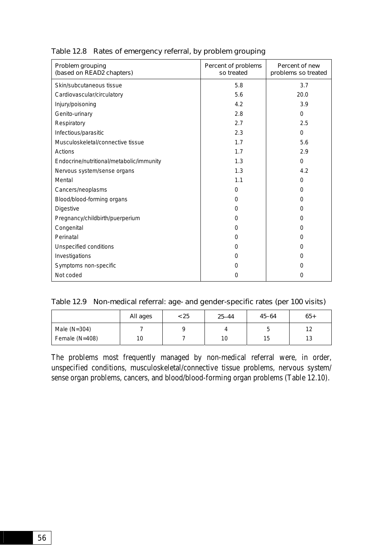| Problem grouping<br>(based on READ2 chapters) | Percent of problems<br>so treated | Percent of new<br>problems so treated |
|-----------------------------------------------|-----------------------------------|---------------------------------------|
| Skin/subcutaneous tissue                      | 5.8                               | 3.7                                   |
| Cardiovascular/circulatory                    | 5.6                               | 20.0                                  |
| Injury/poisoning                              | 4.2                               | 3.9                                   |
| Genito-urinary                                | 2.8                               | $\Omega$                              |
| Respiratory                                   | 2.7                               | 2.5                                   |
| Infectious/parasitic                          | 2.3                               | $\mathbf 0$                           |
| Musculoskeletal/connective tissue             | 1.7                               | 5.6                                   |
| Actions                                       | 1.7                               | 2.9                                   |
| Endocrine/nutritional/metabolic/immunity      | 1.3                               | $\Omega$                              |
| Nervous system/sense organs                   | 1.3                               | 4.2                                   |
| Mental                                        | 1.1                               | 0                                     |
| Cancers/neoplasms                             | $\Omega$                          | $\Omega$                              |
| Blood/blood-forming organs                    | $\Omega$                          | $\Omega$                              |
| <b>Digestive</b>                              | 0                                 | 0                                     |
| Pregnancy/childbirth/puerperium               | $\Omega$                          | 0                                     |
| Congenital                                    | 0                                 | 0                                     |
| Perinatal                                     | $\Omega$                          | 0                                     |
| Unspecified conditions                        | $\Omega$                          | 0                                     |
| Investigations                                | $\Omega$                          | 0                                     |
| Symptoms non-specific                         | 0                                 | 0                                     |
| Not coded                                     | 0                                 | 0                                     |

# Table 12.8 Rates of emergency referral, by problem grouping

|  |  | Table 12.9 Non-medical referral: age- and gender-specific rates (per 100 visits) |  |
|--|--|----------------------------------------------------------------------------------|--|
|--|--|----------------------------------------------------------------------------------|--|

|                  | All ages | < 25 | $25 - 44$ | $45 - 64$ | $65+$                 |
|------------------|----------|------|-----------|-----------|-----------------------|
| Male $(N=304)$   |          |      |           | ◡         | $1^{\circ}$           |
| Female $(N=408)$ | 10       |      | 10        | 15        | 1 <sub>0</sub><br>ں ו |

The problems most frequently managed by non-medical referral were, in order, unspecified conditions, musculoskeletal/connective tissue problems, nervous system/ sense organ problems, cancers, and blood/blood-forming organ problems (Table 12.10).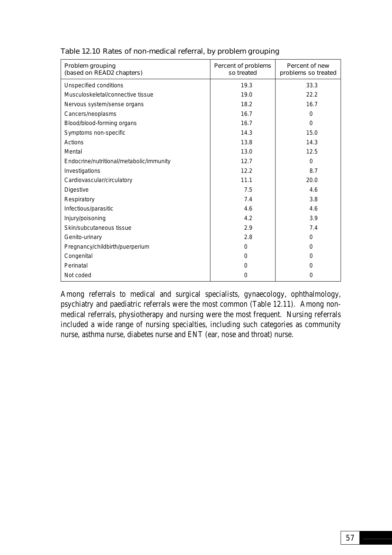| Problem grouping<br>(based on READ2 chapters) | Percent of problems<br>so treated | Percent of new<br>problems so treated |
|-----------------------------------------------|-----------------------------------|---------------------------------------|
| Unspecified conditions                        | 19.3                              | 33.3                                  |
| Musculoskeletal/connective tissue             | 19.0                              | 22.2                                  |
| Nervous system/sense organs                   | 18.2                              | 16.7                                  |
| Cancers/neoplasms                             | 16.7                              | $\Omega$                              |
| Blood/blood-forming organs                    | 16.7                              | $\Omega$                              |
| Symptoms non-specific                         | 14.3                              | 15.0                                  |
| Actions                                       | 13.8                              | 14.3                                  |
| Mental                                        | 13.0                              | 12.5                                  |
| Endocrine/nutritional/metabolic/immunity      | 12.7                              | $\Omega$                              |
| Investigations                                | 12.2                              | 8.7                                   |
| Cardiovascular/circulatory                    | 11.1                              | 20.0                                  |
| <b>Digestive</b>                              | 7.5                               | 4.6                                   |
| Respiratory                                   | 7.4                               | 3.8                                   |
| Infectious/parasitic                          | 4.6                               | 4.6                                   |
| Injury/poisoning                              | 4.2                               | 3.9                                   |
| Skin/subcutaneous tissue                      | 2.9                               | 7.4                                   |
| Genito-urinary                                | 2.8                               | $\Omega$                              |
| Pregnancy/childbirth/puerperium               | $\Omega$                          | 0                                     |
| Congenital                                    | $\Omega$                          | 0                                     |
| Perinatal                                     | 0                                 | 0                                     |
| Not coded                                     | $\Omega$                          | 0                                     |

# Table 12.10 Rates of non-medical referral, by problem grouping

Among referrals to medical and surgical specialists, gynaecology, ophthalmology, psychiatry and paediatric referrals were the most common (Table 12.11). Among nonmedical referrals, physiotherapy and nursing were the most frequent. Nursing referrals included a wide range of nursing specialties, including such categories as community nurse, asthma nurse, diabetes nurse and ENT (ear, nose and throat) nurse.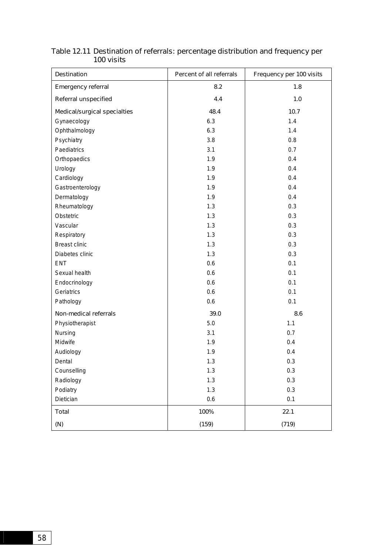| <b>Destination</b>           | Percent of all referrals | Frequency per 100 visits |  |
|------------------------------|--------------------------|--------------------------|--|
| <b>Emergency referral</b>    | 8.2                      | 1.8                      |  |
| Referral unspecified         | 4.4                      | 1.0                      |  |
| Medical/surgical specialties | 48.4                     | 10.7                     |  |
| Gynaecology                  | 6.3                      | 1.4                      |  |
| Ophthalmology                | 6.3                      | 1.4                      |  |
| Psychiatry                   | 3.8                      | 0.8                      |  |
| Paediatrics                  | 3.1                      | 0.7                      |  |
| Orthopaedics                 | 1.9                      | 0.4                      |  |
| Urology                      | 1.9                      | 0.4                      |  |
| Cardiology                   | 1.9                      | 0.4                      |  |
| Gastroenterology             | 1.9                      | 0.4                      |  |
| Dermatology                  | 1.9                      | 0.4                      |  |
| Rheumatology                 | 1.3                      | 0.3                      |  |
| Obstetric                    | 1.3                      | 0.3                      |  |
| Vascular                     | 1.3                      | 0.3                      |  |
| Respiratory                  | 1.3                      | 0.3                      |  |
| <b>Breast clinic</b>         | 1.3                      | 0.3                      |  |
| Diabetes clinic              | 1.3                      | 0.3                      |  |
| ENT                          | 0.6                      | 0.1                      |  |
| Sexual health                | 0.6                      | 0.1                      |  |
| Endocrinology                | 0.6                      | 0.1                      |  |
| Geriatrics                   | 0.6                      | 0.1                      |  |
| Pathology                    | 0.6                      | 0.1                      |  |
| Non-medical referrals        | 39.0                     | 8.6                      |  |
| Physiotherapist              | 5.0                      | 1.1                      |  |
| Nursing                      | 3.1                      | 0.7                      |  |
| Midwife                      | 1.9                      | 0.4                      |  |
| Audiology                    | 1.9                      | 0.4                      |  |
| Dental                       | 1.3                      | 0.3                      |  |
| Counselling                  | 1.3                      | 0.3                      |  |
| Radiology                    | 1.3                      | 0.3                      |  |
| Podiatry                     | 1.3                      | 0.3                      |  |
| Dietician                    | 0.6                      | 0.1                      |  |
| <b>Total</b>                 | 100%                     | 22.1                     |  |
| (N)                          | (159)                    | (719)                    |  |

### Table 12.11 Destination of referrals: percentage distribution and frequency per 100 visits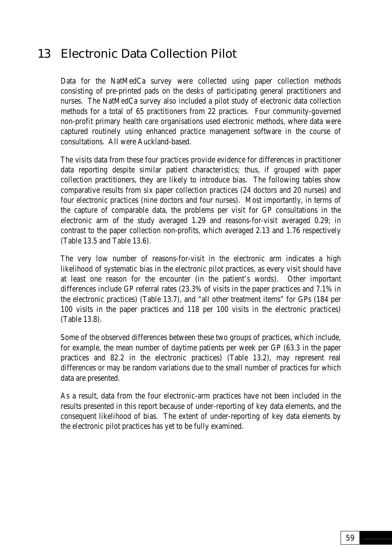# 13 Electronic Data Collection Pilot

Data for the NatMedCa survey were collected using paper collection methods consisting of pre-printed pads on the desks of participating general practitioners and nurses. The NatMedCa survey also included a pilot study of electronic data collection methods for a total of 65 practitioners from 22 practices. Four community-governed non-profit primary health care organisations used electronic methods, where data were captured routinely using enhanced practice management software in the course of consultations. All were Auckland-based.

The visits data from these four practices provide evidence for differences in practitioner data reporting despite similar patient characteristics; thus, if grouped with paper collection practitioners, they are likely to introduce bias. The following tables show comparative results from six paper collection practices (24 doctors and 20 nurses) and four electronic practices (nine doctors and four nurses). Most importantly, in terms of the capture of comparable data, the problems per visit for GP consultations in the electronic arm of the study averaged 1.29 and reasons-for-visit averaged 0.29; in contrast to the paper collection non-profits, which averaged 2.13 and 1.76 respectively (Table 13.5 and Table 13.6).

The very low number of reasons-for-visit in the electronic arm indicates a high likelihood of systematic bias in the electronic pilot practices, as every visit should have at least one reason for the encounter (in the patient's words). Other important differences include GP referral rates (23.3% of visits in the paper practices and 7.1% in the electronic practices) (Table 13.7), and "all other treatment items" for GPs (184 per 100 visits in the paper practices and 118 per 100 visits in the electronic practices) (Table 13.8).

Some of the observed differences between these two groups of practices, which include, for example, the mean number of daytime patients per week per GP (63.3 in the paper practices and 82.2 in the electronic practices) (Table 13.2), may represent real differences or may be random variations due to the small number of practices for which data are presented.

As a result, data from the four electronic-arm practices have not been included in the results presented in this report because of under-reporting of key data elements, and the consequent likelihood of bias. The extent of under-reporting of key data elements by the electronic pilot practices has yet to be fully examined.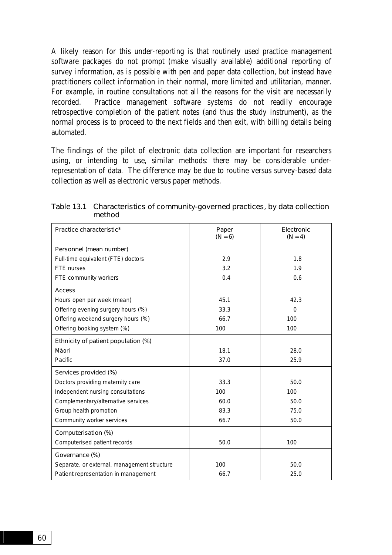A likely reason for this under-reporting is that routinely used practice management software packages do not prompt (make visually available) additional reporting of survey information, as is possible with pen and paper data collection, but instead have practitioners collect information in their normal, more limited and utilitarian, manner. For example, in routine consultations not all the reasons for the visit are necessarily recorded. Practice management software systems do not readily encourage retrospective completion of the patient notes (and thus the study instrument), as the normal process is to proceed to the next fields and then exit, with billing details being automated.

The findings of the pilot of electronic data collection are important for researchers using, or intending to use, similar methods: there may be considerable underrepresentation of data. The difference may be due to routine versus survey-based data collection as well as electronic versus paper methods.

| Practice characteristic*                    | Paper<br>$(N = 6)$ | Electronic<br>$(N = 4)$ |
|---------------------------------------------|--------------------|-------------------------|
| Personnel (mean number)                     |                    |                         |
| Full-time equivalent (FTE) doctors          | 2.9                | 1.8                     |
| FTE nurses                                  | 3.2                | 1.9                     |
| FTE community workers                       | 0.4                | 0.6                     |
| <b>Access</b>                               |                    |                         |
| Hours open per week (mean)                  | 45.1               | 42.3                    |
| Offering evening surgery hours (%)          | 33.3               | $\Omega$                |
| Offering weekend surgery hours (%)          | 66.7               | 100                     |
| Offering booking system (%)                 | 100                | 100                     |
| Ethnicity of patient population (%)         |                    |                         |
| Mäori                                       | 18.1               | 28.0                    |
| Pacific                                     | 37.0               | 25.9                    |
| Services provided (%)                       |                    |                         |
| Doctors providing maternity care            | 33.3               | 50.0                    |
| Independent nursing consultations           | 100                | 100                     |
| Complementary/alternative services          | 60.0               | 50.0                    |
| Group health promotion                      | 83.3               | 75.0                    |
| Community worker services                   | 66.7               | 50.0                    |
| Computerisation (%)                         |                    |                         |
| Computerised patient records                | 50.0               | 100                     |
| Governance (%)                              |                    |                         |
| Separate, or external, management structure | 100                | 50.0                    |
| Patient representation in management        | 66.7               | 25.0                    |

Table 13.1 Characteristics of community-governed practices, by data collection method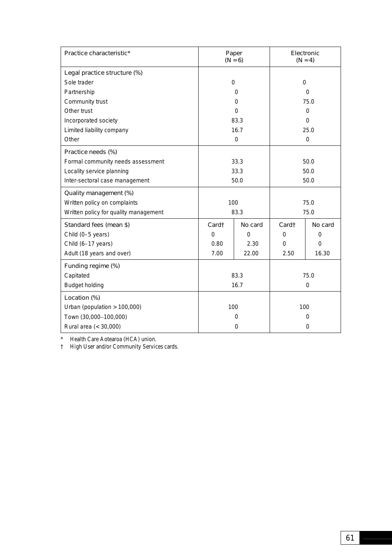| Practice characteristic*              | Paper<br>$(N = 6)$ |             | Electronic<br>$(N = 4)$ |          |
|---------------------------------------|--------------------|-------------|-------------------------|----------|
| Legal practice structure (%)          |                    |             |                         |          |
| Sole trader                           | $\Omega$           |             | $\Omega$                |          |
| Partnership                           | 0                  |             | $\Omega$                |          |
| Community trust                       |                    | $\Omega$    | 75.0                    |          |
| Other trust                           | $\Omega$           |             | $\Omega$                |          |
| Incorporated society                  | 83.3               |             | $\Omega$                |          |
| Limited liability company             | 16.7               |             | 25.0                    |          |
| Other                                 |                    | $\mathbf 0$ | $\mathbf 0$             |          |
| Practice needs (%)                    |                    |             |                         |          |
| Formal community needs assessment     | 33.3               |             | 50.0                    |          |
| Locality service planning             | 33.3               |             | 50.0                    |          |
| Inter-sectoral case management        | 50.0               |             | 50.0                    |          |
| Quality management (%)                |                    |             |                         |          |
| Written policy on complaints          | 100                |             | 75.0                    |          |
| Written policy for quality management | 83.3               |             | 75.0                    |          |
| Standard fees (mean \$)               | Card <sub>1</sub>  | No card     | Card <sub>1</sub>       | No card  |
| Child (0-5 years)                     | $\Omega$           | $\Omega$    | 0                       | 0        |
| Child (6-17 years)                    | 0.80               | 2.30        | $\Omega$                | $\Omega$ |
| Adult (18 years and over)             | 7.00               | 22.00       | 2.50                    | 16.30    |
| Funding regime (%)                    |                    |             |                         |          |
| Capitated                             | 83.3               |             | 75.0                    |          |
| <b>Budget holding</b>                 | 16.7               |             | $\overline{0}$          |          |
| Location (%)                          |                    |             |                         |          |
| Urban (population $> 100,000$ )       | 100                |             | 100                     |          |
| Town (30,000-100,000)                 | $\Omega$           |             | 0                       |          |
| Rural area (< 30,000)                 | 0                  |             | 0                       |          |

\* Health Care Aotearoa (HCA) union.

† High User and/or Community Services cards.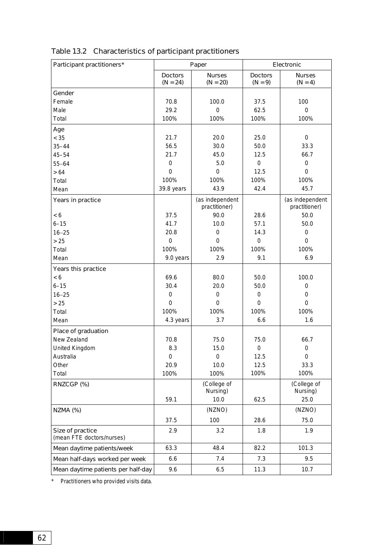| Participant practitioners*                    |                              | Paper                            | Electronic                  |                                  |
|-----------------------------------------------|------------------------------|----------------------------------|-----------------------------|----------------------------------|
|                                               | <b>Doctors</b><br>$(N = 24)$ | <b>Nurses</b><br>$(N = 20)$      | <b>Doctors</b><br>$(N = 9)$ | <b>Nurses</b><br>$(N = 4)$       |
| Gender                                        |                              |                                  |                             |                                  |
| Female                                        | 70.8                         | 100.0                            | 37.5                        | 100                              |
| Male                                          | 29.2                         | $\mathbf 0$                      | 62.5                        | $\mathbf 0$                      |
| Total                                         | 100%                         | 100%                             | 100%                        | 100%                             |
| Age                                           |                              |                                  |                             |                                  |
| < 35                                          | 21.7                         | 20.0                             | 25.0                        | $\mathbf 0$                      |
| $35 - 44$                                     | 56.5                         | 30.0                             | 50.0                        | 33.3                             |
| $45 - 54$                                     | 21.7                         | 45.0                             | 12.5                        | 66.7                             |
| $55 - 64$                                     | $\boldsymbol{0}$             | 5.0                              | $\mathbf 0$                 | $\boldsymbol{0}$                 |
| $>64$                                         | 0                            | $\boldsymbol{0}$                 | 12.5                        | $\mathbf 0$                      |
| Total                                         | 100%                         | 100%                             | 100%                        | 100%                             |
| Mean                                          | 39.8 years                   | 43.9                             | 42.4                        | 45.7                             |
| Years in practice                             |                              | (as independent<br>practitioner) |                             | (as independent<br>practitioner) |
| < 6                                           | 37.5                         | 90.0                             | 28.6                        | 50.0                             |
| $6 - 15$                                      | 41.7                         | 10.0                             | 57.1                        | 50.0                             |
| $16 - 25$                                     | 20.8                         | $\mathbf 0$                      | 14.3                        | $\mathbf 0$                      |
| >25                                           | $\mathbf 0$                  | $\mathbf 0$                      | $\mathbf 0$                 | $\mathbf 0$                      |
| Total                                         | 100%                         | 100%                             | 100%                        | 100%                             |
| Mean                                          | 9.0 years                    | 2.9                              | 9.1                         | 6.9                              |
| Years this practice                           |                              |                                  |                             |                                  |
| < 6                                           | 69.6                         | 80.0                             | 50.0                        | 100.0                            |
| $6 - 15$                                      | 30.4                         | 20.0                             | 50.0                        | $\boldsymbol{0}$                 |
| $16 - 25$                                     | 0                            | $\mathbf 0$                      | $\mathbf 0$                 | $\boldsymbol{0}$                 |
| > 25                                          | 0<br>100%                    | $\mathbf 0$<br>100%              | $\Omega$<br>100%            | $\mathbf 0$<br>100%              |
| Total<br>Mean                                 | 4.3 years                    | 3.7                              | 6.6                         | 1.6                              |
|                                               |                              |                                  |                             |                                  |
| Place of graduation                           |                              |                                  |                             |                                  |
| New Zealand                                   | 70.8                         | 75.0                             | 75.0                        | 66.7                             |
| United Kingdom                                | 8.3                          | 15.0                             | $\mathbf 0$                 | $\boldsymbol{0}$                 |
| Australia<br>Other                            | 0<br>20.9                    | 0<br>10.0                        | 12.5<br>12.5                | 0<br>33.3                        |
| Total                                         | 100%                         | 100%                             | 100%                        | 100%                             |
|                                               |                              | (College of                      |                             | (College of                      |
| RNZCGP (%)                                    |                              | Nursing)                         |                             | Nursing)                         |
|                                               | 59.1                         | 10.0                             | 62.5                        | 25.0                             |
| <b>NZMA (%)</b>                               |                              | (NZNO)                           |                             | (NZNO)                           |
|                                               | 37.5                         | 100                              | 28.6                        | 75.0                             |
| Size of practice<br>(mean FTE doctors/nurses) | 2.9                          | 3.2                              | 1.8                         | 1.9                              |
| Mean daytime patients/week                    | 63.3                         | 48.4                             | 82.2                        | 101.3                            |
| Mean half-days worked per week                | 6.6                          | 7.4                              | 7.3                         | 9.5                              |
| Mean daytime patients per half-day            | 9.6                          | 6.5                              | 11.3                        | 10.7                             |

# Table 13.2 Characteristics of participant practitioners

\* Practitioners who provided visits data.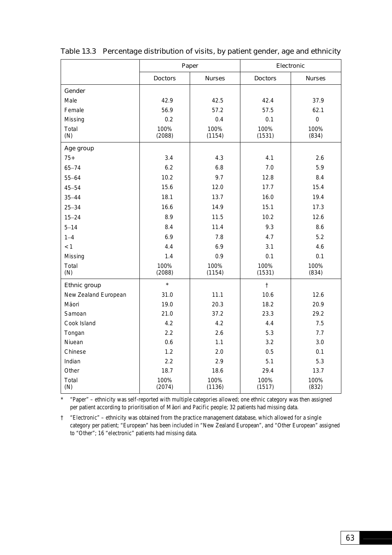|                      |                | Paper          |                | Electronic    |
|----------------------|----------------|----------------|----------------|---------------|
|                      | <b>Doctors</b> | <b>Nurses</b>  | <b>Doctors</b> | <b>Nurses</b> |
| Gender               |                |                |                |               |
| Male                 | 42.9           | 42.5           | 42.4           | 37.9          |
| Female               | 56.9           | 57.2           | 57.5           | 62.1          |
| Missing              | 0.2            | 0.4            | 0.1            | $\mathbf 0$   |
| Total<br>(N)         | 100%<br>(2088) | 100%<br>(1154) | 100%<br>(1531) | 100%<br>(834) |
| Age group            |                |                |                |               |
| $75+$                | 3.4            | 4.3            | 4.1            | 2.6           |
| $65 - 74$            | 6.2            | 6.8            | 7.0            | 5.9           |
| $55 - 64$            | 10.2           | 9.7            | 12.8           | 8.4           |
| $45 - 54$            | 15.6           | 12.0           | 17.7           | 15.4          |
| $35 - 44$            | 18.1           | 13.7           | 16.0           | 19.4          |
| $25 - 34$            | 16.6           | 14.9           | 15.1           | 17.3          |
| $15 - 24$            | 8.9            | 11.5           | 10.2           | 12.6          |
| $5 - 14$             | 8.4            | 11.4           | 9.3            | 8.6           |
| $1 - 4$              | 6.9            | 7.8            | 4.7            | 5.2           |
| < 1                  | 4.4            | 6.9            | 3.1            | 4.6           |
| Missing              | 1.4            | 0.9            | 0.1            | 0.1           |
| Total<br>(N)         | 100%<br>(2088) | 100%<br>(1154) | 100%<br>(1531) | 100%<br>(834) |
| Ethnic group         | $\star$        |                | $\ddagger$     |               |
| New Zealand European | 31.0           | 11.1           | 10.6           | 12.6          |
| Mäori                | 19.0           | 20.3           | 18.2           | 20.9          |
| Samoan               | 21.0           | 37.2           | 23.3           | 29.2          |
| Cook Island          | 4.2            | 4.2            | 4.4            | 7.5           |
| Tongan               | 2.2            | 2.6            | 5.3            | 7.7           |
| Niuean               | 0.6            | 1.1            | 3.2            | 3.0           |
| Chinese              | 1.2            | 2.0            | 0.5            | 0.1           |
| Indian               | 2.2            | 2.9            | 5.1            | 5.3           |
| Other                | 18.7           | 18.6           | 29.4           | 13.7          |
| Total<br>(N)         | 100%<br>(2074) | 100%<br>(1136) | 100%<br>(1517) | 100%<br>(832) |

\* "Paper" – ethnicity was self-reported with multiple categories allowed; one ethnic category was then assigned per patient according to prioritisation of Mäori and Pacific people; 32 patients had missing data.

† "Electronic" – ethnicity was obtained from the practice management database, which allowed for a single category per patient; "European" has been included in "New Zealand European", and "Other European" assigned to "Other"; 16 "electronic" patients had missing data.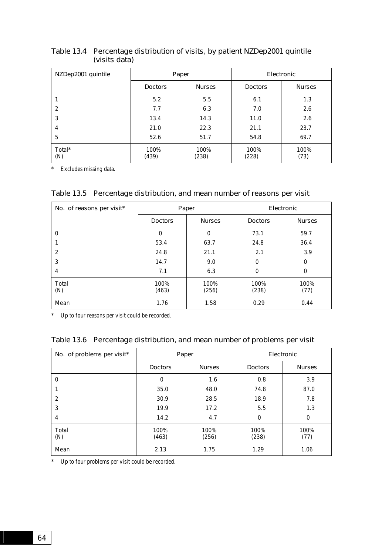| NZDep2001 quintile |                | Paper         |                | Electronic    |
|--------------------|----------------|---------------|----------------|---------------|
|                    | <b>Doctors</b> | <b>Nurses</b> | <b>Doctors</b> | <b>Nurses</b> |
|                    | 5.2            | 5.5           | 6.1            | 1.3           |
| 2                  | 7.7            | 6.3           | 7.0            | 2.6           |
| 3                  | 13.4           | 14.3          | 11.0           | 2.6           |
| 4                  | 21.0           | 22.3          | 21.1           | 23.7          |
| 5                  | 52.6           | 51.7          | 54.8           | 69.7          |
| Total*<br>(N)      | 100%<br>(439)  | 100%<br>(238) | 100%<br>(228)  | 100%<br>(73)  |

### Table 13.4 Percentage distribution of visits, by patient NZDep2001 quintile (visits data)

\* Excludes missing data.

|                         | Table 13.5 Percentage distribution, and mean number of reasons per visit |  |
|-------------------------|--------------------------------------------------------------------------|--|
| $\cdot$ $\cdot$ $\cdot$ |                                                                          |  |

| No. of reasons per visit* |                | Paper         |                | Electronic    |
|---------------------------|----------------|---------------|----------------|---------------|
|                           | <b>Doctors</b> | <b>Nurses</b> | <b>Doctors</b> | <b>Nurses</b> |
| 0                         | $\Omega$       | 0             | 73.1           | 59.7          |
|                           | 53.4           | 63.7          | 24.8           | 36.4          |
| 2                         | 24.8           | 21.1          | 2.1            | 3.9           |
| 3                         | 14.7           | 9.0           | $\Omega$       | 0             |
| 4                         | 7.1            | 6.3           | $\Omega$       | 0             |
| Total<br>(N)              | 100%<br>(463)  | 100%<br>(256) | 100%<br>(238)  | 100%<br>(77)  |
| Mean                      | 1.76           | 1.58          | 0.29           | 0.44          |

\* Up to four reasons per visit could be recorded.

|  | Table 13.6 Percentage distribution, and mean number of problems per visit |  |  |
|--|---------------------------------------------------------------------------|--|--|
|--|---------------------------------------------------------------------------|--|--|

| No. of problems per visit* | Paper          |               |                | Electronic    |
|----------------------------|----------------|---------------|----------------|---------------|
|                            | <b>Doctors</b> | <b>Nurses</b> | <b>Doctors</b> | <b>Nurses</b> |
| 0                          | $\Omega$       | 1.6           | 0.8            | 3.9           |
|                            | 35.0           | 48.0          | 74.8           | 87.0          |
| $\overline{2}$             | 30.9           | 28.5          | 18.9           | 7.8           |
| 3                          | 19.9           | 17.2          | 5.5            | 1.3           |
| 4                          | 14.2           | 4.7           | $\Omega$       | 0             |
| Total<br>(N)               | 100%<br>(463)  | 100%<br>(256) | 100%<br>(238)  | 100%<br>(77)  |
| Mean                       | 2.13           | 1.75          | 1.29           | 1.06          |

\* Up to four problems per visit could be recorded.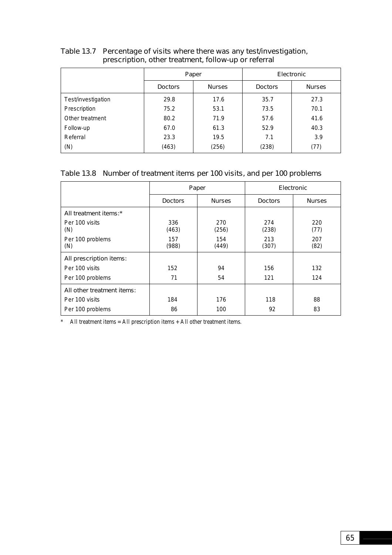|                    |                | Paper         |                | Electronic    |
|--------------------|----------------|---------------|----------------|---------------|
|                    | <b>Doctors</b> | <b>Nurses</b> | <b>Doctors</b> | <b>Nurses</b> |
| Test/investigation | 29.8           | 17.6          | 35.7           | 27.3          |
| Prescription       | 75.2           | 53.1          | 73.5           | 70.1          |
| Other treatment    | 80.2           | 71.9          | 57.6           | 41.6          |
| Follow-up          | 67.0           | 61.3          | 52.9           | 40.3          |
| Referral           | 23.3           | 19.5          | 7.1            | 3.9           |
| (N)                | (463)          | (256)         | (238)          | (77)          |

### Table 13.7 Percentage of visits where there was any test/investigation, prescription, other treatment, follow-up or referral

# Table 13.8 Number of treatment items per 100 visits, and per 100 problems

|                            | Paper          |               |                | Electronic    |
|----------------------------|----------------|---------------|----------------|---------------|
|                            | <b>Doctors</b> | <b>Nurses</b> | <b>Doctors</b> | <b>Nurses</b> |
| All treatment items:*      |                |               |                |               |
| Per 100 visits<br>(N)      | 336<br>(463)   | 270<br>(256)  | 274<br>(238)   | 220<br>(77)   |
| Per 100 problems<br>(N)    | 157<br>(988)   | 154<br>(449)  | 213<br>(307)   | 207<br>(82)   |
| All prescription items:    |                |               |                |               |
| Per 100 visits             | 152            | 94            | 156            | 132           |
| Per 100 problems           | 71             | 54            | 121            | 124           |
| All other treatment items: |                |               |                |               |
| Per 100 visits             | 184            | 176           | 118            | 88            |
| Per 100 problems           | 86             | 100           | 92             | 83            |

\* All treatment items = All prescription items + All other treatment items.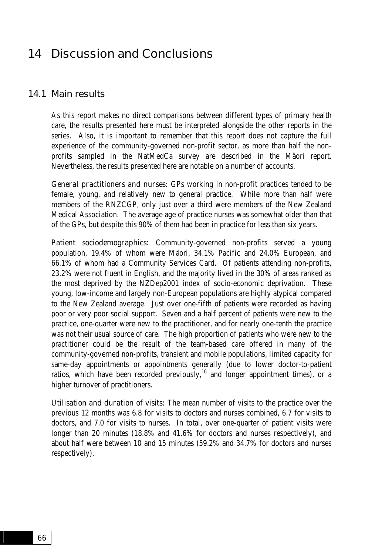# 14 Discussion and Conclusions

### 14.1 Main results

As this report makes no direct comparisons between different types of primary health care, the results presented here must be interpreted alongside the other reports in the series. Also, it is important to remember that this report does not capture the full experience of the community-governed non-profit sector, as more than half the nonprofits sampled in the NatMedCa survey are described in the Mäori report. Nevertheless, the results presented here are notable on a number of accounts.

General practitioners and nurses: GPs working in non-profit practices tended to be female, young, and relatively new to general practice. While more than half were members of the RNZCGP, only just over a third were members of the New Zealand Medical Association. The average age of practice nurses was somewhat older than that of the GPs, but despite this 90% of them had been in practice for less than six years.

Patient sociodemographics: Community-governed non-profits served a young population, 19.4% of whom were Mäori, 34.1% Pacific and 24.0% European, and 66.1% of whom had a Community Services Card. Of patients attending non-profits, 23.2% were not fluent in English, and the majority lived in the 30% of areas ranked as the most deprived by the NZDep2001 index of socio-economic deprivation. These young, low-income and largely non-European populations are highly atypical compared to the New Zealand average. Just over one-fifth of patients were recorded as having poor or very poor social support. Seven and a half percent of patients were new to the practice, one-quarter were new to the practitioner, and for nearly one-tenth the practice was not their usual source of care. The high proportion of patients who were new to the practitioner could be the result of the team-based care offered in many of the community-governed non-profits, transient and mobile populations, limited capacity for same-day appointments or appointments generally (due to lower doctor-to-patient ratios, which have been recorded previously,  $16$  and longer appointment times), or a higher turnover of practitioners.

Utilisation and duration of visits: The mean number of visits to the practice over the previous 12 months was 6.8 for visits to doctors and nurses combined, 6.7 for visits to doctors, and 7.0 for visits to nurses. In total, over one-quarter of patient visits were longer than 20 minutes (18.8% and 41.6% for doctors and nurses respectively), and about half were between 10 and 15 minutes (59.2% and 34.7% for doctors and nurses respectively).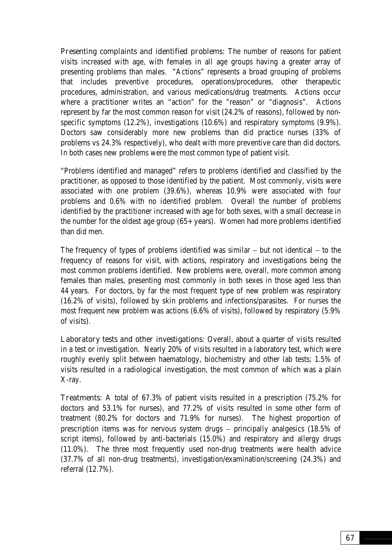Presenting complaints and identified problems: The number of reasons for patient visits increased with age, with females in all age groups having a greater array of presenting problems than males. "Actions" represents a broad grouping of problems that includes preventive procedures, operations/procedures, other therapeutic procedures, administration, and various medications/drug treatments. Actions occur where a practitioner writes an "action" for the "reason" or "diagnosis". Actions represent by far the most common reason for visit (24.2% of reasons), followed by nonspecific symptoms (12.2%), investigations (10.6%) and respiratory symptoms (9.9%). Doctors saw considerably more new problems than did practice nurses (33% of problems vs 24.3% respectively), who dealt with more preventive care than did doctors. In both cases new problems were the most common type of patient visit.

"Problems identified and managed" refers to problems identified and classified by the practitioner, as opposed to those identified by the patient. Most commonly, visits were associated with one problem (39.6%), whereas 10.9% were associated with four problems and 0.6% with no identified problem. Overall the number of problems identified by the practitioner increased with age for both sexes, with a small decrease in the number for the oldest age group (65+ years). Women had more problems identified than did men.

The frequency of types of problems identified was similar − but not identical − to the frequency of reasons for visit, with actions, respiratory and investigations being the most common problems identified. New problems were, overall, more common among females than males, presenting most commonly in both sexes in those aged less than 44 years. For doctors, by far the most frequent type of new problem was respiratory (16.2% of visits), followed by skin problems and infections/parasites. For nurses the most frequent new problem was actions (6.6% of visits), followed by respiratory (5.9% of visits).

Laboratory tests and other investigations: Overall, about a quarter of visits resulted in a test or investigation. Nearly 20% of visits resulted in a laboratory test, which were roughly evenly split between haematology, biochemistry and other lab tests; 1.5% of visits resulted in a radiological investigation, the most common of which was a plain X-ray.

Treatments: A total of 67.3% of patient visits resulted in a prescription (75.2% for doctors and 53.1% for nurses), and 77.2% of visits resulted in some other form of treatment (80.2% for doctors and 71.9% for nurses). The highest proportion of prescription items was for nervous system drugs − principally analgesics (18.5% of script items), followed by anti-bacterials (15.0%) and respiratory and allergy drugs (11.0%). The three most frequently used non-drug treatments were health advice (37.7% of all non-drug treatments), investigation/examination/screening (24.3%) and referral (12.7%).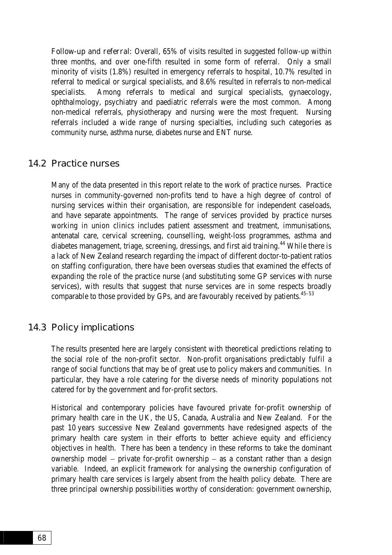Follow-up and referral: Overall, 65% of visits resulted in suggested follow-up within three months, and over one-fifth resulted in some form of referral. Only a small minority of visits (1.8%) resulted in emergency referrals to hospital, 10.7% resulted in referral to medical or surgical specialists, and 8.6% resulted in referrals to non-medical specialists. Among referrals to medical and surgical specialists, gynaecology, ophthalmology, psychiatry and paediatric referrals were the most common. Among non-medical referrals, physiotherapy and nursing were the most frequent. Nursing referrals included a wide range of nursing specialties, including such categories as community nurse, asthma nurse, diabetes nurse and ENT nurse.

## 14.2 Practice nurses

Many of the data presented in this report relate to the work of practice nurses. Practice nurses in community-governed non-profits tend to have a high degree of control of nursing services within their organisation, are responsible for independent caseloads, and have separate appointments. The range of services provided by practice nurses working in union clinics includes patient assessment and treatment, immunisations, antenatal care, cervical screening, counselling, weight-loss programmes, asthma and diabetes management, triage, screening, dressings, and first aid training.<sup>44</sup> While there is a lack of New Zealand research regarding the impact of different doctor-to-patient ratios on staffing configuration, there have been overseas studies that examined the effects of expanding the role of the practice nurse (and substituting some GP services with nurse services), with results that suggest that nurse services are in some respects broadly comparable to those provided by GPs, and are favourably received by patients.<sup>45-53</sup>

## 14.3 Policy implications

The results presented here are largely consistent with theoretical predictions relating to the social role of the non-profit sector. Non-profit organisations predictably fulfil a range of social functions that may be of great use to policy makers and communities. In particular, they have a role catering for the diverse needs of minority populations not catered for by the government and for-profit sectors.

Historical and contemporary policies have favoured private for-profit ownership of primary health care in the UK, the US, Canada, Australia and New Zealand. For the past 10 years successive New Zealand governments have redesigned aspects of the primary health care system in their efforts to better achieve equity and efficiency objectives in health. There has been a tendency in these reforms to take the dominant ownership model − private for-profit ownership − as a constant rather than a design variable. Indeed, an explicit framework for analysing the ownership configuration of primary health care services is largely absent from the health policy debate. There are three principal ownership possibilities worthy of consideration: government ownership,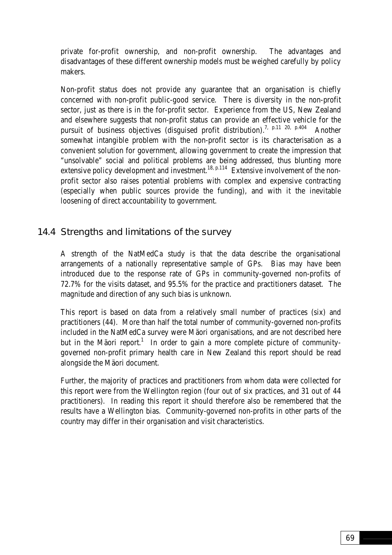private for-profit ownership, and non-profit ownership. The advantages and disadvantages of these different ownership models must be weighed carefully by policy makers.

Non-profit status does not provide any guarantee that an organisation is chiefly concerned with non-profit public-good service. There is diversity in the non-profit sector, just as there is in the for-profit sector. Experience from the US, New Zealand and elsewhere suggests that non-profit status can provide an effective vehicle for the pursuit of business objectives (disguised profit distribution).<sup>7, p.11 20, p.404</sup> Another somewhat intangible problem with the non-profit sector is its characterisation as a convenient solution for government, allowing government to create the impression that "unsolvable" social and political problems are being addressed, thus blunting more extensive policy development and investment.<sup>18, p.114</sup> Extensive involvement of the nonprofit sector also raises potential problems with complex and expensive contracting (especially when public sources provide the funding), and with it the inevitable loosening of direct accountability to government.

# 14.4 Strengths and limitations of the survey

A strength of the NatMedCa study is that the data describe the organisational arrangements of a nationally representative sample of GPs. Bias may have been introduced due to the response rate of GPs in community-governed non-profits of 72.7% for the visits dataset, and 95.5% for the practice and practitioners dataset. The magnitude and direction of any such bias is unknown.

This report is based on data from a relatively small number of practices (six) and practitioners (44). More than half the total number of community-governed non-profits included in the NatMedCa survey were Mäori organisations, and are not described here but in the Mäori report.<sup>1</sup> In order to gain a more complete picture of communitygoverned non-profit primary health care in New Zealand this report should be read alongside the Mäori document.

Further, the majority of practices and practitioners from whom data were collected for this report were from the Wellington region (four out of six practices, and 31 out of 44 practitioners). In reading this report it should therefore also be remembered that the results have a Wellington bias. Community-governed non-profits in other parts of the country may differ in their organisation and visit characteristics.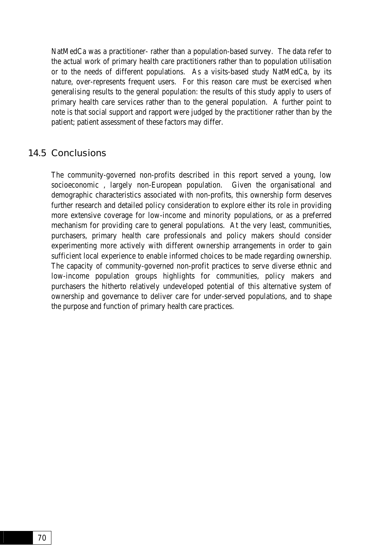NatMedCa was a practitioner- rather than a population-based survey. The data refer to the actual work of primary health care practitioners rather than to population utilisation or to the needs of different populations. As a visits-based study NatMedCa, by its nature, over-represents frequent users. For this reason care must be exercised when generalising results to the general population: the results of this study apply to users of primary health care services rather than to the general population. A further point to note is that social support and rapport were judged by the practitioner rather than by the patient; patient assessment of these factors may differ.

### 14.5 Conclusions

The community-governed non-profits described in this report served a young, low socioeconomic , largely non-European population. Given the organisational and demographic characteristics associated with non-profits, this ownership form deserves further research and detailed policy consideration to explore either its role in providing more extensive coverage for low-income and minority populations, or as a preferred mechanism for providing care to general populations. At the very least, communities, purchasers, primary health care professionals and policy makers should consider experimenting more actively with different ownership arrangements in order to gain sufficient local experience to enable informed choices to be made regarding ownership. The capacity of community-governed non-profit practices to serve diverse ethnic and low-income population groups highlights for communities, policy makers and purchasers the hitherto relatively undeveloped potential of this alternative system of ownership and governance to deliver care for under-served populations, and to shape the purpose and function of primary health care practices.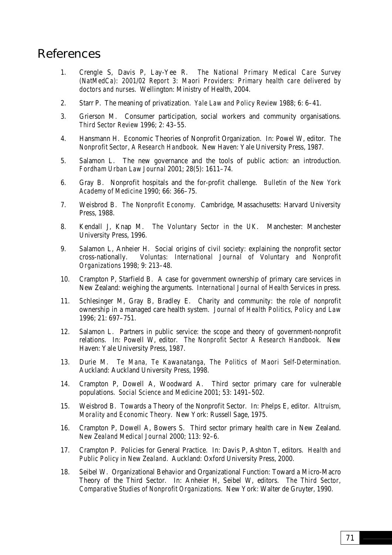# References

- 1. Crengle S, Davis P, Lay-Yee R. *The National Primary Medical Care Survey (NatMedCa): 2001/02 Report 3: Maori Providers: Primary health care delivered by doctors and nurses*. Wellington: Ministry of Health, 2004.
- 2. Starr P. The meaning of privatization. *Yale Law and Policy Review* 1988; 6: 6–41.
- 3. Grierson M. Consumer participation, social workers and community organisations. *Third Sector Review* 1996; 2: 43–55.
- 4. Hansmann H. Economic Theories of Nonprofit Organization. In: Powel W, editor. *The Nonprofit Sector, A Research Handbook*. New Haven: Yale University Press, 1987.
- 5. Salamon L. The new governance and the tools of public action: an introduction. *Fordham Urban Law Journal* 2001; 28(5): 1611–74.
- 6. Gray B. Nonprofit hospitals and the for-profit challenge. *Bulletin of the New York Academy of Medicine* 1990; 66: 366–75.
- 7. Weisbrod B. *The Nonprofit Economy*. Cambridge, Massachusetts: Harvard University Press, 1988.
- 8. Kendall J, Knap M. *The Voluntary Sector in the UK*. Manchester: Manchester University Press, 1996.
- 9. Salamon L, Anheier H. Social origins of civil society: explaining the nonprofit sector cross-nationally. *Voluntas: International Journal of Voluntary and Nonprofit Organizations* 1998; 9: 213–48.
- 10. Crampton P, Starfield B. A case for government ownership of primary care services in New Zealand: weighing the arguments. *International Journal of Health Services* in press.
- 11. Schlesinger M, Gray B, Bradley E. Charity and community: the role of nonprofit ownership in a managed care health system. *Journal of Health Politics, Policy and Law* 1996; 21: 697–751.
- 12. Salamon L. Partners in public service: the scope and theory of government-nonprofit relations. In: Powell W, editor. *The Nonprofit Sector A Research Handbook*. New Haven: Yale University Press, 1987.
- 13. Durie M. *Te Mana, Te Kawanatanga, The Politics of Maori Self-Determination*. Auckland: Auckland University Press, 1998.
- 14. Crampton P, Dowell A, Woodward A. Third sector primary care for vulnerable populations. *Social Science and Medicine* 2001; 53: 1491–502.
- 15. Weisbrod B. Towards a Theory of the Nonprofit Sector. In: Phelps E, editor. *Altruism, Morality and Economic Theory*. New York: Russell Sage, 1975.
- 16. Crampton P, Dowell A, Bowers S. Third sector primary health care in New Zealand. *New Zealand Medical Journal* 2000; 113: 92–6.
- 17. Crampton P. Policies for General Practice. In: Davis P, Ashton T, editors. *Health and Public Policy in New Zealand*. Auckland: Oxford University Press, 2000.
- 18. Seibel W. Organizational Behavior and Organizational Function: Toward a Micro-Macro Theory of the Third Sector. In: Anheier H, Seibel W, editors. *The Third Sector, Comparative Studies of Nonprofit Organizations*. New York: Walter de Gruyter, 1990.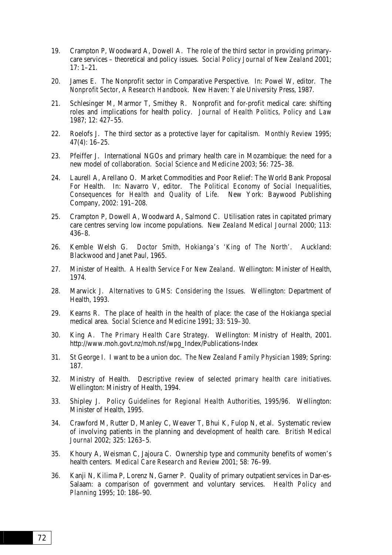- 19. Crampton P, Woodward A, Dowell A. The role of the third sector in providing primarycare services – theoretical and policy issues. *Social Policy Journal of New Zealand* 2001; 17: 1–21.
- 20. James E. The Nonprofit sector in Comparative Perspective. In: Powel W, editor. *The Nonprofit Sector, A Research Handbook*. New Haven: Yale University Press, 1987.
- 21. Schlesinger M, Marmor T, Smithey R. Nonprofit and for-profit medical care: shifting roles and implications for health policy. *Journal of Health Politics, Policy and Law* 1987; 12: 427–55.
- 22. Roelofs J. The third sector as a protective layer for capitalism. *Monthly Review* 1995; 47(4): 16–25.
- 23. Pfeiffer J. International NGOs and primary health care in Mozambique: the need for a new model of collaboration. *Social Science and Medicine* 2003; 56: 725–38.
- 24. Laurell A, Arellano O. Market Commodities and Poor Relief: The World Bank Proposal For Health. In: Navarro V, editor. *The Political Economy of Social Inequalities, Consequences for Health and Quality of Life*. New York: Baywood Publishing Company, 2002: 191–208.
- 25. Crampton P, Dowell A, Woodward A, Salmond C. Utilisation rates in capitated primary care centres serving low income populations. *New Zealand Medical Journal* 2000; 113: 436–8.
- 26. Kemble Welsh G. *Doctor Smith, Hokianga's 'King of The North'*. Auckland: Blackwood and Janet Paul, 1965.
- 27. Minister of Health. *A Health Service For New Zealand*. Wellington: Minister of Health, 1974.
- 28. Marwick J. *Alternatives to GMS: Considering the Issues*. Wellington: Department of Health, 1993.
- 29. Kearns R. The place of health in the health of place: the case of the Hokianga special medical area. *Social Science and Medicine* 1991; 33: 519–30.
- 30. King A. *The Primary Health Care Strategy*. Wellington: Ministry of Health, 2001. http://www.moh.govt.nz/moh.nsf/wpg\_Index/Publications-Index
- 31. St George I. I want to be a union doc. *The New Zealand Family Physician* 1989; Spring: 187.
- 32. Ministry of Health. *Descriptive review of selected primary health care initiatives*. Wellington: Ministry of Health, 1994.
- 33. Shipley J. *Policy Guidelines for Regional Health Authorities, 1995/96*. Wellington: Minister of Health, 1995.
- 34. Crawford M, Rutter D, Manley C, Weaver T, Bhui K, Fulop N, et al. Systematic review of involving patients in the planning and development of health care. *British Medical Journal* 2002; 325: 1263–5.
- 35. Khoury A, Weisman C, Jajoura C. Ownership type and community benefits of women's health centers. *Medical Care Research and Review* 2001; 58: 76–99.
- 36. Kanji N, Kilima P, Lorenz N, Garner P. Quality of primary outpatient services in Dar-es-Salaam: a comparison of government and voluntary services. *Health Policy and Planning* 1995; 10: 186–90.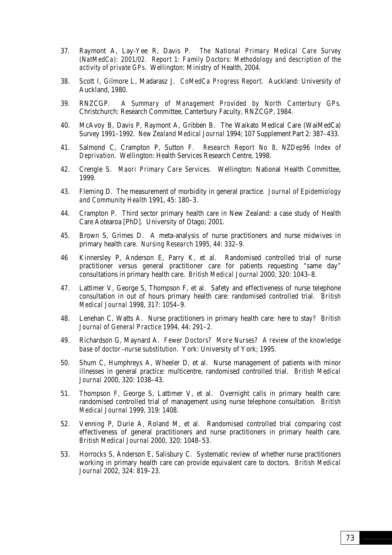- 37. Raymont A, Lay-Yee R, Davis P. *The National Primary Medical Care Survey (NatMedCa): 2001/02. Report 1: Family Doctors: Methodology and description of the activity of private GPs*. Wellington: Ministry of Health, 2004.
- 38. Scott I, Gilmore L, Madarasz J. *CoMedCa Progress Report*. Auckland: University of Auckland, 1980.
- 39. RNZCGP. *A Summary of Management Provided by North Canterbury GPs*. Christchurch: Research Committee, Canterbury Faculty, RNZCGP, 1984.
- 40. McAvoy B, Davis P, Raymont A, Gribben B. The Waikato Medical Care (WaiMedCa) Survey 1991–1992. *New Zealand Medical Journal* 1994; 107 Supplement Part 2: 387–433.
- 41. Salmond C, Crampton P, Sutton F. *Research Report No 8, NZDep96 Index of Deprivation*. Wellington: Health Services Research Centre, 1998.
- 42. Crengle S. *Maori Primary Care Services*. Wellington: National Health Committee, 1999.
- 43. Fleming D. The measurement of morbidity in general practice. *Journal of Epidemiology and Community Health* 1991, 45: 180–3.
- 44. Crampton P. Third sector primary health care in New Zealand: a case study of Health Care Aotearoa [PhD]. University of Otago; 2001.
- 45. Brown S, Grimes D. A meta-analysis of nurse practitioners and nurse midwives in primary health care. *Nursing Research* 1995, 44: 332–9.
- 46 Kinnersley P, Anderson E, Parry K, et al. Randomised controlled trial of nurse practitioner versus general practitioner care for patients requesting "same day" consultations in primary health care. *British Medical Journal* 2000, 320: 1043–8.
- 47. Lattimer V, George S, Thompson F, et al. Safety and effectiveness of nurse telephone consultation in out of hours primary health care: randomised controlled trial. *British Medical Journal* 1998, 317: 1054–9.
- 48. Lenehan C, Watts A. Nurse practitioners in primary health care: here to stay? *British Journal of General Practice* 1994, 44: 291–2.
- 49. Richardson G, Maynard A. *Fewer Doctors? More Nurses? A review of the knowledge base of doctor*−*nurse substitution*. York: University of York; 1995.
- 50. Shum C, Humphreys A, Wheeler D, et al. Nurse management of patients with minor illnesses in general practice: multicentre, randomised controlled trial. *British Medical Journal* 2000, 320: 1038–43.
- 51. Thompson F, George S, Lattimer V, et al. Overnight calls in primary health care: randomised controlled trial of management using nurse telephone consultation. *British Medical Journal* 1999, 319: 1408.
- 52. Venning P, Durie A, Roland M, et al. Randomised controlled trial comparing cost effectiveness of general practitioners and nurse practitioners in primary health care. *British Medical Journal* 2000, 320: 1048–53.
- 53. Horrocks S, Anderson E, Salisbury C. Systematic review of whether nurse practitioners working in primary health care can provide equivalent care to doctors. *British Medical Journal* 2002, 324: 819–23.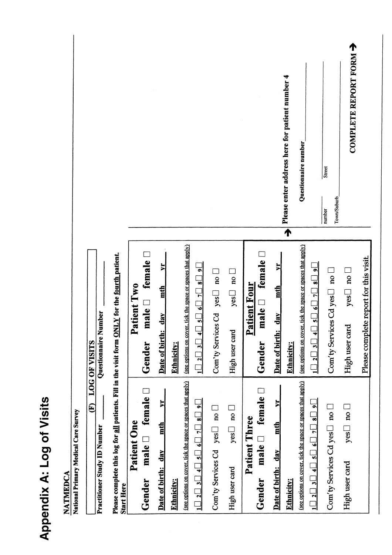|                                                                                                |                                                                                                                            |                                                    |                                   |                                                                           |                                                                                                                   |                                         |                                                |                                                                        |                                           | Please enter address here for patient number 4 | Questionnaire number                                        |                                                                                                                           | <b>Street</b><br>Town/Suburb<br>number  | COMPLETE REPORT FORM                          |                                        |
|------------------------------------------------------------------------------------------------|----------------------------------------------------------------------------------------------------------------------------|----------------------------------------------------|-----------------------------------|---------------------------------------------------------------------------|-------------------------------------------------------------------------------------------------------------------|-----------------------------------------|------------------------------------------------|------------------------------------------------------------------------|-------------------------------------------|------------------------------------------------|-------------------------------------------------------------|---------------------------------------------------------------------------------------------------------------------------|-----------------------------------------|-----------------------------------------------|----------------------------------------|
| Questionnaire Number<br><b>LOG OF VISITS</b>                                                   |                                                                                                                            | $male \square$ female<br>Patient Two<br>Gender     | ᄫ<br>mth<br>day<br>Date of birth: | (see options on cover, tick the space or spaces that apply)<br>Ethnicity: | $\overline{\bullet}$<br>$\overline{\bullet}$<br>$\overline{7}$<br>$1\Box$ $2\Box$ $3\Box$ $4\Box$ $5\Box$ $6\Box$ | $\frac{1}{2}$<br>Com'ty Services Cd yes | $\frac{1}{2}$<br>yes<br>High user card         | female<br><b>Patient Four</b><br>male <b>D</b><br>Gender               | ≿<br>mth<br>day<br>Date of birth:         | $\overline{\blacklozenge}$<br>Ethnicity:       | (see options on cover, tick the space or spaces that apply) | $\overline{\bullet}$<br>$\overline{\bullet}$<br>$\frac{1}{2}$<br>$\frac{1}{2}$<br>$1\Box$ $2\Box$ $3\Box$ $4\Box$ $5\Box$ | Com'ty Services Cd yes $\Box$ no $\Box$ | yes $\sqcup$ no $\sqsubset$<br>High user card | Please complete report for this visit. |
| $\mathbf{\widehat{E}}$<br>National Primary Medical Care Survey<br>Practitioner Study ID Number | Please complete this log for all patients. Fill in the visit form <b>ONLY</b> for the fourth patient.<br><b>Start Here</b> | $male \Box$ female $\Box$<br>Patient One<br>Gender | yr<br>mth<br>Date of birth: day   | (see options on cover, tick the space or spaces that apply)<br>Ethnicity: | $_1$ i $\Box$ $_2$ $\Box$ $_4$ $\Box$ $_5$ $\Box$ $_8$ $\Box$ $_9$ i                                              | Com'ty Services Cd $yes \Box$ no $\Box$ | $yes \bigsqcup no \bigsqcup$<br>High user card | $\mathbf{male} \ \Box$ female $\Box$<br><b>Patient Three</b><br>Gender | $\mathbf{r}$<br>mth<br>Date of birth: day | Ethnicity:                                     | (see options on cover, tick the space or spaces that apply) | $1\Box$ 2 $\Box$ 3 $\Box$ 4 $\Box$ 3 $\Box$ 5 $\Box$ 3 $\Box$ 9 $\Box$ 9 $\Box$                                           | Com'ty Services Cd yes $\Box$ no $\Box$ | $\log \Box$ no $\Box$<br>High user card       |                                        |

Appendix A: Log of Visits

**NATMEDCA**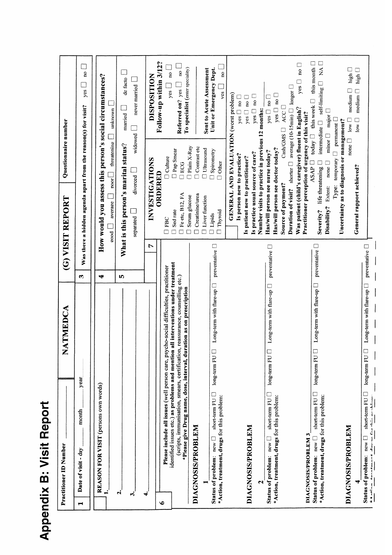| I                             |
|-------------------------------|
| E<br>í                        |
| $\blacksquare$<br>π<br>l<br>L |
|                               |
|                               |

| <b>Practitioner ID Number</b>                                                                                                                                                                                                             | ATMEDCA<br>Z                      |                        | Questionnaire number<br>(G) VISIT REPORT                                                                                                                                                         |                                                                                                                    |
|-------------------------------------------------------------------------------------------------------------------------------------------------------------------------------------------------------------------------------------------|-----------------------------------|------------------------|--------------------------------------------------------------------------------------------------------------------------------------------------------------------------------------------------|--------------------------------------------------------------------------------------------------------------------|
| year<br>month<br>Date of visit - day<br>Н                                                                                                                                                                                                 |                                   | S                      | Was there a hidden agenda apart from the reason(s) for visit?                                                                                                                                    | $\mathbf{a}$<br>yes                                                                                                |
| REASON FOR VISIT (persons own words)                                                                                                                                                                                                      |                                   | ₩                      | How would you assess this person's social circumstances?                                                                                                                                         |                                                                                                                    |
|                                                                                                                                                                                                                                           |                                   |                        | threatening<br>$\frac{1}{2}$<br>average<br>good                                                                                                                                                  | unknown                                                                                                            |
| નં<br>ઌ                                                                                                                                                                                                                                   |                                   | ΙŊ,                    | What is this person's marital status?                                                                                                                                                            | de facto<br>married                                                                                                |
|                                                                                                                                                                                                                                           |                                   |                        | widowed<br>divorced<br>separated L                                                                                                                                                               | never married<br>$\Box$                                                                                            |
| ÷                                                                                                                                                                                                                                         |                                   | Ņ                      | INVESTIGATIONS                                                                                                                                                                                   | <b>DISPOSITION</b>                                                                                                 |
| Please include all issues (well person care, psycho-social difficulties, practitioner<br>$\bullet$                                                                                                                                        |                                   |                        | <b>O</b> Culture<br>ORDERED<br>FBC<br>$\Box$                                                                                                                                                     | Follow-up within 3/12?                                                                                             |
| identified issues etc.) as problems and mention all interventions under treatment<br>(scripts, immunisation, smears, certification, reassurance, counselling etc.)<br>*Please give Drug name, dose, interval, duration as on prescription |                                   |                        | Pap Smear<br><b>DOS</b><br>Fe etc, B12, FA<br>Sed rate                                                                                                                                           | To specialist (enter speciality)<br>$\tilde{a}$<br>no<br>Referred on? yes<br>yes                                   |
| DIAGNOSIS/PROBLEM                                                                                                                                                                                                                         |                                   |                        | Plain X-Ray<br>$\Box$ Contrast etc<br>$\Box$<br><br>Ultrasound<br>Creatinine/urea<br>Serum glucose<br>Liver function                                                                             |                                                                                                                    |
| $long-term FU$<br>short-term FU<br>*Action, treatment, drugs for this problem:<br>$new \sqsubset$<br>Status of problem:                                                                                                                   | Long-term with flare-up           | preventative $\square$ | $\Box$ Spirometry<br>$\Box$ Other<br>Thyroid<br>Lipids                                                                                                                                           | Sent to Acute Assessment<br>Unit or Emergency Dept.<br>$\mathbf{a}$<br>yes                                         |
| <b>DIAGNOSIS/PROBLEM</b><br>٦                                                                                                                                                                                                             |                                   |                        | GENERAL AND EVALUATION (worst problem)<br>Number visits to practice in previous 12 months:<br>Is practice usual source of care?<br>Is person new to practice?<br>Is patient new to practitioner? | $\mathsf{yes} \ \mathsf{\Box} \ \mathsf{no} \ \mathsf{\Box}$<br>$\frac{1}{2}$<br>$yes \Box$ no $\Box$<br>yes       |
| $long-term FU$<br>short-term FU<br>*Action, treatment, drugs for this problem:<br>Status of problem: new                                                                                                                                  | Long-term with flare-up $\square$ | preventative $\Box$    | $\mathsf{CashGMS}\ \square$<br>Has/will person see doctor today?<br>Has/will person see nurse today?<br>Source of payment?<br>Duration of visit?                                                 | shorter $\Box$ average (10-15min) $\Box$ longer $\Box$<br>yes $\Box$ no $\Box$<br>$yes \Box no \Box$<br>ACC $\Box$ |
| DIAGNOSIS/PROBLEM 3                                                                                                                                                                                                                       |                                   |                        | Was patient (child's caregiver) fluent in English?<br>Practitioner perception of urgency of this visit?                                                                                          | $\Box$<br>$\overline{\mathbf{n}}$<br>yes                                                                           |
| long-term FU<br>short-term FU<br>*Action, treatment, drugs for this problem:<br>Status of problem: new                                                                                                                                    | Long-term with flare-up           | preventative $\square$ | $\mathop{\rm minor}\limits\Box$<br>ASAP O<br>life threatening<br>none<br>Extent:<br>Disability?<br>Severity?                                                                                     | this month<br>$\overline{A}$<br>self-limiting<br>today I this week<br>major<br>intermediate $\square$              |
| <b>DIAGNOSIS/PROBLEM</b>                                                                                                                                                                                                                  |                                   |                        | Uncertainty as to diagnosis or management?<br>Type: temporary                                                                                                                                    | $\Box$ permanent $\Box$                                                                                            |
|                                                                                                                                                                                                                                           |                                   |                        | none $\Box$<br>General rapport achieved?                                                                                                                                                         | high $\square$<br>high $\Box$<br>$m$ edium<br>median<br>$\mathop{\sf low}\limits$<br>low                           |
| $long-term FU$<br>short-term $FU$ $\Box$<br>dimensionalismentiam<br>Status of problem: new<br>$+4 \pi^{2}$                                                                                                                                | Long-term with flare-up           | preventative $\square$ |                                                                                                                                                                                                  |                                                                                                                    |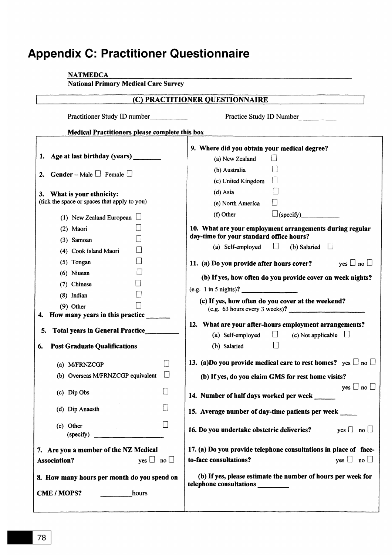# **Appendix C: Practitioner Questionnaire**

| <b>NATMEDCA</b>                                                 |                                                                                                                    |
|-----------------------------------------------------------------|--------------------------------------------------------------------------------------------------------------------|
| <b>National Primary Medical Care Survey</b>                     |                                                                                                                    |
|                                                                 | (C) PRACTITIONER QUESTIONNAIRE                                                                                     |
| Practitioner Study ID number                                    | Practice Study ID Number                                                                                           |
| Medical Practitioners please complete this box                  |                                                                                                                    |
| 1. Age at last birthday (years)                                 | 9. Where did you obtain your medical degree?<br>(a) New Zealand                                                    |
| <b>Gender</b> – Male $\Box$ Female $\Box$                       | (b) Australia                                                                                                      |
| 2.                                                              | (c) United Kingdom                                                                                                 |
| 3. What is your ethnicity:                                      | $(d)$ Asia                                                                                                         |
| (tick the space or spaces that apply to you)                    | (e) North America                                                                                                  |
| (1) New Zealand European $\Box$                                 | $\Box$ (specify)<br>(f) Other                                                                                      |
| (2) Maori<br>$(3)$ Samoan                                       | 10. What are your employment arrangements during regular<br>day-time for your standard office hours?               |
| (4) Cook Island Maori                                           | (b) Salaried $\Box$<br>(a) Self-employed<br>$\Box$                                                                 |
| $(5)$ Tongan                                                    | yes $\Box$ no $\Box$<br>11. (a) Do you provide after hours cover?                                                  |
| $(6)$ Niuean                                                    | (b) If yes, how often do you provide cover on week nights?                                                         |
| (7) Chinese                                                     |                                                                                                                    |
| $(8)$ Indian                                                    | (e.g. 1 in 5 nights)?                                                                                              |
| $(9)$ Other                                                     | (c) If yes, how often do you cover at the weekend?<br>(e.g. 63 hours every 3 weeks)?                               |
| How many years in this practice<br>4.                           |                                                                                                                    |
| <b>Total years in General Practice</b><br>5.                    | 12. What are your after-hours employment arrangements?<br>$\Box$<br>(a) Self-employed<br>(c) Not applicable $\Box$ |
| <b>Post Graduate Qualifications</b><br>6.                       | (b) Salaried                                                                                                       |
| (a) M/FRNZCGP                                                   | 13. (a)Do you provide medical care to rest homes? yes $\square$ no $\square$                                       |
| (b) Overseas M/FRNZCGP equivalent                               | (b) If yes, do you claim GMS for rest home visits?                                                                 |
|                                                                 | yes $\Box$ no $\Box$                                                                                               |
| $\Box$<br>(c) Dip Obs                                           | 14. Number of half days worked per week                                                                            |
| П<br>(d) Dip Anaesth                                            | 15. Average number of day-time patients per week                                                                   |
| $\begin{array}{c} \hline \end{array}$<br>(e) Other<br>(specify) | 16. Do you undertake obstetric deliveries? $y_{\text{es}} \Box$ no $\Box$                                          |
| 7. Are you a member of the NZ Medical                           | 17. (a) Do you provide telephone consultations in place of face-                                                   |
| yes $\Box$ no $\Box$<br><b>Association?</b>                     | to-face consultations?<br>yes $\Box$ no $\Box$                                                                     |
| 8. How many hours per month do you spend on                     | (b) If yes, please estimate the number of hours per week for<br>telephone consultations                            |
| <b>CME/MOPS?</b><br>hours                                       |                                                                                                                    |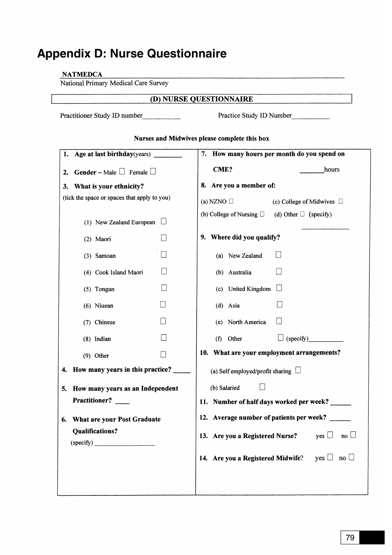# **Appendix D: Nurse Questionnaire**

### **NATMEDCA**

National Primary Medical Care Survey

# (D) NURSE QUESTIONNAIRE

Practitioner Study ID number\_\_\_\_\_\_\_\_\_\_\_

Practice Study ID Number

| 1. Age at last birthday(years)               | 7. How many hours per month do you spend on                           |
|----------------------------------------------|-----------------------------------------------------------------------|
| 2. Gender – Male $\Box$ Female $\Box$        | CME?<br>hours                                                         |
| 3. What is your ethnicity?                   | 8. Are you a member of:                                               |
| (tick the space or spaces that apply to you) | (a) NZNO $\Box$<br>(c) College of Midwives $\Box$                     |
| (1) New Zealand European                     | (b) College of Nursing $\Box$ (d) Other $\Box$ (specify)              |
| (2) Maori                                    | 9. Where did you qualify?                                             |
| $(3)$ Samoan                                 | (a) New Zealand                                                       |
| $\Box$<br>(4) Cook Island Maori              | $\vert \ \ \vert$<br>(b) Australia                                    |
| $\vert \ \vert$<br>$(5)$ Tongan              | (c) United Kingdom                                                    |
| $(6)$ Niuean                                 | (d) Asia                                                              |
| $\vert \ \ \vert$<br>(7) Chinese             | $\sqcup$<br>(e) North America                                         |
| (8) Indian                                   | $\Box$ (specify)<br>(f) Other                                         |
| $(9)$ Other                                  | 10. What are your employment arrangements?                            |
| How many years in this practice?<br>4.       | (a) Self employed/profit sharing $\Box$                               |
| How many years as an Independent<br>5.       | (b) Salaried                                                          |
| Practitioner?                                | 11. Number of half days worked per week?                              |
| <b>What are your Post Graduate</b><br>6.     | 12. Average number of patients per week?                              |
| <b>Qualifications?</b>                       | 13. Are you a Registered Nurse?<br>yes $\Box$<br>$\mathsf{no} \sqcup$ |
| (specify)                                    |                                                                       |
|                                              | 14. Are you a Registered Midwife?<br>yes $\Box$ no $\Box$             |
|                                              |                                                                       |
|                                              |                                                                       |

### Nurses and Midwives please complete this box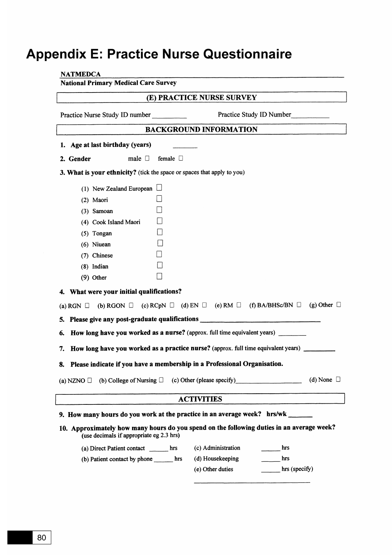# **Appendix E: Practice Nurse Questionnaire**

| <b>National Primary Medical Care Survey</b> |                                           |                  |                                                                                                                   |                          |                 |
|---------------------------------------------|-------------------------------------------|------------------|-------------------------------------------------------------------------------------------------------------------|--------------------------|-----------------|
|                                             |                                           |                  | (E) PRACTICE NURSE SURVEY                                                                                         |                          |                 |
| Practice Nurse Study ID number              |                                           |                  |                                                                                                                   | Practice Study ID Number |                 |
|                                             |                                           |                  | <b>BACKGROUND INFORMATION</b>                                                                                     |                          |                 |
| 1. Age at last birthday (years)             |                                           |                  |                                                                                                                   |                          |                 |
| 2. Gender                                   | male $\Box$                               | female $\square$ |                                                                                                                   |                          |                 |
|                                             |                                           |                  | 3. What is your ethnicity? (tick the space or spaces that apply to you)                                           |                          |                 |
|                                             | (1) New Zealand European $\Box$           |                  |                                                                                                                   |                          |                 |
| (2) Maori                                   |                                           |                  |                                                                                                                   |                          |                 |
| $(3)$ Samoan                                |                                           |                  |                                                                                                                   |                          |                 |
|                                             | (4) Cook Island Maori                     |                  |                                                                                                                   |                          |                 |
| $(5)$ Tongan                                |                                           |                  |                                                                                                                   |                          |                 |
| $(6)$ Niuean                                |                                           |                  |                                                                                                                   |                          |                 |
| (7) Chinese                                 |                                           |                  |                                                                                                                   |                          |                 |
| (8) Indian                                  |                                           |                  |                                                                                                                   |                          |                 |
| $(9)$ Other                                 |                                           |                  |                                                                                                                   |                          |                 |
| 4. What were your initial qualifications?   |                                           |                  |                                                                                                                   |                          |                 |
|                                             |                                           |                  | (a) RGN $\Box$ (b) RGON $\Box$ (c) RCpN $\Box$ (d) EN $\Box$ (e) RM $\Box$ (f) BA/BHSc/BN $\Box$ (g) Other $\Box$ |                          |                 |
|                                             |                                           |                  | 5. Please give any post-graduate qualifications ________________________________                                  |                          |                 |
| 6.                                          |                                           |                  | How long have you worked as a nurse? (approx. full time equivalent years)                                         |                          |                 |
| 7.                                          |                                           |                  | How long have you worked as a practice nurse? (approx. full time equivalent years)                                |                          |                 |
|                                             |                                           |                  | Please indicate if you have a membership in a Professional Organisation.                                          |                          |                 |
| 8.                                          |                                           |                  |                                                                                                                   |                          |                 |
| (a) NZNO $\Box$                             | (b) College of Nursing $\Box$             |                  | (c) Other (please specify)                                                                                        |                          | (d) None $\Box$ |
|                                             |                                           |                  | <b>ACTIVITIES</b>                                                                                                 |                          |                 |
|                                             |                                           |                  | 9. How many hours do you work at the practice in an average week? hrs/wk ______                                   |                          |                 |
|                                             | (use decimals if appropriate eg 2.3 hrs)  |                  | 10. Approximately how many hours do you spend on the following duties in an average week?                         |                          |                 |
|                                             | (a) Direct Patient contact hrs            |                  | (c) Administration                                                                                                | hrs                      |                 |
|                                             | (b) Patient contact by phone ________ hrs |                  | (d) Housekeeping                                                                                                  | hrs                      |                 |
|                                             |                                           |                  | (e) Other duties                                                                                                  | hrs (specify)            |                 |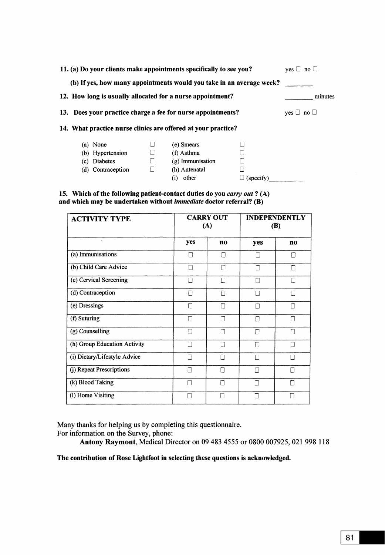| 11. (a) Do your clients make appointments specifically to see you?   | $ves \cup no \cup$                                          |                            |           |  |  |
|----------------------------------------------------------------------|-------------------------------------------------------------|----------------------------|-----------|--|--|
| (b) If yes, how many appointments would you take in an average week? |                                                             |                            |           |  |  |
| 12. How long is usually allocated for a nurse appointment?           | minutes                                                     |                            |           |  |  |
|                                                                      | 13. Does your practice charge a fee for nurse appointments? |                            |           |  |  |
| 14. What practice nurse clinics are offered at your practice?        |                                                             |                            |           |  |  |
| (a) None                                                             |                                                             | (e) Smears                 |           |  |  |
| (b) Hypertension                                                     |                                                             | $(f)$ Asthma               |           |  |  |
| Diabetes<br>(c)                                                      | $\Box$                                                      | (g) Immunisation           |           |  |  |
| (d) Contraception                                                    | □                                                           | (h) Antenatal              |           |  |  |
|                                                                      |                                                             | other<br>$\left( 1\right)$ | (specify) |  |  |

15. Which of the following patient-contact duties do you carry out? (A) and which may be undertaken without *immediate* doctor referral?  $(B)$ 

| <b>ACTIVITY TYPE</b>         | <b>CARRY OUT</b><br>(A) |                | <b>INDEPENDENTLY</b><br><b>(B)</b> |                 |
|------------------------------|-------------------------|----------------|------------------------------------|-----------------|
| $\ddot{\phantom{1}}$         | yes                     | n <sub>o</sub> | yes                                | n <sub>0</sub>  |
| (a) Immunisations            | П                       | П              | П                                  |                 |
| (b) Child Care Advice        | П                       | П              | П                                  | П               |
| (c) Cervical Screening       | $\Box$                  | П              | П                                  | П               |
| (d) Contraception            | П                       | П              | П                                  | П               |
| (e) Dressings                | П                       | П              |                                    | ĪΙ              |
| (f) Suturing                 | П                       | П              | П                                  | П               |
| (g) Counselling              | П                       | П              | П                                  | П               |
| (h) Group Education Activity | П                       | Ι.             |                                    | П               |
| (i) Dietary/Lifestyle Advice | П                       | П              | П                                  |                 |
| (j) Repeat Prescriptions     | П                       | П              | П                                  | Г               |
| (k) Blood Taking             | П                       | П              | П                                  | $\vert \ \vert$ |
| (I) Home Visiting            | $\vert \ \ \vert$       | $\mathbf{I}$   | П                                  |                 |

Many thanks for helping us by completing this questionnaire.

For information on the Survey, phone:

Antony Raymont, Medical Director on 09 483 4555 or 0800 007925, 021 998 118

The contribution of Rose Lightfoot in selecting these questions is acknowledged.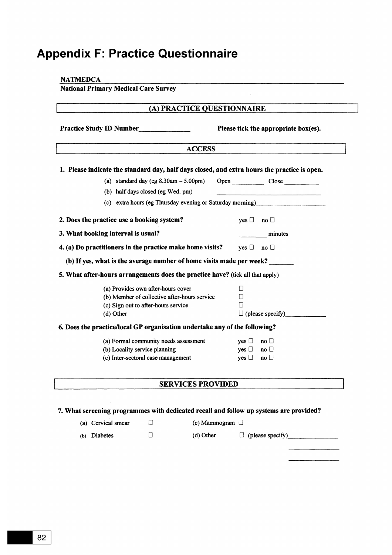# **Appendix F: Practice Questionnaire**

| (A) PRACTICE QUESTIONNAIRE                                                                   |                                      |
|----------------------------------------------------------------------------------------------|--------------------------------------|
| Practice Study ID Number                                                                     | Please tick the appropriate box(es). |
| <b>ACCESS</b>                                                                                |                                      |
| 1. Please indicate the standard day, half days closed, and extra hours the practice is open. |                                      |
| (a) standard day (eg $8.30$ am $- 5.00$ pm)                                                  | Open Close                           |
| (b) half days closed (eg Wed. pm)                                                            |                                      |
| (c) extra hours (eg Thursday evening or Saturday morning)                                    |                                      |
| 2. Does the practice use a booking system?                                                   | yes $\Box$ no $\Box$                 |
| 3. What booking interval is usual?                                                           | minutes                              |
| 4. (a) Do practitioners in the practice make home visits?                                    | yes $\Box$ no $\Box$                 |
| (b) If yes, what is the average number of home visits made per week?                         |                                      |
| 5. What after-hours arrangements does the practice have? (tick all that apply)               |                                      |
| (a) Provides own after-hours cover                                                           | □                                    |
| (b) Member of collective after-hours service                                                 | Ħ                                    |
| (c) Sign out to after-hours service                                                          | П                                    |
| (d) Other                                                                                    | $\Box$ (please specify)              |
| 6. Does the practice/local GP organisation undertake any of the following?                   |                                      |
| (a) Formal community needs assessment                                                        | $yes \Box$<br>$\mathsf{no} \ \Box$   |
| (b) Locality service planning                                                                | yes $\Box$ no $\Box$                 |
| (c) Inter-sectoral case management                                                           | yes $\Box$<br>$\mathsf{no} \sqcup$   |
| <b>SERVICES PROVIDED</b>                                                                     |                                      |
|                                                                                              |                                      |

<u>and the control of the control of the control of</u>  $\begin{array}{c} \begin{array}{c} \begin{array}{c} \begin{array}{c} \end{array} \\ \end{array} \end{array} \end{array} \end{array} \end{array} \begin{array}{c} \begin{array}{c} \begin{array}{c} \end{array} \\ \end{array} \end{array} \end{array} \begin{array}{c} \begin{array}{c} \begin{array}{c} \end{array} \\ \end{array} \end{array} \end{array} \begin{array}{c} \begin{array}{c} \end{array} \end{array} \end{array} \begin{array}{c} \begin{array}{c} \begin{array}{c} \end{array} \end{array} \end{array} \begin{array}{c} \begin{array}{$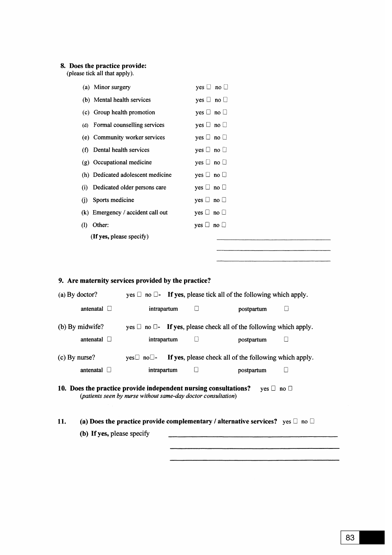# 8. Does the practice provide:<br>(please tick all that apply).

|                                                                                                                                                           | (a) Minor surgery                                                                        | yes $\Box$ no $\Box$ |                                                                               |   |
|-----------------------------------------------------------------------------------------------------------------------------------------------------------|------------------------------------------------------------------------------------------|----------------------|-------------------------------------------------------------------------------|---|
|                                                                                                                                                           | (b) Mental health services                                                               | yes $\Box$ no $\Box$ |                                                                               |   |
|                                                                                                                                                           | (c) Group health promotion                                                               | yes $\Box$ no $\Box$ |                                                                               |   |
| (d)                                                                                                                                                       | Formal counselling services                                                              | yes $\Box$ no $\Box$ |                                                                               |   |
|                                                                                                                                                           | (e) Community worker services                                                            | yes $\Box$ no $\Box$ |                                                                               |   |
| (f)                                                                                                                                                       | Dental health services                                                                   | yes $\Box$ no $\Box$ |                                                                               |   |
|                                                                                                                                                           | (g) Occupational medicine                                                                | yes $\Box$ no $\Box$ |                                                                               |   |
|                                                                                                                                                           | (h) Dedicated adolescent medicine                                                        | yes $\Box$ no $\Box$ |                                                                               |   |
| $\left( i\right)$                                                                                                                                         | Dedicated older persons care                                                             | yes $\Box$ no $\Box$ |                                                                               |   |
| (i)                                                                                                                                                       | Sports medicine                                                                          | yes $\Box$ no $\Box$ |                                                                               |   |
|                                                                                                                                                           | (k) Emergency / accident call out                                                        | yes $\Box$ no $\Box$ |                                                                               |   |
| Other:<br>$\Omega$                                                                                                                                        |                                                                                          | yes $\Box$ no $\Box$ |                                                                               |   |
|                                                                                                                                                           | (If yes, please specify)                                                                 |                      |                                                                               |   |
|                                                                                                                                                           |                                                                                          |                      |                                                                               |   |
|                                                                                                                                                           |                                                                                          |                      |                                                                               |   |
|                                                                                                                                                           | 9. Are maternity services provided by the practice?                                      |                      |                                                                               |   |
| (a) By doctor?                                                                                                                                            |                                                                                          |                      | yes $\Box$ no $\Box$ - If yes, please tick all of the following which apply.  |   |
|                                                                                                                                                           |                                                                                          |                      |                                                                               |   |
| antenatal $\Box$                                                                                                                                          | intrapartum                                                                              |                      | postpartum                                                                    | ⊔ |
| (b) By midwife?                                                                                                                                           |                                                                                          |                      | yes $\Box$ no $\Box$ - If yes, please check all of the following which apply. |   |
| antenatal $\Box$                                                                                                                                          | intrapartum                                                                              | Ш                    | postpartum                                                                    | Ш |
| $(c)$ By nurse?                                                                                                                                           | $yes \Box no \Box$ -                                                                     |                      | If yes, please check all of the following which apply.                        |   |
| antenatal $\Box$                                                                                                                                          | intrapartum                                                                              | $\sqcup$             | postpartum                                                                    | ∐ |
| 10. Does the practice provide independent nursing consultations?<br>yes $\Box$ no $\Box$<br>(patients seen by nurse without same-day doctor consultation) |                                                                                          |                      |                                                                               |   |
| 11.                                                                                                                                                       | (a) Does the practice provide complementary / alternative services? yes $\Box$ no $\Box$ |                      |                                                                               |   |
|                                                                                                                                                           | (b) If yes, please specify                                                               |                      |                                                                               |   |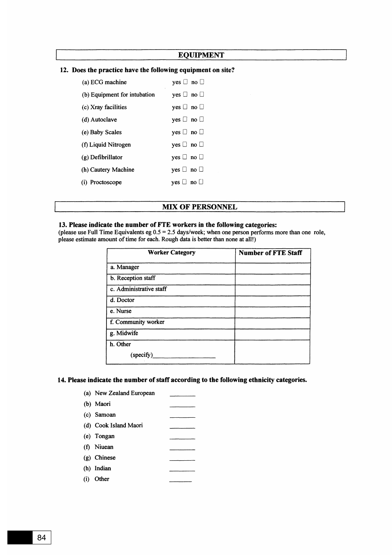#### **EQUIPMENT**

| (a) ECG machine              | $ves \Box no \Box$                       |
|------------------------------|------------------------------------------|
| (b) Equipment for intubation | $ves \Box no \Box$                       |
| (c) Xray facilities          | $ves \sqcup no \sqcup$                   |
| (d) Autoclave                | yes $\Box$ no $\Box$                     |
| (e) Baby Scales              | $ves \Box no \Box$                       |
| (f) Liquid Nitrogen          | $\mathsf{ves} \sqcup \mathsf{no} \sqcup$ |
| $(g)$ Defibrillator          | yes $\Box$ no $\Box$                     |
| (h) Cautery Machine          | $ves \Box no \Box$                       |
| (i) Proctoscope              | $ves \cup no \cup$                       |

### 12. Does the practice have the following equipment on site?

#### **MIX OF PERSONNEL**

#### 13. Please indicate the number of FTE workers in the following categories:

(please use Full Time Equivalents eg  $0.5 = 2.5$  days/week; when one person performs more than one role, please estimate amount of time for each. Rough data is better than none at all!)

| <b>Worker Category</b>  | <b>Number of FTE Staff</b> |
|-------------------------|----------------------------|
| a. Manager              |                            |
| b. Reception staff      |                            |
| c. Administrative staff |                            |
| d. Doctor               |                            |
| e. Nurse                |                            |
| f. Community worker     |                            |
| g. Midwife              |                            |
| h. Other                |                            |
| (specify)               |                            |

#### 14. Please indicate the number of staff according to the following ethnicity categories.

| (a) New Zealand European |  |
|--------------------------|--|
| (b) Maori                |  |
| (c) Samoan               |  |
| (d) Cook Island Maori    |  |
| (e) Tongan               |  |
| (f) Niuean               |  |
| (g) Chinese              |  |
| (h) Indian               |  |

(i) Other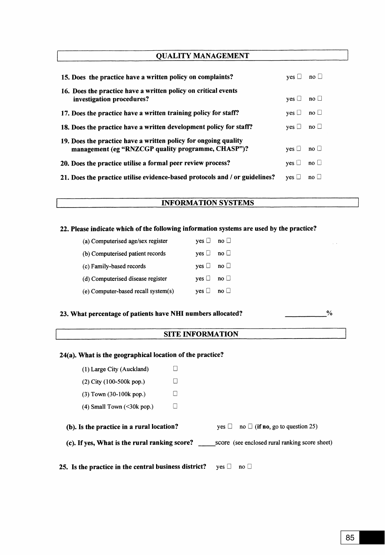## **QUALITY MANAGEMENT**

| 15. Does the practice have a written policy on complaints?                                                            | $ves \Box no \Box$ |                      |
|-----------------------------------------------------------------------------------------------------------------------|--------------------|----------------------|
| 16. Does the practice have a written policy on critical events<br>investigation procedures?                           | $ves \Box$         | $\mathbf{n}$ o       |
| 17. Does the practice have a written training policy for staff?                                                       | $ves \Box$         | $\mathsf{no} \sqcup$ |
| 18. Does the practice have a written development policy for staff?                                                    | $ves \Box$         | $\mathsf{no} \sqcup$ |
| 19. Does the practice have a written policy for ongoing quality<br>management (eg "RNZCGP quality programme, CHASP")? | $ves \Box$         | $\mathsf{no} \sqcup$ |
| 20. Does the practice utilise a formal peer review process?                                                           | $ves \Box$         | $\mathsf{no} \sqcup$ |
| 21. Does the practice utilise evidence-based protocols and / or guidelines?                                           | ves                | $no \Box$            |

### **INFORMATION SYSTEMS**

# 22. Please indicate which of the following information systems are used by the practice?

| (a) Computerised age/sex register   | $\mathsf{ves} \sqcup \mathsf{no} \sqcup$ |                      |
|-------------------------------------|------------------------------------------|----------------------|
| (b) Computerised patient records    | $ves \Box \quad no \Box$                 |                      |
| (c) Family-based records            | $ves \sqcup \text{no} \sqcup$            |                      |
| (d) Computerised disease register   | $ves \Box \quad no \Box$                 |                      |
| (e) Computer-based recall system(s) | $ves \Box$                               | $\mathsf{no} \sqcup$ |

#### 23. What percentage of patients have NHI numbers allocated?

 $\frac{1}{2}$  . The contract of  $\frac{1}{2}$ 

 $\sim$   $\sim$ 

 $\%$ 

### **SITE INFORMATION**

# 24(a). What is the geographical location of the practice?

| 25. Is the practice in the central business district?                                           |  | $\mathbf{n}$ o $\Box$<br>$ves \Box$             |  |  |
|-------------------------------------------------------------------------------------------------|--|-------------------------------------------------|--|--|
| (c). If yes, What is the rural ranking score?<br>score (see enclosed rural ranking score sheet) |  |                                                 |  |  |
| (b). Is the practice in a rural location?                                                       |  | yes $\Box$ no $\Box$ (if no, go to question 25) |  |  |
| $(4)$ Small Town $(\leq 30k$ pop.)                                                              |  |                                                 |  |  |
| (3) Town (30-100k pop.)                                                                         |  |                                                 |  |  |
| $(2)$ City $(100-500k$ pop.)                                                                    |  |                                                 |  |  |
| (1) Large City (Auckland)                                                                       |  |                                                 |  |  |